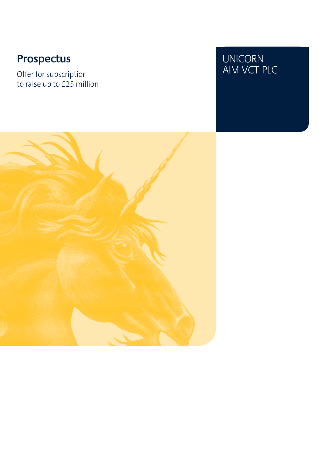Offer for subscription and the COME of the MOST PLC AIM VCT PLC to raise up to £25 million

# Prospectus<br>
Offer for subscription<br>
Offer for subscription

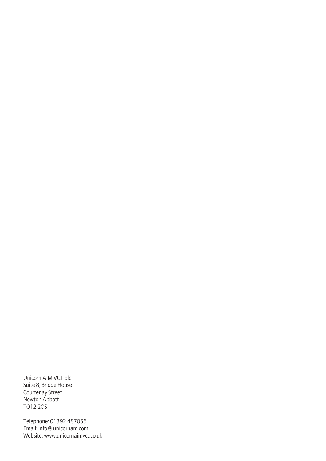Unicorn AIM VCT plc Suite 8, Bridge House Courtenay Street Newton Abbott TQ12 2QS

Telephone: 01392 487056 Email: info@unicornam.com Website: www.unicornaimvct.co.uk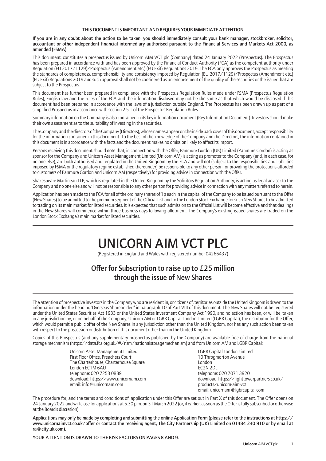#### THIS DOCUMENT IS IMPORTANT AND REQUIRES YOUR IMMEDIATE ATTENTION

If you are in any doubt about the action to be taken, you should immediately consult your bank manager, stockbroker, solicitor, accountant or other independent financial intermediary authorised pursuant to the Financial Services and Markets Act 2000, as amended (FSMA).

This document, constitutes a prospectus issued by Unicorn AIM VCT plc (Company) dated 24 January 2022 (Prospectus). The Prospectus has been prepared in accordance with and has been approved by the Financial Conduct Authority (FCA) as the competent authority under Regulation (EU 2017/1129)/Prospectus (Amendment etc.) (EU Exit) Regulations 2019. The FCA only approves the Prospectus as meeting the standards of completeness, comprehensibility and consistency imposed by Regulation (EU 2017/1129)/Prospectus (Amendment etc.) (EU Exit) Regulations 2019 and such approval shall not be considered as an endorsement of the quality of the securities or the issuer that are subject to the Prospectus.

This document has further been prepared in compliance with the Prospectus Regulation Rules made under FSMA (Prospectus Regulation Rules), English law and the rules of the FCA and the information disclosed may not be the same as that which would be disclosed if this document had been prepared in accordance with the laws of a jurisdiction outside England. The Prospectus has been drawn up as part of a simplified Prospectus in accordance with section 2.5.1 of the Prospectus Regulation Rules.

Summary information on the Company is also contained in its key information document (Key Information Document). Investors should make their own assessment as to the suitability of investing in the securities.

The Company and the directors of the Company (Directors), whose names appear on the inside back cover of this document, accept responsibility for the information contained in this document. To the best of the knowledge of the Company and the Directors, the information contained in this document is in accordance with the facts and the document makes no omission likely to affect its import.

Persons receiving this document should note that, in connection with the Offer, Panmure Gordon (UK) Limited (Panmure Gordon) is acting as sponsor for the Company and Unicorn Asset Management Limited (Unicorn AM) is acting as promoter to the Company (and, in each case, for no one else), are both authorised and regulated in the United Kingdom by the FCA and will not (subject to the responsibilities and liabilities imposed by FSMA or the regulatory regime established thereunder) be responsible to any other person for providing the protections afforded to customers of Panmure Gordon and Unicorn AM (respectively) for providing advice in connection with the Offer.

Shakespeare Martineau LLP, which is regulated in the United Kingdom by the Solicitors Regulation Authority, is acting as legal adviser to the Company and no one else and will not be responsible to any other person for providing advice in connection with any matters referred to herein.

Application has been made to the FCA for all of the ordinary shares of 1p each in the capital of the Company to be issued pursuant to the Offer (New Shares) to be admitted to the premium segment of the Official List and to the London Stock Exchange for such New Shares to be admitted to trading on its main market for listed securities. It is expected that such admission to the Official List will become effective and that dealings in the New Shares will commence within three business days following allotment. The Company's existing issued shares are traded on the London Stock Exchange's main market for listed securities.

# UNICORN AIM VCT PLC

(Registered in England and Wales with registered number 04266437)

### Offer for Subscription to raise up to £25 million through the issue of New Shares

The attention of prospective investors in the Company who are resident in, or citizens of, territories outside the United Kingdom is drawn to the information under the heading 'Overseas Shareholders' in paragraph 10 of Part VIII of this document. The New Shares will not be registered under the United States Securities Act 1933 or the United States Investment Company Act 1990, and no action has been, or will be, taken in any jurisdiction by, or on behalf of the Company, Unicorn AM or LGBR Capital London Limited (LGBR Capital), the distributor for the Offer, which would permit a public offer of the New Shares in any jurisdiction other than the United Kingdom, nor has any such action been taken with respect to the possession or distribution of this document other than in the United Kingdom.

Copies of this Prospectus (and any supplementary prospectus published by the Company) are available free of charge from the national storage mechanism (https://data.fca.org.uk/#/nsm/nationalstoragemechanism) and from Unicorn AM and LGBR Capital:

> Unicorn Asset Management Limited LGBR Capital London Limited First Floor Office, Preachers Court 10 Throgmorton Avenue First Floor Office, Preachers Court<br>
> The Charterhouse, Charterhouse Square<br>
> London The Charterhouse, Charterhouse Square **London Construction Construction** London London London London London London London London London London London London London London London London London London London London London Lo London FC1M 6AU telephone: 020 7253 0889 telephone: 020 7071 3920 email: info@unicornam.com

download: https://www.unicornam.com download: https://lighttowerpartners.co.uk/<br>email: info@unicornam.com products/unicorn-aim-vct email: unicornam@lgbrcapital.com

The procedure for, and the terms and conditions of, application under this Offer are set out in Part X of this document. The Offer opens on 24 January 2022 and will close for applications at 5.30 p.m. on 31 March 2022 (or, if earlier, as soon as the Offer is fully subscribed or otherwise at the Board's discretion).

Applications may only be made by completing and submitting the online Application Form (please refer to the instructions at https:// www.unicornaimvct.co.uk/offer or contact the receiving agent, The City Partnership (UK) Limited on 01484 240 910 or by email at ra@city.uk.com).

YOUR ATTENTION IS DRAWN TO THE RISK FACTORS ON PAGES 8 AND 9.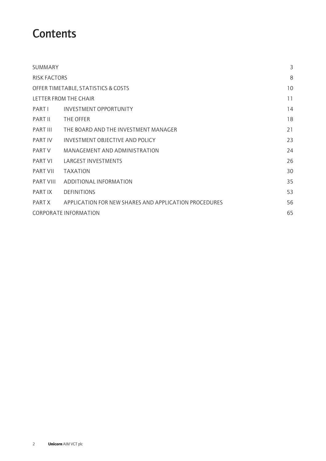### **Contents**

| SUMMARY                      |                                                       | 3  |
|------------------------------|-------------------------------------------------------|----|
| <b>RISK FACTORS</b>          |                                                       | 8  |
|                              | OFFER TIMETABLE, STATISTICS & COSTS                   | 10 |
|                              | LETTER FROM THE CHAIR                                 | 11 |
| PARTI                        | INVESTMENT OPPORTUNITY                                | 14 |
| PART II                      | THE OFFER                                             | 18 |
| PART III                     | THE BOARD AND THE INVESTMENT MANAGER                  | 21 |
| PART IV                      | INVESTMENT OBJECTIVE AND POLICY                       | 23 |
| PART V                       | MANAGEMENT AND ADMINISTRATION                         | 24 |
| PART VI                      | LARGEST INVESTMENTS                                   | 26 |
| PART VII                     | <b>TAXATION</b>                                       | 30 |
| PART VIII                    | ADDITIONAL INFORMATION                                | 35 |
| PART IX                      | <b>DEFINITIONS</b>                                    | 53 |
| PART X                       | APPLICATION FOR NEW SHARES AND APPLICATION PROCEDURES | 56 |
| <b>CORPORATE INFORMATION</b> | 65                                                    |    |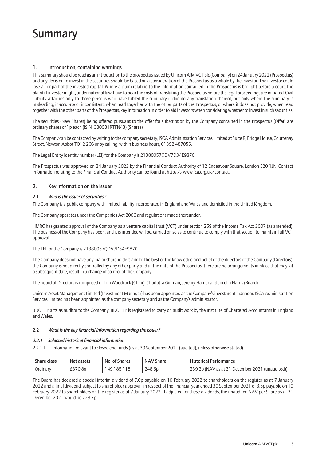### Summary

#### 1. Introduction, containing warnings

This summary should be read as an introduction to the prospectus issued by Unicorn AIM VCT plc (Company) on 24 January 2022 (Prospectus) and any decision to invest in the securities should be based on a consideration of the Prospectus as a whole by the investor. The investor could lose all or part of the invested capital. Where a claim relating to the information contained in the Prospectus is brought before a court, the plaintiff investor might, under national law, have to bear the costs of translating the Prospectus before the legal proceedings are initiated. Civil liability attaches only to those persons who have tabled the summary including any translation thereof, but only where the summary is misleading, inaccurate or inconsistent, when read together with the other parts of the Prospectus, or where it does not provide, when read together with the other parts of the Prospectus, key information in order to aid investors when considering whether to invest in such securities.

The securities (New Shares) being offered pursuant to the offer for subscription by the Company contained in the Prospectus (Offer) are ordinary shares of 1p each (ISIN: GB00B1RTFN43) (Shares).

The Company can be contacted by writing to the company secretary, ISCA Administration Services Limited at Suite 8, Bridge House, Courtenay Street, Newton Abbot TQ12 2QS or by calling, within business hours, 01392 487056.

The Legal Entity Identity number (LEI) for the Company is 21380057QDV7D34E9870.

The Prospectus was approved on 24 January 2022 by the Financial Conduct Authority of 12 Endeavour Square, London E20 1JN. Contact information relating to the Financial Conduct Authority can be found at https://www.fca.org.uk/contact.

#### 2. Key information on the issuer

#### 2.1 *Who is the issuer of securities?*

The Company is a public company with limited liability incorporated in England and Wales and domiciled in the United Kingdom.

The Company operates under the Companies Act 2006 and regulations made thereunder.

HMRC has granted approval of the Company as a venture capital trust (VCT) under section 259 of the Income Tax Act 2007 (as amended). The business of the Company has been, and it is intended will be, carried on so as to continue to comply with that section to maintain full VCT approval.

#### The LEI for the Company is 21380057QDV7D34E9870.

The Company does not have any major shareholders and to the best of the knowledge and belief of the directors of the Company (Directors), the Company is not directly controlled by any other party and at the date of the Prospectus, there are no arrangements in place that may, at a subsequent date, result in a change of control of the Company.

The board of Directors is comprised of Tim Woodcock (Chair), Charlotta Ginman, Jeremy Hamer and Jocelin Harris (Board).

Unicorn Asset Management Limited (Investment Manager) has been appointed as the Company's investment manager. ISCA Administration Services Limited has been appointed as the company secretary and as the Company's administrator.

BDO LLP acts as auditor to the Company. BDO LLP is registered to carry on audit work by the Institute of Chartered Accountants in England and Wales.

#### 2.2 *What isthe key financial information regarding the issuer?*

#### *2.2.1 Selected historical financial information*

2.2.1.1 Information relevant to closed end funds (as at 30 September 2021 (audited), unless otherwise stated)

| Share class | Net assets | No. of Shares  | <b>NAV Share</b> | <b>Historical Performance</b>                   |
|-------------|------------|----------------|------------------|-------------------------------------------------|
| Ordinary    | £370.8m    | 149.185.<br>18 | 248.6p           | 239.2p (NAV as at 31 December 2021 (unaudited)) |

The Board has declared a special interim dividend of 7.0p payable on 10 February 2022 to shareholders on the register as at 7 January 2022 and a final dividend, subject to shareholder approval, in respect of the financial year ended 30 September 2021 of 3.5p payable on 10 February 2022 to shareholders on the register as at 7 January 2022. If adjusted for these dividends, the unaudited NAV per Share as at 31 December 2021 would be 228.7p.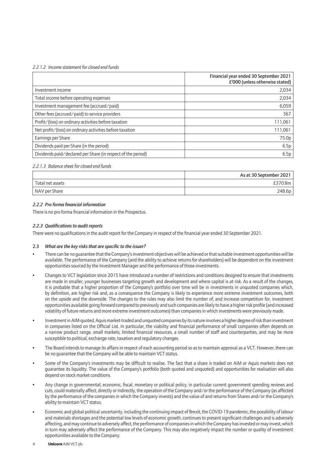#### *2.2.1.2 Income statement for closed end funds*

|                                                              | Financial year ended 30 September 2021<br>£'000 (unless otherwise stated) |
|--------------------------------------------------------------|---------------------------------------------------------------------------|
| Investment income                                            | 2,034                                                                     |
| Total income before operating expenses                       | 2,034                                                                     |
| Investment management fee (accrued/paid)                     | 6,059                                                                     |
| Other fees (accrued/paid) to service providers               | 367                                                                       |
| Profit/(loss) on ordinary activities before taxation         | 111,061                                                                   |
| Net profit/(loss) on ordinary activities before taxation     | 111,061                                                                   |
| Earnings per Share                                           | 75.0p                                                                     |
| Dividends paid per Share (in the period)                     | 6.5p                                                                      |
| Dividends paid/declared per Share (in respect of the period) | 6.5p                                                                      |

#### *2.2.1.3 Balance sheet for closed end funds*

|                  | As at 30 September 2021 |
|------------------|-------------------------|
| Total net assets | £370.8m                 |
| NAV per Share    | 248.6p                  |

#### *2.2.2 Pro forma financial information*

There is no pro forma financial information in the Prospectus.

#### *2.2.3 Qualificationsto audit reports*

There were no qualifications in the audit report for the Company in respect of the financial year ended 30 September 2021.

#### 2.3 *What are the key risksthat are specific to the issuer?*

- There can be no guarantee that the Company's investment objectives will be achieved or that suitable investment opportunities will be available. The performance of the Company (and the ability to achieve returns for shareholders) will be dependent on the investment opportunities sourced by the Investment Manager and the performance of those investments.
- Changes to VCT legislation since 2015 have introduced a number of restrictions and conditions designed to ensure that investments are made in smaller, younger businesses targeting growth and development and where capital is at risk. As a result of the changes, it is probable that a higher proportion of the Company's portfolio over time will be in investments in unquoted companies which, by definition, are higher risk and, as a consequence the Company is likely to experience more extreme investment outcomes, both on the upside and the downside. The changes to the rules may also limit the number of, and increase competition for, investment opportunities available going forward compared to previously and such companies are likely to have a higher risk profile (and increased volatility of future returns and more extreme investment outcomes) than companies in which investments were previously made.
- Investment in AIM-quoted, Aquis market-traded and unquoted companies by its nature involves a higher degree of risk than investment in companies listed on the Official List. In particular, the viability and financial performance of small companies often depends on a narrow product range, small markets, limited financial resources, a small number of staff and counterparties, and may be more susceptible to political, exchange rate, taxation and regulatory changes.
- The Board intends to manage its affairs in respect of each accounting period so as to maintain approval as a VCT. However, there can be no guarantee that the Company will be able to maintain VCT status.
- Some of the Company's investments may be difficult to realise. The fact that a share is traded on AIM or Aquis markets does not guarantee its liquidity. The value of the Company's portfolio (both quoted and unquoted) and opportunities for realisation will also depend on stock market conditions.
- Any change in governmental, economic, fiscal, monetary or political policy, in particular current government spending reviews and cuts, could materially affect, directly or indirectly, the operation of the Company and/or the performance of the Company (as affected by the performance of the companies in which the Company invests) and the value of and returns from Shares and/or the Company's ability to maintain VCT status.
- Economic and global political uncertainty, including the continuing impact of Brexit, the COVID-19 pandemic, the possibility of labour and materials shortages and the potential low levels of economic growth, continues to present significant challenges and is adversely affecting, and may continue to adversely affect, the performance of companies in which the Company has invested or may invest, which in turn may adversely affect the performance of the Company. This may also negatively impact the number or quality of investment opportunities available to the Company.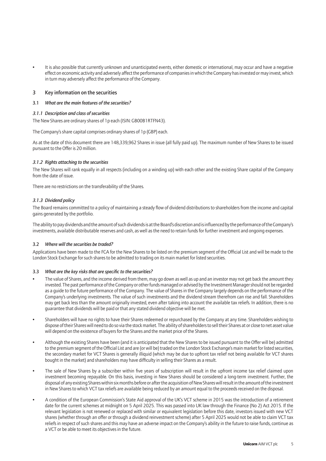• It is also possible that currently unknown and unanticipated events, either domestic or international, may occur and have a negative effect on economic activity and adversely affect the performance of companies in which the Company has invested or may invest, which in turn may adversely affect the performance of the Company.

#### 3 Key information on the securities

#### 3.1 *What are the main features of the securities?*

#### *3.1.1 Description and class ofsecurities*

The New Shares are ordinary shares of 1p each (ISIN: GB00B1RTFN43).

The Company's share capital comprises ordinary shares of 1p (GBP) each.

As at the date of this document there are 148,339,962 Shares in issue (all fully paid up). The maximum number of New Shares to be issued pursuant to the Offer is 20 million.

#### *3.1.2 Rights attaching to the securities*

The New Shares will rank equally in all respects (including on a winding up) with each other and the existing Share capital of the Company from the date of issue.

There are no restrictions on the transferability of the Shares.

#### *3.1.3 Dividend policy*

The Board remains committed to a policy of maintaining a steady flow of dividend distributions to shareholders from the income and capital gains generated by the portfolio.

The ability to pay dividends and the amount of such dividends is at the Board's discretion and is influenced by the performance of the Company's investments, available distributable reserves and cash, as well as the need to retain funds for further investment and ongoing expenses.

#### 3.2 *Where will the securities be traded?*

Applications have been made to the FCA for the New Shares to be listed on the premium segment of the Official List and will be made to the London Stock Exchange for such shares to be admitted to trading on its main market for listed securities.

#### 3.3 *What are the key risksthat are specific to the securities?*

- The value of Shares, and the income derived from them, may go down as well as up and an investor may not get back the amount they invested. The past performance of the Company or other funds managed or advised by the Investment Manager should not be regarded as a guide to the future performance of the Company. The value of Shares in the Company largely depends on the performance of the Company's underlying investments. The value of such investments and the dividend stream therefrom can rise and fall. Shareholders may get back less than the amount originally invested, even after taking into account the available tax reliefs. In addition, there is no guarantee that dividends will be paid or that any stated dividend objective will be met.
- Shareholders will have no rights to have their Shares redeemed or repurchased by the Company at any time. Shareholders wishing to dispose of their Shares will need to do so via the stock market. The ability of shareholders to sell their Shares at or close to net asset value will depend on the existence of buyers for the Shares and the market price of the Shares.
- Although the existing Shares have been (and it is anticipated that the New Shares to be issued pursuant to the Offer will be) admitted to the premium segment of the Official List and are (or will be) traded on the London Stock Exchange's main market for listed securities, the secondary market for VCT Shares is generally illiquid (which may be due to upfront tax relief not being available for VCT shares bought in the market) and shareholders may have difficulty in selling their Shares as a result.
- The sale of New Shares by a subscriber within five years of subscription will result in the upfront income tax relief claimed upon investment becoming repayable. On this basis, investing in New Shares should be considered a long-term investment. Further, the disposal of any existing Shares within six months before or after the acquisition of New Shares will result in the amount of the investment in New Shares to which VCT tax reliefs are available being reduced by an amount equal to the proceeds received on the disposal.
- A condition of the European Commission's State Aid approval of the UK's VCT scheme in 2015 was the introduction of a retirement date for the current schemes at midnight on 5 April 2025. This was passed into UK law through the Finance (No 2) Act 2015. If the relevant legislation is not renewed or replaced with similar or equivalent legislation before this date, investors issued with new VCT shares (whether through an offer or through a dividend reinvestment scheme) after 5 April 2025 would not be able to claim VCT tax reliefs in respect of such shares and this may have an adverse impact on the Company's ability in the future to raise funds, continue as a VCT or be able to meet its objectives in the future.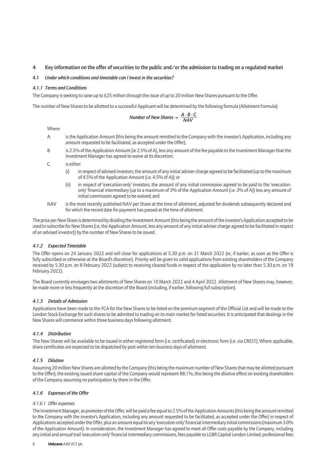#### 4 Key information on the offer of securities to the public and/or the admission to trading on a regulated market

#### 4.1 *Under which conditions and timetable can I invest in the securities?*

#### *4.1.1 Terms and Conditions*

The Company is seeking to raise up to £25 million through the issue of up to 20 million New Shares pursuant to the Offer.

The number of New Shares to be allotted to a successful Applicant will be determined by the following formula (Allotment Formula):

Number of New Shares = 
$$
\frac{A \cdot B \cdot C}{NAV}
$$

Where:

- A is the Application Amount (this being the amount remitted to the Company with the investor's Application, including any amount requested to be facilitated, as accepted under the Offer);
- B is 2.5% of the Application Amount (ie 2.5% of A), less any amount of the fee payable to the Investment Manager that the Investment Manager has agreed to waive at its discretion;

C is either:

- (i) in respect of advised investors, the amount of any initial adviser charge agreed to be facilitated (up to the maximum of 4.5% of the Application Amount (i.e. 4.5% of A)); or
- (ii) in respect of 'execution-only' investors, the amount of any initial commission agreed to be paid to the 'executiononly' financial intermediary (up to a maximum of 3% of the Application Amount (i.e. 3% of A)) less any amount of initial commission agreed to be waived; and
- NAV is the most recently published NAV per Share at the time of allotment, adjusted for dividends subsequently declared and for which the record date for payment has passed at the time of allotment.

The price per New Share is determined by dividing the Investment Amount (this being the amount of the investor's Application accepted to be used to subscribe for New Shares (i.e. the Application Amount, less any amount of any initial adviser charge agreed to be facilitated in respect of an advised investor)) by the number of New Shares to be issued.

#### *4.1.2 Expected Timetable*

The Offer opens on 24 January 2022 and will close for applications at 5.30 p.m. on 31 March 2022 (or, if earlier, as soon as the Offer is fully subscribed or otherwise at the Board's discretion). Priority will be given to valid applications from existing shareholders of the Company received by 5.30 p.m. on 8 February 2022 (subject to receiving cleared funds in respect of the application by no later than 5.30 p.m. on 18 February 2022).

The Board currently envisages two allotments of New Shares on 10 March 2022 and 4 April 2022. Allotment of New Shares may, however, be made more or less frequently at the discretion of the Board (including, if earlier, following full subscription).

#### *4.1.3 Details of Admission*

Applications have been made to the FCA for the New Shares to be listed on the premium segment of the Official List and will be made to the London Stock Exchange for such shares to be admitted to trading on its main market for listed securities. It is anticipated that dealings in the New Shares will commence within three business days following allotment.

#### *4.1.4 Distribution*

The New Shares will be available to be issued in either registered form (i.e. certificated) or electronic form (i.e. via CREST). Where applicable, share certificates are expected to be dispatched by post within ten business days of allotment.

#### *4.1.5 Dilution*

Assuming 20 million New Shares are allotted by the Company (this being the maximum number of New Shares that may be allotted pursuant to the Offer), the existing issued share capital of the Company would represent 88.1%, this being the dilutive effect on existing shareholders of the Company assuming no participation by them in the Offer.

#### *4.1.6 Expenses of the Offer*

#### *4.1.6.1 Offer expenses*

The Investment Manager, as promoter of the Offer, will be paid a fee equal to 2.5% of the Application Amounts (this being the amount remitted to the Company with the investor's Application, including any amount requested to be facilitated, as accepted under the Offer) in respect of Applications accepted under the Offer, plus an amount equal to any 'execution-only' financial intermediary initial commissions (maximum 3.0% of the Application Amount). In consideration, the Investment Manager has agreed to meet all Offer costs payable by the Company, including any initial and annual trail 'execution-only' financial intermediary commissions, fees payable to LGBR Capital London Limited, professional fees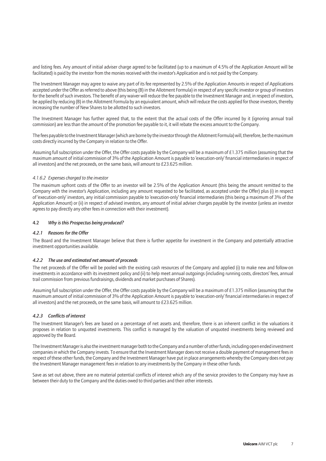and listing fees. Any amount of initial adviser charge agreed to be facilitated (up to a maximum of 4.5% of the Application Amount will be facilitated) is paid by the investor from the monies received with the investor's Application and is not paid by the Company.

The Investment Manager may agree to waive any part of its fee represented by 2.5% of the Application Amounts in respect of Applications accepted under the Offer as referred to above (this being (B) in the Allotment Formula) in respect of any specific investor or group of investors for the benefit of such investors. The benefit of any waiver will reduce the fee payable to the Investment Manager and, in respect of investors, be applied by reducing (B) in the Allotment Formula by an equivalent amount, which will reduce the costs applied for those investors, thereby increasing the number of New Shares to be allotted to such investors.

The Investment Manager has further agreed that, to the extent that the actual costs of the Offer incurred by it (ignoring annual trail commission) are less than the amount of the promotion fee payable to it, it will rebate the excess amount to the Company.

The fees payable to the Investment Manager (which are borne by the investor through the Allotment Formula) will, therefore, be the maximum costs directly incurred by the Company in relation to the Offer.

Assuming full subscription under the Offer, the Offer costs payable by the Company will be a maximum of £1.375 million (assuming that the maximum amount of initial commission of 3% of the Application Amount is payable to 'execution-only' financial intermediaries in respect of all investors) and the net proceeds, on the same basis, will amount to £23.625 million.

#### *4.1.6.2 Expenses charged to the investor*

The maximum upfront costs of the Offer to an investor will be 2.5% of the Application Amount (this being the amount remitted to the Company with the investor's Application, including any amount requested to be facilitated, as accepted under the Offer) plus (i) in respect of 'execution-only' investors, any initial commission payable to 'execution-only' financial intermediaries (this being a maximum of 3% of the Application Amount) or (ii) in respect of advised investors, any amount of initial adviser charges payable by the investor (unless an investor agrees to pay directly any other fees in connection with their investment).

#### 4.2 *Why isthis Prospectus being produced?*

#### *4.2.1 Reasonsfor the Offer*

The Board and the Investment Manager believe that there is further appetite for investment in the Company and potentially attractive investment opportunities available.

#### *4.2.2 The use and estimated net amount of proceeds*

The net proceeds of the Offer will be pooled with the existing cash resources of the Company and applied (i) to make new and follow-on investments in accordance with its investment policy and (ii) to help meet annual outgoings (including running costs, directors' fees, annual trail commission from previous fundraisings, dividends and market purchases of Shares).

Assuming full subscription under the Offer, the Offer costs payable by the Company will be a maximum of £1.375 million (assuming that the maximum amount of initial commission of 3% of the Application Amount is payable to 'execution-only' financial intermediaries in respect of all investors) and the net proceeds, on the same basis, will amount to £23.625 million.

#### *4.2.3 Conflicts of interest*

The Investment Manager's fees are based on a percentage of net assets and, therefore, there is an inherent conflict in the valuations it proposes in relation to unquoted investments. This conflict is managed by the valuation of unquoted investments being reviewed and approved by the Board.

The Investment Manager is also the investment manager both to the Company and a number of other funds, including open ended investment companies in which the Company invests. To ensure that the Investment Manager does not receive a double payment of management fees in respect of these other funds, the Company and the Investment Manager have put in place arrangements whereby the Company does not pay the Investment Manager management fees in relation to any investments by the Company in these other funds.

Save as set out above, there are no material potential conflicts of interest which any of the service providers to the Company may have as between their duty to the Company and the duties owed to third parties and their other interests.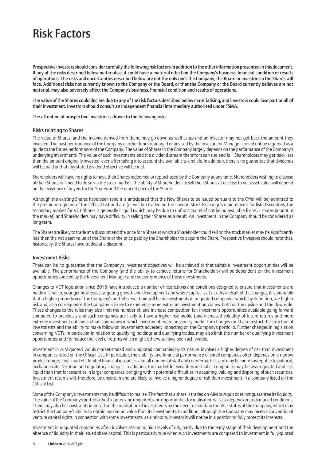### Risk Factors

Prospective investors should consider carefully the following risk factors in addition to the other information presented in this document. If any of the risks described below materialise, it could have a material effect on the Company's business, financial condition or results of operations. The risks and uncertainties described below are not the only ones the Company, the Board or investors in the Shares will face. Additional risks not currently known to the Company or the Board, or that the Company or the Board currently believes are not material, may also adversely affect the Company's business, financial condition and results of operations.

The value of the Shares could decline due to any of the risk factors described below materialising, and investors could lose part or all of their investment. Investors should consult an independent financial intermediary authorised under FSMA.

The attention of prospective investors is drawn to the following risks.

#### Risks relating to Shares

The value of Shares, and the income derived from them, may go down as well as up and an investor may not get back the amount they invested. The past performance of the Company or other funds managed or advised by the Investment Manager should not be regarded as a guide to the future performance of the Company. The value of Shares in the Company largely depends on the performance of the Company's underlying investments. The value of such investments and the dividend stream therefrom can rise and fall. Shareholders may get back less than the amount originally invested, even after taking into account the available tax reliefs. In addition, there is no guarantee that dividends will be paid or that any stated dividend objective will be met.

Shareholders will have no rights to have their Shares redeemed or repurchased by the Company at any time. Shareholders wishing to dispose of their Shares will need to do so via the stock market. The ability of Shareholders to sell their Shares at or close to net asset value will depend on the existence of buyers for the Shares and the market price of the Shares.

Although the existing Shares have been (and it is anticipated that the New Shares to be issued pursuant to the Offer will be) admitted to the premium segment of the Official List and are (or will be) traded on the London Stock Exchange's main market for listed securities, the secondary market for VCT Shares is generally illiquid (which may be due to upfront tax relief not being available for VCT shares bought in the market) and Shareholders may have difficulty in selling their Shares as a result. An investment in the Company should be considered as long-term.

The Shares are likely to trade at a discount and the price for a Share at which a Shareholder could sell on the stock market may be significantly less than the net asset value of the Share or the price paid by the Shareholder to acquire the Share. Prospective Investors should note that, historically, the Shares have traded at a discount.

#### Investment Risks

There can be no guarantee that the Company's investment objectives will be achieved or that suitable investment opportunities will be available. The performance of the Company (and the ability to achieve returns for Shareholders) will be dependent on the investment opportunities sourced by the Investment Manager and the performance of those investments.

Changes to VCT legislation since 2015 have introduced a number of restrictions and conditions designed to ensure that investments are made in smaller, younger businesses targeting growth and development and where capital is at risk. As a result of the changes, it is probable that a higher proportion of the Company's portfolio over time will be in investments in unquoted companies which, by definition, are higher risk and, as a consequence the Company is likely to experience more extreme investment outcomes, both on the upside and the downside. These changes to the rules may also limit the number of, and increase competition for, investment opportunities available going forward compared to previously and such companies are likely to have a higher risk profile (and increased volatility of future returns and more extreme investment outcomes) than companies in which investments were previously made. The changes could also restrict the structure of investments and the ability to make follow-on investments adversely impacting on the Company's portfolio. Further changes in legislation concerning VCTs, in particular in relation to qualifying holdings and qualifying trades, may also limit the number of qualifying investment opportunities and/or reduce the level of returns which might otherwise have been achievable.

Investment in AIM-quoted, Aquis market-traded and unquoted companies by its nature involves a higher degree of risk than investment in companies listed on the Official List. In particular, the viability and financial performance of small companies often depends on a narrow product range, small markets, limited financial resources, a small number of staff and counterparties, and may be more susceptible to political, exchange rate, taxation and regulatory changes. In addition, the market for securities in smaller companies may be less regulated and less liquid than that for securities in larger companies, bringing with it potential difficulties in acquiring, valuing and disposing of such securities. Investment returns will, therefore, be uncertain and are likely to involve a higher degree of risk than investment in a company listed on the Official List.

Some of the Company's investments may be difficult to realise. The fact that a share is traded on AIM or Aquis does not guarantee its liquidity. The value of the Company's portfolio (both quoted and unquoted) and opportunities for realisation will also depend on stock market conditions. There may also be constraints imposed on the realisation of investments by the need to maintain the VCT status of the Company, which may restrict the Company's ability to obtain maximum value from its investments. In addition, although the Company may receive conventional venture capital rights in connection with some investments, as a minority investor it will not be in a position to fully protect its interests.

Investment in unquoted companies often involves assuming high levels of risk, partly due to the early stage of their development and the absence of liquidity in their issued share capital. This is particularly true when such investments are compared to investment in fully-quoted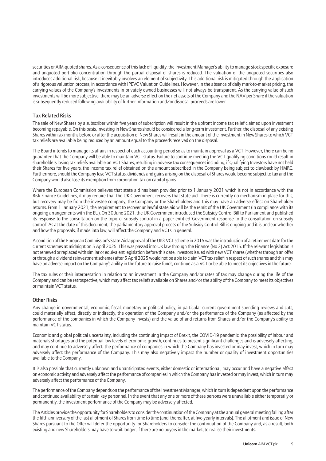securities or AIM-quoted shares. As a consequence of this lack of liquidity, the Investment Manager's ability to manage stock specific exposure and unquoted portfolio concentration through the partial disposal of shares is reduced. The valuation of the unquoted securities also introduces additional risk, because it inevitably involves an element of subjectivity. This additional risk is mitigated through the application of a rigorous valuation process, in accordance with IPEVC Valuation Guidelines. However, in the absence of daily mark-to-market pricing, the carrying values of the Company's investments in privately owned businesses will not always be transparent. As the carrying value of such investments will be more subjective, there may be an adverse effect on the net assets of the Company and the NAV per Share if the valuation is subsequently reduced following availability of further information and/or disposal proceeds are lower.

#### Tax Related Risks

The sale of New Shares by a subscriber within five years of subscription will result in the upfront income tax relief claimed upon investment becoming repayable. On this basis, investing in New Shares should be considered a long-term investment. Further, the disposal of any existing Shares within six months before or after the acquisition of New Shares will result in the amount of the investment in New Shares to which VCT tax reliefs are available being reduced by an amount equal to the proceeds received on the disposal.

The Board intends to manage its affairs in respect of each accounting period so as to maintain approval as a VCT. However, there can be no guarantee that the Company will be able to maintain VCT status. Failure to continue meeting the VCT qualifying conditions could result in shareholders losing tax reliefs available on VCT Shares, resulting in adverse tax consequences including, if Qualifying Investors have not held their Shares for five years, the income tax relief obtained on the amount subscribed in the Company being subject to clawback by HMRC. Furthermore, should the Company lose VCT status, dividends and gains arising on the disposal of Shares would become subject to tax and the Company would also lose its exemption from corporation tax on capital gains.

Where the European Commission believes that state aid has been provided prior to 1 January 2021 which is not in accordance with the Risk Finance Guidelines, it may require that the UK Government recovers that state aid. There is currently no mechanism in place for this, but recovery may be from the investee company, the Company or the Shareholders and this may have an adverse effect on Shareholder returns. From 1 January 2021, the requirement to recover unlawful state aid will be the remit of the UK Government (in compliance with its ongoing arrangements with the EU). On 30 June 2021, the UK Government introduced the Subsidy Control Bill to Parliament and published its response to the consultation on the topic of subsidy control in a paper entitled 'Government response to the consultation on subsidy control'. As at the date of this document, the parliamentary approval process of the Subsidy Control Bill is ongoing and it is unclear whether and how the proposals, if made into law, will affect the Company and VCTs in general.

A condition of the European Commission's State Aid approval of the UK's VCT scheme in 2015 was the introduction of a retirement date for the current schemes at midnight on 5 April 2025. This was passed into UK law through the Finance (No 2) Act 2015. If the relevant legislation is not renewed or replaced with similar or equivalent legislation before this date, investors issued with new VCT shares (whether through an offer or through a dividend reinvestment scheme) after 5 April 2025 would not be able to claim VCT tax relief in respect of such shares and this may have an adverse impact on the Company's ability in the future to raise funds, continue as a VCT or be able to meet its objectives in the future.

The tax rules or their interpretation in relation to an investment in the Company and/or rates of tax may change during the life of the Company and can be retrospective, which may affect tax reliefs available on Shares and/or the ability of the Company to meet its objectives or maintain VCT status.

#### Other Risks

Any change in governmental, economic, fiscal, monetary or political policy, in particular current government spending reviews and cuts, could materially affect, directly or indirectly, the operation of the Company and/or the performance of the Company (as affected by the performance of the companies in which the Company invests) and the value of and returns from Shares and/or the Company's ability to maintain VCT status.

Economic and global political uncertainty, including the continuing impact of Brexit, the COVID-19 pandemic, the possibility of labour and materials shortages and the potential low levels of economic growth, continues to present significant challenges and is adversely affecting, and may continue to adversely affect, the performance of companies in which the Company has invested or may invest, which in turn may adversely affect the performance of the Company. This may also negatively impact the number or quality of investment opportunities available to the Company.

It is also possible that currently unknown and unanticipated events, either domestic or international, may occur and have a negative effect on economic activity and adversely affect the performance of companies in which the Company has invested or may invest, which in turn may adversely affect the performance of the Company.

The performance of the Company depends on the performance of the Investment Manager, which in turn is dependent upon the performance and continued availability of certain key personnel. In the event that any one or more of these persons were unavailable either temporarily or permanently, the investment performance of the Company may be adversely affected.

The Articles provide the opportunity for Shareholders to consider the continuation of the Company at the annual general meeting falling after the fifth anniversary of the last allotment of Shares from time to time (and, thereafter, at five-yearly intervals). The allotment and issue of New Shares pursuant to the Offer will defer the opportunity for Shareholders to consider the continuation of the Company and, as a result, both existing and new Shareholders may have to wait longer, if there are no buyers in the market, to realise their investments.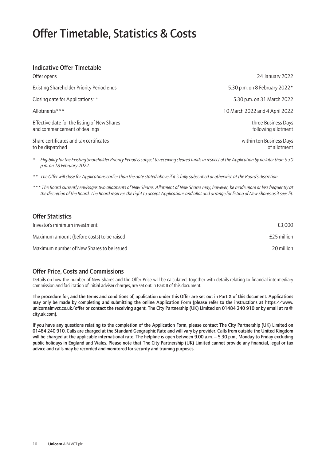### Offer Timetable, Statistics & Costs

### Indicative Offer Timetable

| Offer opens                                                                  | 24 January 2022                            |
|------------------------------------------------------------------------------|--------------------------------------------|
| Existing Shareholder Priority Period ends                                    | 5.30 p.m. on 8 February 2022*              |
| Closing date for Applications**                                              | 5.30 p.m. on 31 March 2022                 |
| Allotments***                                                                | 10 March 2022 and 4 April 2022             |
| Effective date for the listing of New Shares<br>and commencement of dealings | three Business Days<br>following allotment |
| Share certificates and tax certificates<br>to be dispatched                  | within ten Business Days<br>of allotment   |

*\* Eligibility for the Existing Shareholder Priority Period is subject to receiving cleared funds in respect of the Application by no later than 5.30 p.m. on 18 February 2022.*

*\*\* The Offer will close for Applications earlier than the date stated above if it is fully subscribed or otherwise at the Board's discretion.*

*\*\*\* The Board currently envisages two allotments of New Shares. Allotment of New Shares may, however, be made more or less frequently at the discretion of the Board. The Board reserves the right to accept Applications and allot and arrange for listing of New Shares as it sees fit.*

| <b>Offer Statistics</b>                    |             |
|--------------------------------------------|-------------|
| Investor's minimum investment              | £3.000      |
| Maximum amount (before costs) to be raised | £25 million |
| Maximum number of New Shares to be issued  | 20 million  |

### Offer Price, Costs and Commissions

Details on how the number of New Shares and the Offer Price will be calculated, together with details relating to financial intermediary commission and facilitation of initial adviser charges, are set out in Part II of this document.

The procedure for, and the terms and conditions of, application under this Offer are set out in Part X of this document. Applications may only be made by completing and submitting the online Application Form (please refer to the instructions at https://www. unicornaimvct.co.uk/offer or contact the receiving agent, The City Partnership (UK) Limited on 01484 240 910 or by email at ra@ city.uk.com).

If you have any questions relating to the completion of the Application Form, please contact The City Partnership (UK) Limited on 01484 240 910. Calls are charged at the Standard Geographic Rate and will vary by provider. Calls from outside the United Kingdom will be charged at the applicable international rate. The helpline is open between 9.00 a.m. – 5.30 p.m., Monday to Friday excluding public holidays in England and Wales. Please note that The City Partnership (UK) Limited cannot provide any financial, legal or tax advice and calls may be recorded and monitored for security and training purposes.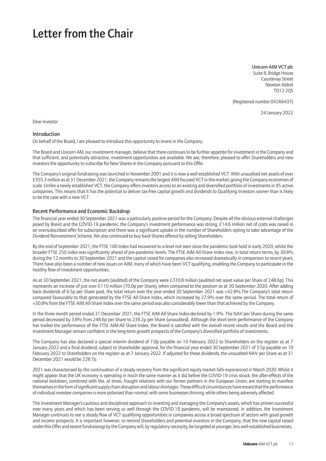### Letter from the Chair

Unicorn AIM VCT plc Suite 8, Bridge House Courtenay Street Newton Abbot TQ12 2QS

(Registered number 04266437)

24 January 2022

Dear Investor

#### Introduction

On behalf of the Board, I am pleased to introduce this opportunity to invest in the Company.

The Board and Unicorn AM, our investment manager, believe that there continues to be further appetite for investment in the Company and that sufficient, and potentially attractive, investment opportunities are available. We are, therefore, pleased to offer Shareholders and new investors the opportunity to subscribe for New Shares in the Company pursuant to this Offer.

The Company's original fundraising was launched in November 2001 and it is now a well-established VCT. With unaudited net assets of over £355.3 million as at 31 December 2021, the Company remains the largest AIM-focused VCT in the market, giving the Company economies of scale. Unlike a newly established VCT, the Company offers investors access to an existing and diversified portfolio of investments in 95 active companies. This means that it has the potential to deliver tax-free capital growth and dividends to Qualifying Investors sooner than is likely to be the case with a new VCT.

#### Recent Performance and Economic Backdrop

The financial year ended 30 September 2021 was a particularly positive period for the Company. Despite all the obvious external challenges posed by Brexit and the COVID-19 pandemic, the Company's investment performance was strong, £14.6 million net of costs was raised in an oversubscribed offer for subscription and there was a significant uptake in the number of Shareholders opting to take advantage of the Dividend Reinvestment Scheme. We also continued to buy back Shares offered by selling Shareholders.

By the end of September 2021, the FTSE 100 Index had recovered to a level not seen since the pandemic took hold in early 2020, whilst the broader FTSE 250 index was significantly ahead of pre-pandemic levels. The FTSE AIM All-Share Index rose, in total return terms, by 30.8% during the 12 months to 30 September 2021 and the capital raised for companies also increased dramatically in comparison to recent years. There have also been a number of new issues on AIM, many of which have been VCT qualifying, enabling the Company to participate in the healthy flow of investment opportunities.

As at 30 September 2021, the net assets (audited) of the Company were £370.8 million (audited net asset value per Share of 248.6p). This represents an increase of just over £110 million (70.0p per Share), when compared to the position as at 30 September 2020. After adding back dividends of 6.5p per Share paid, the total return over the year ended 30 September 2021 was +42.8%.The Company's total return compared favourably to that generated by the FTSE All-Share Index, which increased by 27.9% over the same period. The total return of +30.8% from the FTSE AIM All-Share Index over the same period was also considerably lower than that achieved by the Company.

In the three month period ended 31 December 2021, the FTSE AIM All-Share Index declined by 1.9%. The NAV per Share during the same period decreased by 3.8% from 248.6p per Share to 239.2p per Share (unaudited). Although the short-term performance of the Company has trailed the performance of the FTSE AIM-All Share Index, the Board is satisfied with the overall recent results and the Board and the Investment Manager remain confident in the long-term growth prospects of the Company's diversified portfolio of investments.

The Company has also declared a special interim dividend of 7.0p payable on 10 February 2022 to Shareholders on the register as at 7 January 2022 and a final dividend, subject to Shareholder approval, for the financial year ended 30 September 2021 of 3.5p payable on 10 February 2022 to Shareholders on the register as at 7 January 2022. If adjusted for these dividends, the unaudited NAV per Share as at 31 December 2021 would be 228.7p.

2021 was characterised by the continuation of a steady recovery from the significant equity market falls experienced in March 2020. Whilst it might appear that the UK economy is operating in much the same manner as it did before the COVID-19 crisis struck, the after-effects of the national lockdown, combined with the, at times, fraught relations with our former partners in the European Union, are starting to manifest themselves in the form of significant supply chain disruption and labour shortages. These difficult circumstances have meant that the performance of individual investee companies is more polarised than normal, with some businesses thriving, while others being adversely affected.

The Investment Manager's cautious and disciplined approach to investing and managing the Company's assets, which has proven successful over many years and which has been serving us well through the COVID-19 pandemic, will be maintained. In addition, the Investment Manager continues to see a steady flow of VCT qualifying opportunities in companies across a broad spectrum of sectors with good growth and income prospects. It is important however, to remind Shareholders and potential investors in the Company, that the new capital raised under this Offer and recent fundraisings by the Company will, by regulatory necessity, be targeted at younger, less well-established businesses.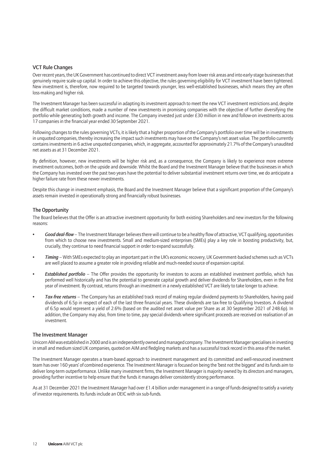#### VCT Rule Changes

Over recent years, the UK Government has continued to direct VCT investment away from lower risk areas and into early-stage businesses that genuinely require scale-up capital. In order to achieve this objective, the rules governing eligibility for VCT investment have been tightened. New investment is, therefore, now required to be targeted towards younger, less well-established businesses, which means they are often loss-making and higher risk.

The Investment Manager has been successful in adapting its investment approach to meet the new VCT investment restrictions and, despite the difficult market conditions, made a number of new investments in promising companies with the objective of further diversifying the portfolio while generating both growth and income. The Company invested just under £30 million in new and follow-on investments across 17 companies in the financial year ended 30 September 2021.

Following changes to the rules governing VCTs, it is likely that a higher proportion of the Company's portfolio over time will be in investments in unquoted companies, thereby increasing the impact such investments may have on the Company's net asset value. The portfolio currently contains investments in 6 active unquoted companies, which, in aggregate, accounted for approximately 21.7% of the Company's unaudited net assets as at 31 December 2021.

By definition, however, new investments will be higher risk and, as a consequence, the Company is likely to experience more extreme investment outcomes, both on the upside and downside. Whilst the Board and the Investment Manager believe that the businesses in which the Company has invested over the past two years have the potential to deliver substantial investment returns over time, we do anticipate a higher failure rate from these newer investments.

Despite this change in investment emphasis, the Board and the Investment Manager believe that a significant proportion of the Company's assets remain invested in operationally strong and financially robust businesses.

#### The Opportunity

The Board believes that the Offer is an attractive investment opportunity for both existing Shareholders and new investors for the following reasons:

- *Good deal-flow* The Investment Manager believes there will continue to be a healthy flow of attractive, VCT qualifying, opportunities from which to choose new investments. Small and medium-sized enterprises (SMEs) play a key role in boosting productivity, but, crucially, they continue to need financial support in order to expand successfully.
- *Timing* With SMEs expected to play an important part in the UK's economic recovery, UK Government-backed schemes such as VCTs are well placed to assume a greater role in providing reliable and much-needed source of expansion capital.
- *Established portfolio* The Offer provides the opportunity for investors to access an established investment portfolio, which has performed well historically and has the potential to generate capital growth and deliver dividends for Shareholders, even in the first year of investment. By contrast, returns through an investment in a newly established VCT are likely to take longer to achieve.
- *Tax-free returns* The Company has an established track record of making regular dividend payments to Shareholders, having paid dividends of 6.5p in respect of each of the last three financial years. These dividends are tax-free to Qualifying Investors. A dividend of 6.5p would represent a yield of 2.6% (based on the audited net asset value per Share as at 30 September 2021 of 248.6p). In addition, the Company may also, from time to time, pay special dividends where significant proceeds are received on realisation of an investment.

#### The Investment Manager

Unicorn AM was established in 2000 and is an independently owned and managed company. The Investment Manager specialises in investing in small and medium sized UK companies, quoted on AIM and fledgling markets and has a successful track record in this area of the market.

The Investment Manager operates a team-based approach to investment management and its committed and well-resourced investment team has over 160 years' of combined experience. The Investment Manager is focused on being the 'best not the biggest' and its funds aim to deliver long-term outperformance. Unlike many investment firms, the Investment Manager is majority owned by its directors and managers, providing further incentive to help ensure that the funds it manages deliver consistently strong performance.

As at 31 December 2021 the Investment Manager had over £1.4 billion under management in a range of funds designed to satisfy a variety of investor requirements. Its funds include an OEIC with six sub-funds.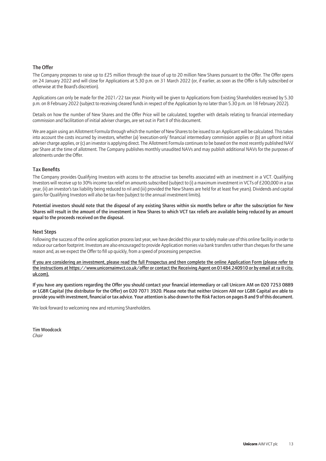#### The Offer

The Company proposes to raise up to £25 million through the issue of up to 20 million New Shares pursuant to the Offer. The Offer opens on 24 January 2022 and will close for Applications at 5.30 p.m. on 31 March 2022 (or, if earlier, as soon as the Offer is fully subscribed or otherwise at the Board's discretion).

Applications can only be made for the 2021/22 tax year. Priority will be given to Applications from Existing Shareholders received by 5.30 p.m. on 8 February 2022 (subject to receiving cleared funds in respect of the Application by no later than 5.30 p.m. on 18 February 2022).

Details on how the number of New Shares and the Offer Price will be calculated, together with details relating to financial intermediary commission and facilitation of initial adviser charges, are set out in Part II of this document.

We are again using an Allotment Formula through which the number of New Shares to be issued to an Applicant will be calculated. This takes into account the costs incurred by investors, whether (a) 'execution-only' financial intermediary commission applies or (b) an upfront initial adviser charge applies, or (c) an investor is applying direct. The Allotment Formula continues to be based on the most recently published NAV per Share at the time of allotment. The Company publishes monthly unaudited NAVs and may publish additional NAVs for the purposes of allotments under the Offer.

#### Tax Benefits

The Company provides Qualifying Investors with access to the attractive tax benefits associated with an investment in a VCT. Qualifying Investors will receive up to 30% income tax relief on amounts subscribed (subject to (i) a maximum investment in VCTs of £200,000 in a tax year, (ii) an investor's tax liability being reduced to nil and (iii) provided the New Shares are held for at least five years). Dividends and capital gains for Qualifying Investors will also be tax-free (subject to the annual investment limits).

Potential investors should note that the disposal of any existing Shares within six months before or after the subscription for New Shares will result in the amount of the investment in New Shares to which VCT tax reliefs are available being reduced by an amount equal to the proceeds received on the disposal.

#### Next Steps

Following the success of the online application process last year, we have decided this year to solely make use of this online facility in order to reduce our carbon footprint. Investors are also encouraged to provide Application monies via bank transfers rather than cheques for the same reason and, as we expect the Offer to fill up quickly, from a speed of processing perspective.

If you are considering an investment, please read the full Prospectus and then complete the online Application Form (please refer to the instructions at https://www.unicornaimvct.co.uk/offer or contact the Receiving Agent on 01484 240910 or by email at ra@city. uk.com).

If you have any questions regarding the Offer you should contact your financial intermediary or call Unicorn AM on 020 7253 0889 or LGBR Capital (the distributor for the Offer) on 020 7071 3920. Please note that neither Unicorn AM nor LGBR Capital are able to provide you with investment, financial or tax advice. Your attention is also drawn to the Risk Factors on pages 8 and 9 of this document.

We look forward to welcoming new and returning Shareholders.

Tim Woodcock *Chair*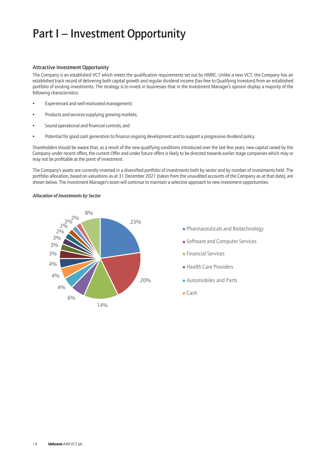### Part I – Investment Opportunity

#### Attractive Investment Opportunity

The Company is an established VCT which meets the qualification requirements set out by HMRC. Unlike a new VCT, the Company has an established track record of delivering both capital growth and regular dividend income (tax-free to Qualifying Investors) from an established portfolio of existing investments. The strategy is to invest in businesses that in the Investment Manager's opinion display a majority of the following characteristics:

- Experienced and well-motivated management;
- Products and services supplying growing markets;
- Sound operational and financial controls; and
- Potential for good cash generation to finance ongoing development and to support a progressive dividend policy.

Shareholders should be aware that, as a result of the new qualifying conditions introduced over the last few years, new capital raised by the Company under recent offers, the current Offer and under future offers is likely to be directed towards earlier stage companies which may or may not be profitable at the point of investment.

The Company's assets are currently invested in a diversified portfolio of investments both by sector and by number of investments held. The portfolio allocation, based on valuations as at 31 December 2021 (taken from the unaudited accounts of the Company as at that date), are shown below. The Investment Manager's team will continue to maintain a selective approach to new investment opportunities.

#### *Allocation of Investments by Sector*

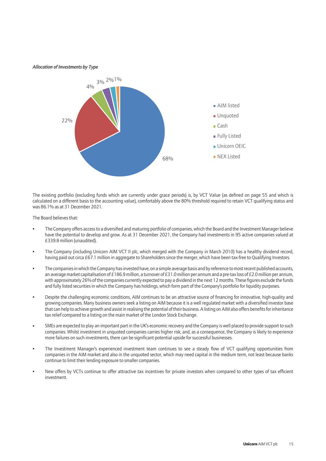#### *Allocation of Investments by Type*



The existing portfolio (excluding funds which are currently under grace periods) is, by VCT Value (as defined on page 55 and which is calculated on a different basis to the accounting value), comfortably above the 80% threshold required to retain VCT qualifying status and was 86.1% as at 31 December 2021.

The Board believes that:

- The Company offers access to a diversified and maturing portfolio of companies, which the Board and the Investment Manager believe have the potential to develop and grow. As at 31 December 2021, the Company had investments in 95 active companies valued at £339.8 million (unaudited).
- The Company (including Unicorn AIM VCT II plc, which merged with the Company in March 2010) has a healthy dividend record, having paid out circa £67.1 million in aggregate to Shareholders since the merger, which have been tax-free to Qualifying Investors.
- The companies in which the Company has invested have, on a simple average basis and by reference to most recent published accounts, an average market capitalisation of £186.9 million, a turnover of £31.0 million per annum and a pre-tax loss of £2.0 million per annum, with approximately 26% of the companies currently expected to pay a dividend in the next 12 months. These figures exclude the funds and fully listed securities in which the Company has holdings, which form part of the Company's portfolio for liquidity purposes.
- Despite the challenging economic conditions, AIM continues to be an attractive source of financing for innovative, high-quality and growing companies. Many business owners seek a listing on AIM because it is a well regulated market with a diversified investor base that can help to achieve growth and assist in realising the potential of their business. A listing on AIM also offers benefits for inheritance tax relief compared to a listing on the main market of the London Stock Exchange.
- SMEs are expected to play an important part in the UK's economic recovery and the Company is well placed to provide support to such companies. Whilst investment in unquoted companies carries higher risk, and, as a consequence, the Company is likely to experience more failures on such investments, there can be significant potential upside for successful businesses.
- The Investment Manager's experienced investment team continues to see a steady flow of VCT qualifying opportunities from companies in the AIM market and also in the unquoted sector, which may need capital in the medium term, not least because banks continue to limit their lending exposure to smaller companies.
- New offers by VCTs continue to offer attractive tax incentives for private investors when compared to other types of tax efficient investment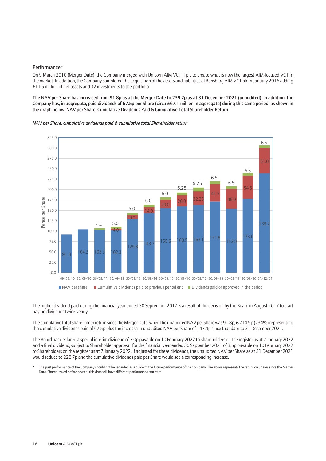#### Performance\*

On 9 March 2010 (Merger Date), the Company merged with Unicorn AIM VCT II plc to create what is now the largest AIM-focused VCT in the market. In addition, the Company completed the acquisition of the assets and liabilities of Rensburg AIM VCT plc in January 2016 adding £11.5 million of net assets and 32 investments to the portfolio.

The NAV per Share has increased from 91.8p as at the Merger Date to 239.2p as at 31 December 2021 (unaudited). In addition, the Company has, in aggregate, paid dividends of 67.5p per Share (circa £67.1 million in aggregate) during this same period, as shown in the graph below. NAV per Share, Cumulative Dividends Paid & Cumulative Total Shareholder Return

*NAV per Share, cumulative dividends paid & cumulative total Shareholder return*



The higher dividend paid during the financial year ended 30 September 2017 is a result of the decision by the Board in August 2017 to start paying dividends twice-yearly.

The cumulative total Shareholder return since the Merger Date, when the unaudited NAV per Share was 91.8p, is 214.9p (234%) representing the cumulative dividends paid of 67.5p plus the increase in unaudited NAV per Share of 147.4p since that date to 31 December 2021.

The Board has declared a special interim dividend of 7.0p payable on 10 February 2022 to Shareholders on the register as at 7 January 2022 and a final dividend, subject to Shareholder approval, for the financial year ended 30 September 2021 of 3.5p payable on 10 February 2022 to Shareholders on the register as at 7 January 2022. If adjusted for these dividends, the unaudited NAV per Share as at 31 December 2021 would reduce to 228.7p and the cumulative dividends paid per Share would see a corresponding increase.

The past performance of the Company should not be regarded as a guide to the future performance of the Company. The above represents the return on Shares since the Merger Date. Shares issued before or after this date will have different performance statistics.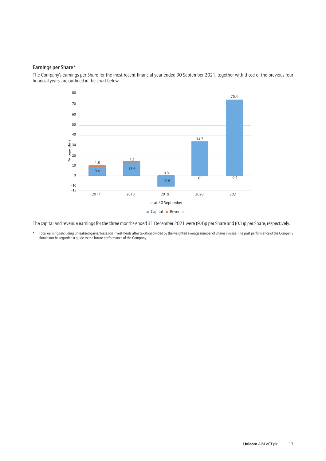#### Earnings per Share\*

The Company's earnings per Share for the most recent financial year ended 30 September 2021, together with those of the previous four financial years, are outlined in the chart below:



The capital and revenue earnings for the three months ended 31 December 2021 were (9.4)p per Share and (0.1)p per Share, respectively.

Total earnings including unrealised gains/losses on investments after taxation divided by the weighted average number of Shares in issue. The past performance of the Company should not be regarded a guide to the future performance of the Company.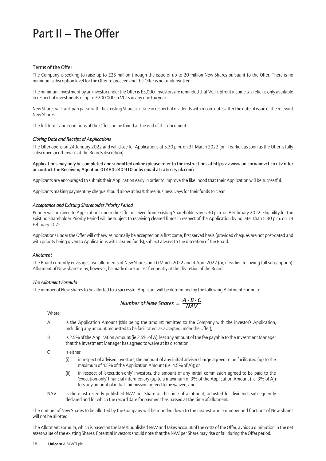### Part II – The Offer

#### Terms of the Offer

The Company is seeking to raise up to £25 million through the issue of up to 20 million New Shares pursuant to the Offer. There is no minimum subscription level for the Offer to proceed and the Offer is not underwritten.

The minimum investment by an investor under the Offer is £3,000. Investors are reminded that VCT upfront income tax relief is only available in respect of investments of up to £200,000 in VCTs in any one tax year.

New Shares will rank pari passu with the existing Shares in issue in respect of dividends with record dates after the date of issue of the relevant New Shares.

The full terms and conditions of the Offer can be found at the end of this document.

#### *Closing Date and Receipt of Applications*

The Offer opens on 24 January 2022 and will close for Applications at 5.30 p.m. on 31 March 2022 (or, if earlier, as soon as the Offer is fully subscribed or otherwise at the Board's discretion).

#### Applications may only be completed and submitted online (please refer to the instructions at https://www.unicornaimvct.co.uk/offer or contact the Receiving Agent on 01484 240 910 or by email at ra@city.uk.com).

Applicants are encouraged to submit their Application early in order to improve the likelihood that their Application will be successful.

Applicants making payment by cheque should allow at least three Business Days for their funds to clear.

#### *Acceptance and Existing Shareholder Priority Period*

Priority will be given to Applications under the Offer received from Existing Shareholders by 5.30 p.m. on 8 February 2022. Eligibility for the Existing Shareholder Priority Period will be subject to receiving cleared funds in respect of the Application by no later than 5.30 p.m. on 18 February 2022.

Applications under the Offer will otherwise normally be accepted on a first come, first served basis (provided cheques are not post-dated and with priority being given to Applications with cleared funds), subject always to the discretion of the Board.

#### *Allotment*

The Board currently envisages two allotments of New Shares on 10 March 2022 and 4 April 2022 (or, if earlier, following full subscription). Allotment of New Shares may, however, be made more or less frequently at the discretion of the Board.

#### *The Allotment Formula*

The number of New Shares to be allotted to a successful Applicant will be determined by the following Allotment Formula:

Number of New Shares = 
$$
\frac{A \cdot B \cdot C}{NAV}
$$

Where:

- A is the Application Amount (this being the amount remitted to the Company with the investor's Application, including any amount requested to be facilitated, as accepted under the Offer);
- B is 2.5% of the Application Amount (ie 2.5% of A), less any amount of the fee payable to the Investment Manager that the Investment Manager has agreed to waive at its discretion;
- C is either:
	- (i) in respect of advised investors, the amount of any initial adviser charge agreed to be facilitated (up to the maximum of 4.5% of the Application Amount (i.e. 4.5% of A)); or
	- (ii) in respect of 'execution-only' investors, the amount of any initial commission agreed to be paid to the 'execution-only' financial intermediary (up to a maximum of 3% of the Application Amount (i.e. 3% of A)) less any amount of initial commission agreed to be waived; and
- NAV is the most recently published NAV per Share at the time of allotment, adjusted for dividends subsequently declared and for which the record date for payment has passed at the time of allotment.

The number of New Shares to be allotted by the Company will be rounded down to the nearest whole number and fractions of New Shares will not be allotted.

The Allotment Formula, which is based on the latest published NAV and takes account of the costs of the Offer, avoids a diminution in the net asset value of the existing Shares. Potential investors should note that the NAV per Share may rise or fall during the Offer period.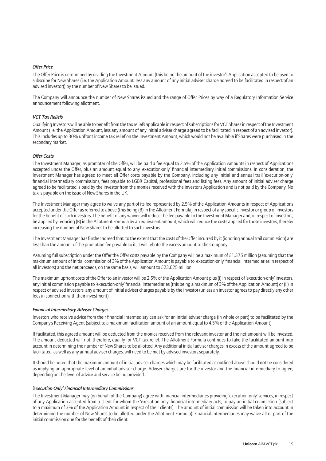#### *Offer Price*

The Offer Price is determined by dividing the Investment Amount (this being the amount of the investor's Application accepted to be used to subscribe for New Shares (i.e. the Application Amount, less any amount of any initial adviser charge agreed to be facilitated in respect of an advised investor)) by the number of New Shares to be issued.

The Company will announce the number of New Shares issued and the range of Offer Prices by way of a Regulatory Information Service announcement following allotment.

#### *VCT Tax Reliefs*

Qualifying Investors will be able to benefit from the tax reliefs applicable in respect of subscriptions for VCT Shares in respect of the Investment Amount (i.e. the Application Amount, less any amount of any initial adviser charge agreed to be facilitated in respect of an advised investor). This includes up to 30% upfront income tax relief on the Investment Amount, which would not be available if Shares were purchased in the secondary market.

#### *Offer Costs*

The Investment Manager, as promoter of the Offer, will be paid a fee equal to 2.5% of the Application Amounts in respect of Applications accepted under the Offer, plus an amount equal to any 'execution-only' financial intermediary initial commissions. In consideration, the Investment Manager has agreed to meet all Offer costs payable by the Company, including any initial and annual trail 'execution-only' financial intermediary commissions, fees payable to LGBR Capital, professional fees and listing fees. Any amount of initial adviser charge agreed to be facilitated is paid by the investor from the monies received with the investor's Application and is not paid by the Company. No tax is payable on the issue of New Shares in the UK.

The Investment Manager may agree to waive any part of its fee represented by 2.5% of the Application Amounts in respect of Applications accepted under the Offer as referred to above (this being (B) in the Allotment Formula) in respect of any specific investor or group of investors for the benefit of such investors. The benefit of any waiver will reduce the fee payable to the Investment Manager and, in respect of investors, be applied by reducing (B) in the Allotment Formula by an equivalent amount, which will reduce the costs applied for those investors, thereby increasing the number of New Shares to be allotted to such investors.

The Investment Manager has further agreed that, to the extent that the costs of the Offer incurred by it (ignoring annual trail commission) are less than the amount of the promotion fee payable to it, it will rebate the excess amount to the Company.

Assuming full subscription under the Offer the Offer costs payable by the Company will be a maximum of £1.375 million (assuming that the maximum amount of initial commission of 3% of the Application Amount is payable to 'execution-only' financial intermediaries in respect of all investors) and the net proceeds, on the same basis, will amount to £23.625 million.

The maximum upfront costs of the Offer to an investor will be 2.5% of the Application Amount plus (i) in respect of 'execution-only' investors, any initial commission payable to 'execution-only' financial intermediaries (this being a maximum of 3% of the Application Amount) or (ii) in respect of advised investors, any amount of initial adviser charges payable by the investor (unless an investor agrees to pay directly any other fees in connection with their investment).

#### *Financial Intermediary Adviser Charges*

Investors who receive advice from their financial intermediary can ask for an initial adviser charge (in whole or part) to be facilitated by the Company's Receiving Agent (subject to a maximum facilitation amount of an amount equal to 4.5% of the Application Amount).

If facilitated, this agreed amount will be deducted from the monies received from the relevant investor and the net amount will be invested. The amount deducted will not, therefore, qualify for VCT tax relief. The Allotment Formula continues to take the facilitated amount into account in determining the number of New Shares to be allotted. Any additional initial adviser charges in excess of the amount agreed to be facilitated, as well as any annual adviser charges, will need to be met by advised investors separately.

It should be noted that the maximum amount of initial adviser charges which may be facilitated as outlined above should not be considered as implying an appropriate level of an initial adviser charge. Adviser charges are for the investor and the financial intermediary to agree, depending on the level of advice and service being provided.

#### *'Execution-Only' Financial Intermediary Commissions*

The Investment Manager may (on behalf of the Company) agree with financial intermediaries providing 'execution-only' services, in respect of any Application accepted from a client for whom the 'execution-only' financial intermediary acts, to pay an initial commission (subject to a maximum of 3% of the Application Amount in respect of their clients). The amount of initial commission will be taken into account in determining the number of New Shares to be allotted under the Allotment Formula). Financial intermediaries may waive all or part of the initial commission due for the benefit of their client.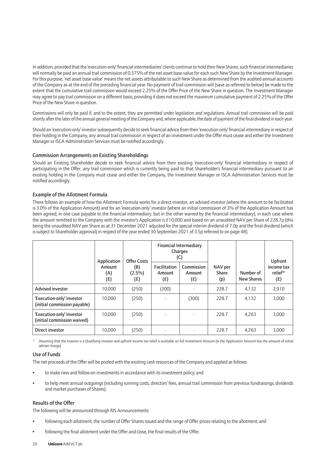In addition, provided that the 'execution-only' financial intermediaries' clients continue to hold their New Shares, such financial intermediaries will normally be paid an annual trail commission of 0.375% of the net asset base value for each such New Share by the Investment Manager. For this purpose, 'net asset base value' means the net assets attributable to such New Share as determined from the audited annual accounts of the Company as at the end of the preceding financial year. No payment of trail commission will (save as referred to below) be made to the extent that the cumulative trail commission would exceed 2.25% of the Offer Price of the New Share in question. The Investment Manager may agree to pay trail commission on a different basis, providing it does not exceed the maximum cumulative payment of 2.25% of the Offer Price of the New Share in question.

Commissions will only be paid if, and to the extent, they are permitted under legislation and regulations. Annual trail commission will be paid shortly after the later of the annual general meeting of the Company and, where applicable, the date of payment of the final dividend in each year.

Should an 'execution-only' investor subsequently decide to seek financial advice from their 'execution-only' financial intermediary in respect of their holding in the Company, any annual trail commission in respect of an investment under the Offer must cease and either the Investment Manager or ISCA Administration Services must be notified accordingly.

#### Commission Arrangements on Existing Shareholdings

Should an Existing Shareholder decide to seek financial advice from their existing 'execution-only' financial intermediary in respect of participating in the Offer, any trail commission which is currently being paid to that Shareholder's financial intermediary pursuant to an existing holding in the Company must cease and either the Company, the Investment Manager or ISCA Administration Services must be notified accordingly.

#### Example of the Allotment Formula

There follows an example of how the Allotment Formula works for a direct investor, an advised investor (where the amount to be facilitated is 3.0% of the Application Amount) and for an 'execution-only' investor (where an initial commission of 3% of the Application Amount has been agreed, in one case payable to the financial intermediary, but in the other waived by the financial intermediary), in each case where the amount remitted to the Company with the investor's Application is £10,000 and based on an unaudited NAV per Share of 228.7p (this being the unaudited NAV per Share as at 31 December 2021 adjusted for the special interim dividend of 7.0p and the final dividend (which is subject to Shareholder approval) in respect of the year ended 30 September 2021 of 3.5p referred to on page 48).

|                                                           | Application          | <b>Offer Costs</b>      | <b>Financial Intermediary</b><br>Charges<br>(C) |                             |                         |                                | Upfront                      |
|-----------------------------------------------------------|----------------------|-------------------------|-------------------------------------------------|-----------------------------|-------------------------|--------------------------------|------------------------------|
|                                                           | Amount<br>(A)<br>(E) | (B)<br>$(2.5\%)$<br>(£) | Facilitation<br>Amount<br>(E)                   | Commission<br>Amount<br>(£) | NAV per<br>Share<br>(p) | Number of<br><b>New Shares</b> | income tax<br>relief*<br>(E) |
| <b>Advised investor</b>                                   | 10.000               | (250)                   | (300)                                           |                             | 228.7                   | 4,132                          | 2.910                        |
| 'Execution-only' investor<br>(initial commission payable) | 10.000               | (250)                   |                                                 | (300)                       | 228.7                   | 4,132                          | 3,000                        |
| 'Execution-only' investor<br>(initial commission waived)  | 10.000               | (250)                   |                                                 |                             | 228.7                   | 4,263                          | 3,000                        |
| Direct investor                                           | 10.000               | (250)                   |                                                 |                             | 228.7                   | 4,263                          | 3,000                        |

Assuming that the investor is a Qualifying Investor and upfront income tax relief is available on full Investment Amount (ie the Application Amount less the amount of initial adviser charge).

#### Use of Funds

The net proceeds of the Offer will be pooled with the existing cash resources of the Company and applied as follows:

- to make new and follow-on investments in accordance with its investment policy; and
- to help meet annual outgoings (including running costs, directors' fees, annual trail commission from previous fundraisings, dividends and market purchases of Shares).

#### Results of the Offer

The following will be announced through RIS Announcements:

- following each allotment, the number of Offer Shares issued and the range of Offer prices relating to the allotment; and
- following the final allotment under the Offer and close, the final results of the Offer.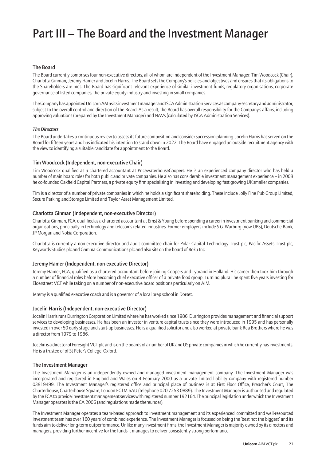### Part III – The Board and the Investment Manager

#### The Board

The Board currently comprises four non-executive directors, all of whom are independent of the Investment Manager: Tim Woodcock (Chair), Charlotta Ginman, Jeremy Hamer and Jocelin Harris. The Board sets the Company's policies and objectives and ensures that its obligations to the Shareholders are met. The Board has significant relevant experience of similar investment funds, regulatory organisations, corporate governance of listed companies, the private equity industry and investing in small companies.

The Company has appointed Unicorn AM as its investment manager and ISCA Administration Services as company secretary and administrator, subject to the overall control and direction of the Board. As a result, the Board has overall responsibility for the Company's affairs, including approving valuations (prepared by the Investment Manager) and NAVs (calculated by ISCA Administration Services).

#### *The Directors*

The Board undertakes a continuous review to assess its future composition and consider succession planning. Jocelin Harris has served on the Board for fifteen years and has indicated his intention to stand down in 2022. The Board have engaged an outside recruitment agency with the view to identifying a suitable candidate for appointment to the Board.

#### Tim Woodcock (Independent, non-executive Chair)

Tim Woodcock qualified as a chartered accountant at PricewaterhouseCoopers. He is an experienced company director who has held a number of main board roles for both public and private companies. He also has considerable investment management experience – in 2008 he co-founded Oakfield Capital Partners, a private equity firm specialising in investing and developing fast growing UK smaller companies.

Tim is a director of a number of private companies in which he holds a significant shareholding. These include Jolly Fine Pub Group Limited, Secure Parking and Storage Limited and Taylor Asset Management Limited.

#### Charlotta Ginman (Independent, non-executive Director)

Charlotta Ginman, FCA, qualified as a chartered accountant at Ernst & Young before spending a career in investment banking and commercial organisations, principally in technology and telecoms related industries. Former employers include S.G. Warburg (now UBS), Deutsche Bank, JP Morgan and Nokia Corporation.

Charlotta is currently a non-executive director and audit committee chair for Polar Capital Technology Trust plc, Pacific Assets Trust plc, Keywords Studios plc and Gamma Communications plc and also sits on the board of Boku Inc.

#### Jeremy Hamer (Independent, non-executive Director)

Jeremy Hamer, FCA, qualified as a chartered accountant before joining Coopers and Lybrand in Holland. His career then took him through a number of financial roles before becoming chief executive officer of a private food group. Turning plural, he spent five years investing for Elderstreet VCT while taking on a number of non-executive board positions particularly on AIM.

Jeremy is a qualified executive coach and is a governor of a local prep school in Dorset.

#### Jocelin Harris (Independent, non-executive Director)

Jocelin Harris runs Durrington Corporation Limited where he has worked since 1986. Durrington provides management and financial support services to developing businesses. He has been an investor in venture capital trusts since they were introduced in 1995 and has personally invested in over 50 early stage and start-up businesses. He is a qualified solicitor and also worked at private bank Rea Brothers where he was a director from 1979 to 1986.

Jocelin is a director of Foresight VCT plc and is on the boards of a number of UK and US private companies in which he currently has investments. He is a trustee of of St Peter's College, Oxford.

#### The Investment Manager

The Investment Manager is an independently owned and managed investment management company. The Investment Manager was incorporated and registered in England and Wales on 4 February 2000 as a private limited liability company with registered number 03919499. The Investment Manager's registered office and principal place of business is at First Floor Office, Preacher's Court, The Charterhouse, Charterhouse Square, London EC1M 6AU (telephone 020 7253 0889). The Investment Manager is authorised and regulated by the FCA to provide investment management services with registered number 192164. The principal legislation under which the Investment Manager operates is the CA 2006 (and regulations made thereunder).

The Investment Manager operates a team-based approach to investment management and its experienced, committed and well-resourced investment team has over 160 years' of combined experience. The Investment Manager is focused on being the 'best not the biggest' and its funds aim to deliver long-term outperformance. Unlike many investment firms, the Investment Manager is majority owned by its directors and managers, providing further incentive for the funds it manages to deliver consistently strong performance.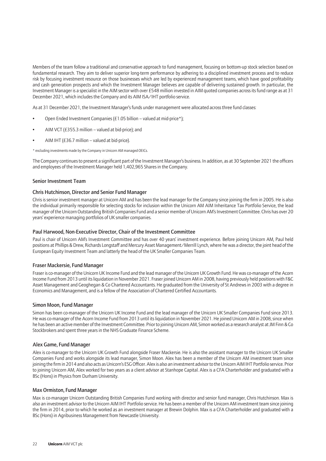Members of the team follow a traditional and conservative approach to fund management, focusing on bottom-up stock selection based on fundamental research. They aim to deliver superior long-term performance by adhering to a disciplined investment process and to reduce risk by focusing investment resource on those businesses which are led by experienced management teams, which have good profitability and cash generation prospects and which the Investment Manager believes are capable of delivering sustained growth. In particular, the Investment Manager is a specialist in the AIM sector with over £548 million invested in AIM quoted companies across its fund range as at 31 December 2021, which includes the Company and its AIM ISA/IHT portfolio service.

As at 31 December 2021, the Investment Manager's funds under management were allocated across three fund classes:

- Open Ended Investment Companies (£1.05 billion valued at mid-price\*);
- AIM VCT (£355.3 million valued at bid-price); and
- AIM IHT (£36.7 million valued at bid-price).

\* excluding investments made by the Company in Unicorn AM managed OEICs.

The Company continues to present a significant part of the Investment Manager's business. In addition, as at 30 September 2021 the officers and employees of the Investment Manager held 1,402,965 Shares in the Company.

#### Senior Investment Team

#### Chris Hutchinson, Director and Senior Fund Manager

Chris is senior investment manager at Unicorn AM and has been the lead manager for the Company since joining the firm in 2005. He is also the individual primarily responsible for selecting stocks for inclusion within the Unicorn AM AIM Inheritance Tax Portfolio Service, the lead manager of the Unicorn Outstanding British Companies Fund and a senior member of Unicorn AM's Investment Committee. Chris has over 20 years' experience managing portfolios of UK smaller companies.

#### Paul Harwood, Non-Executive Director, Chair of the Investment Committee

Paul is chair of Unicorn AM's Investment Committee and has over 40 years' investment experience. Before joining Unicorn AM, Paul held positions at Phillips & Drew, Richards Longstaff and Mercury Asset Management/Merrill Lynch, where he was a director, the joint head of the European Equity Investment Team and latterly the head of the UK Smaller Companies Team.

#### Fraser Mackersie, Fund Manager

Fraser is co-manager of the Unicorn UK Income Fund and the lead manager of the Unicorn UK Growth Fund. He was co-manager of the Acorn Income Fund from 2013 until its liquidation in November 2021. Fraser joined Unicorn AM in 2008, having previously held positions with F&C Asset Management and Geoghegan & Co Chartered Accountants. He graduated from the University of St Andrews in 2003 with a degree in Economics and Management, and is a fellow of the Association of Chartered Certified Accountants.

#### Simon Moon, Fund Manager

Simon has been co-manager of the Unicorn UK Income Fund and the lead manager of the Unicorn UK Smaller Companies Fund since 2013. He was co-manager of the Acorn Income Fund from 2013 until its liquidation in November 2021. He joined Unicorn AM in 2008, since when he has been an active member of the Investment Committee. Prior to joining Unicorn AM, Simon worked as a research analyst at JM Finn & Co Stockbrokers and spent three years in the NHS Graduate Finance Scheme.

#### Alex Game, Fund Manager

Alex is co-manager to the Unicorn UK Growth Fund alongside Fraser Mackersie. He is also the assistant manager to the Unicorn UK Smaller Companies Fund and works alongside its lead manager, Simon Moon. Alex has been a member of the Unicorn AM investment team since joining the firm in 2014 and also acts as Unicorn's ESG Officer. Alex is also an investment advisor to the Unicorn AIM IHT Portfolio service. Prior to joining Unicorn AM, Alex worked for two years as a client advisor at Stanhope Capital. Alex is a CFA Charterholder and graduated with a BSc (Hons) in Physics from Durham University.

#### Max Ormiston, Fund Manager

Max is co-manager Unicorn Outstanding British Companies Fund working with director and senior fund manager, Chris Hutchinson. Max is also an investment advisor to the Unicorn AIM IHT Portfolio service. He has been a member of the Unicorn AM investment team since joining the firm in 2014, prior to which he worked as an investment manager at Brewin Dolphin. Max is a CFA Charterholder and graduated with a BSc (Hons) in Agribusiness Management from Newcastle University.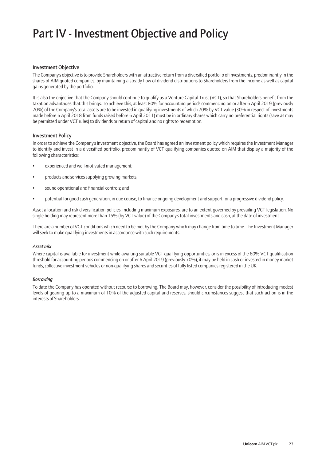## Part IV - Investment Objective and Policy

#### Investment Objective

The Company's objective is to provide Shareholders with an attractive return from a diversified portfolio of investments, predominantly in the shares of AIM quoted companies, by maintaining a steady flow of dividend distributions to Shareholders from the income as well as capital gains generated by the portfolio.

It is also the objective that the Company should continue to qualify as a Venture Capital Trust (VCT), so that Shareholders benefit from the taxation advantages that this brings. To achieve this, at least 80% for accounting periods commencing on or after 6 April 2019 (previously 70%) of the Company's total assets are to be invested in qualifying investments of which 70% by VCT value (30% in respect of investments made before 6 April 2018 from funds raised before 6 April 2011) must be in ordinary shares which carry no preferential rights (save as may be permitted under VCT rules) to dividends or return of capital and no rights to redemption.

#### Investment Policy

In order to achieve the Company's investment objective, the Board has agreed an investment policy which requires the Investment Manager to identify and invest in a diversified portfolio, predominantly of VCT qualifying companies quoted on AIM that display a majority of the following characteristics:

- experienced and well-motivated management;
- products and services supplying growing markets;
- sound operational and financial controls; and
- potential for good cash generation, in due course, to finance ongoing development and support for a progressive dividend policy.

Asset allocation and risk diversification policies, including maximum exposures, are to an extent governed by prevailing VCT legislation. No single holding may represent more than 15% (by VCT value) of the Company's total investments and cash, at the date of investment.

There are a number of VCT conditions which need to be met by the Company which may change from time to time. The Investment Manager will seek to make qualifying investments in accordance with such requirements.

#### *Asset mix*

Where capital is available for investment while awaiting suitable VCT qualifying opportunities, or is in excess of the 80% VCT qualification threshold for accounting periods commencing on or after 6 April 2019 (previously 70%), it may be held in cash or invested in money market funds, collective investment vehicles or non-qualifying shares and securities of fully listed companies registered in the UK.

#### *Borrowing*

To date the Company has operated without recourse to borrowing. The Board may, however, consider the possibility of introducing modest levels of gearing up to a maximum of 10% of the adjusted capital and reserves, should circumstances suggest that such action is in the interests of Shareholders.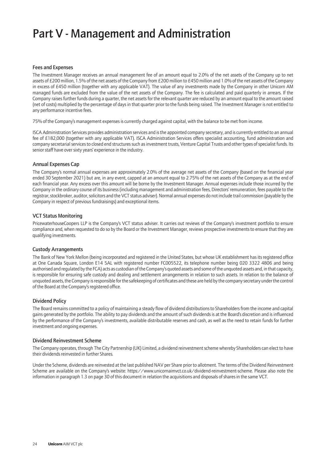### Part V - Management and Administration

#### Fees and Expenses

The Investment Manager receives an annual management fee of an amount equal to 2.0% of the net assets of the Company up to net assets of £200 million, 1.5% of the net assets of the Company from £200 million to £450 million and 1.0% of the net assets of the Company in excess of £450 million (together with any applicable VAT). The value of any investments made by the Company in other Unicorn AM managed funds are excluded from the value of the net assets of the Company. The fee is calculated and paid quarterly in arrears. If the Company raises further funds during a quarter, the net assets for the relevant quarter are reduced by an amount equal to the amount raised (net of costs) multiplied by the percentage of days in that quarter prior to the funds being raised. The Investment Manager is not entitled to any performance incentive fees.

75% of the Company's management expenses is currently charged against capital, with the balance to be met from income.

ISCA Administration Services provides administration services and is the appointed company secretary, and is currently entitled to an annual fee of £182,000 (together with any applicable VAT). ISCA Administration Services offers specialist accounting, fund administration and company secretarial services to closed end structures such as investment trusts, Venture Capital Trusts and other types of specialist funds. Its senior staff have over sixty years' experience in the industry.

#### Annual Expenses Cap

The Company's normal annual expenses are approximately 2.0% of the average net assets of the Company (based on the financial year ended 30 September 2021) but are, in any event, capped at an amount equal to 2.75% of the net assets of the Company as at the end of each financial year. Any excess over this amount will be borne by the Investment Manager. Annual expenses include those incurred by the Company in the ordinary course of its business (including management and administration fees, Directors' remuneration, fees payable to the registrar, stockbroker, auditor, solicitors and the VCT status adviser). Normal annual expenses do not include trail commission (payable by the Company in respect of previous fundraisings) and exceptional items.

#### VCT Status Monitoring

PricewaterhouseCoopers LLP is the Company's VCT status adviser. It carries out reviews of the Company's investment portfolio to ensure compliance and, when requested to do so by the Board or the Investment Manager, reviews prospective investments to ensure that they are qualifying investments.

#### Custody Arrangements

The Bank of New York Mellon (being incorporated and registered in the United States, but whose UK establishment has its registered office at One Canada Square, London E14 5AL with registered number FC005522, its telephone number being 020 3322 4806 and being authorised and regulated by the FCA) acts as custodian of the Company's quoted assets and some of the unquoted assets and, in that capacity, is responsible for ensuring safe custody and dealing and settlement arrangements in relation to such assets. In relation to the balance of unquoted assets, the Company is responsible for the safekeeping of certificates and these are held by the company secretary under the control of the Board at the Company's registered office.

#### Dividend Policy

The Board remains committed to a policy of maintaining a steady flow of dividend distributions to Shareholders from the income and capital gains generated by the portfolio. The ability to pay dividends and the amount of such dividends is at the Board's discretion and is influenced by the performance of the Company's investments, available distributable reserves and cash, as well as the need to retain funds for further investment and ongoing expenses.

#### Dividend Reinvestment Scheme

The Company operates, through The City Partnership (UK) Limited, a dividend reinvestment scheme whereby Shareholders can elect to have their dividends reinvested in further Shares.

Under the Scheme, dividends are reinvested at the last published NAV per Share prior to allotment. The terms of the Dividend Reinvestment Scheme are available on the Company's website: https://www.unicornaimvct.co.uk/dividend-reinvestment-scheme. Please also note the information in paragraph 1.3 on page 30 of this document in relation the acquisitions and disposals of shares in the same VCT.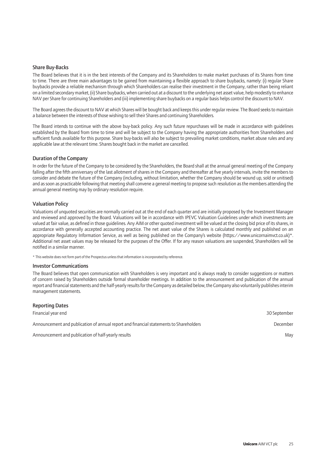#### Share Buy-Backs

The Board believes that it is in the best interests of the Company and its Shareholders to make market purchases of its Shares from time to time. There are three main advantages to be gained from maintaining a flexible approach to share buybacks, namely: (i) regular Share buybacks provide a reliable mechanism through which Shareholders can realise their investment in the Company, rather than being reliant on a limited secondary market, (ii) Share buybacks, when carried out at a discount to the underlying net asset value, help modestly to enhance NAV per Share for continuing Shareholders and (iii) implementing share buybacks on a regular basis helps control the discount to NAV.

The Board agrees the discount to NAV at which Shares will be bought back and keeps this under regular review. The Board seeks to maintain a balance between the interests of those wishing to sell their Shares and continuing Shareholders.

The Board intends to continue with the above buy-back policy. Any such future repurchases will be made in accordance with guidelines established by the Board from time to time and will be subject to the Company having the appropriate authorities from Shareholders and sufficient funds available for this purpose. Share buy-backs will also be subject to prevailing market conditions, market abuse rules and any applicable law at the relevant time. Shares bought back in the market are cancelled.

#### Duration of the Company

In order for the future of the Company to be considered by the Shareholders, the Board shall at the annual general meeting of the Company falling after the fifth anniversary of the last allotment of shares in the Company and thereafter at five yearly intervals, invite the members to consider and debate the future of the Company (including, without limitation, whether the Company should be wound up, sold or unitised) and as soon as practicable following that meeting shall convene a general meeting to propose such resolution as the members attending the annual general meeting may by ordinary resolution require.

#### Valuation Policy

Valuations of unquoted securities are normally carried out at the end of each quarter and are initially proposed by the Investment Manager and reviewed and approved by the Board. Valuations will be in accordance with IPEVC Valuation Guidelines under which investments are valued at fair value, as defined in those guidelines. Any AIM or other quoted investment will be valued at the closing bid price of its shares, in accordance with generally accepted accounting practice. The net asset value of the Shares is calculated monthly and published on an appropriate Regulatory Information Service, as well as being published on the Company's website (https://www.unicornaimvct.co.uk)\*. Additional net asset values may be released for the purposes of the Offer. If for any reason valuations are suspended, Shareholders will be notified in a similar manner.

\* This website does not form part of the Prospectus unless that information is incorporated by reference.

#### Investor Communications

The Board believes that open communication with Shareholders is very important and is always ready to consider suggestions or matters of concern raised by Shareholders outside formal shareholder meetings. In addition to the announcement and publication of the annual report and financial statements and the half-yearly results for the Company as detailed below, the Company also voluntarily publishes interim management statements.

| <b>Reporting Dates</b>                                                                 |              |
|----------------------------------------------------------------------------------------|--------------|
| Financial year end                                                                     | 30 September |
| Announcement and publication of annual report and financial statements to Shareholders | December     |
| Announcement and publication of half-yearly results                                    | May          |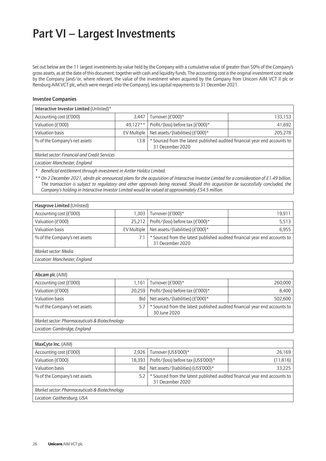### Part VI – Largest Investments

Set out below are the 11 largest investments by value held by the Company with a cumulative value of greater than 50% of the Company's gross assets, as at the date of this document, together with cash and liquidity funds. The accounting cost is the original investment cost made by the Company (and/or, where relevant, the value of the investment when acquired by the Company from Unicorn AIM VCT II plc or Rensburg AIM VCT plc, which were merged into the Company), less capital repayments to 31 December 2021.

#### Investee Companies

| Interactive Investor Limited (Unlisted)*                                                                                                  |             |                                   |         |  |
|-------------------------------------------------------------------------------------------------------------------------------------------|-------------|-----------------------------------|---------|--|
| Accounting cost (£'000)                                                                                                                   | 3.447       | Turnover (£'000)*                 | 133,153 |  |
| Valuation (£'000)                                                                                                                         | $49.127**$  | Profit/(loss) before tax (£'000)* | 41,692  |  |
| Valuation basis                                                                                                                           | EV Multiple | Net assets/(liabilities) (£'000)* | 205,278 |  |
| * Sourced from the latest published audited financial year end accounts to<br>% of the Company's net assets<br>13.8 I<br>31 December 2020 |             |                                   |         |  |
| Market sector: Financial and Credit Services                                                                                              |             |                                   |         |  |
| <i>Location: Manchostor England</i>                                                                                                       |             |                                   |         |  |

*Location: Manchester, England*

*\* Beneficial entitlement through investment in Antler Holdco Limited.*

*\*\* On 2 December 2021, abrdn plc announced plans for the acquisition of Interactive Investor Limited for a consideration of £1.49 billion. The transaction is subject to regulatory and other approvals being received. Should this acquisition be successfully concluded, the Company's holding in Interactive Investor Limited would be valued at approximately £54.5 million.*

| Hasgrove Limited (Unlisted)                                                                                                            |             |                                   |        |
|----------------------------------------------------------------------------------------------------------------------------------------|-------------|-----------------------------------|--------|
| Accounting cost (£'000)                                                                                                                | 1.303       | Turnover (£'000)*                 | 19,911 |
| Valuation (£'000)                                                                                                                      | 25.212      | Profit/(loss) before tax (£'000)* | 5,513  |
| Valuation basis                                                                                                                        | EV Multiple | Net assets/(liabilities) (£'000)* | 6.955  |
| * Sourced from the latest published audited financial year end accounts to<br>% of the Company's net assets<br>7.1<br>31 December 2020 |             |                                   |        |
| Market sector: Media                                                                                                                   |             |                                   |        |
| Location: Manchester, England                                                                                                          |             |                                   |        |

| Abcam plc (AIM)                                |            |                                                                                            |         |  |  |  |
|------------------------------------------------|------------|--------------------------------------------------------------------------------------------|---------|--|--|--|
| Accounting cost (£'000)                        | .161       | Turnover (£'000)*                                                                          | 260,000 |  |  |  |
| Valuation (£'000)                              | 20,259     | Profit/(loss) before tax (£'000)*                                                          | 8,400   |  |  |  |
| Valuation basis                                | <b>Bid</b> | Net assets/(liabilities) (£'000)*                                                          | 502,600 |  |  |  |
| % of the Company's net assets                  | 5.7        | * Sourced from the latest published audited financial year end accounts to<br>30 June 2020 |         |  |  |  |
| Market sector: Pharmaceuticals & Biotechnology |            |                                                                                            |         |  |  |  |
| Location: Cambridge, England                   |            |                                                                                            |         |  |  |  |

| MaxCyte Inc. (AIM)                             |            |                                                                                                   |           |  |  |
|------------------------------------------------|------------|---------------------------------------------------------------------------------------------------|-----------|--|--|
| Accounting cost (£'000)                        | 2.926      | Turnover (US\$'000)*                                                                              | 26,169    |  |  |
| Valuation (£'000)                              | 18.393     | Profit/(loss) before tax (US\$'000)*                                                              | (11, 816) |  |  |
| Valuation basis                                | <b>Bid</b> | Net assets/(liabilities) (US\$'000)*                                                              | 33,225    |  |  |
| % of the Company's net assets                  | 5.2        | Sourced from the latest published audited financial year end accounts to<br>*<br>31 December 2020 |           |  |  |
| Market sector: Pharmaceuticals & Biotechnology |            |                                                                                                   |           |  |  |
| Location: Gaithersburg, USA                    |            |                                                                                                   |           |  |  |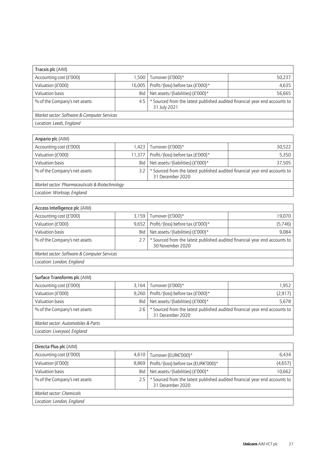| Tracsis plc (AIM)                           |                                                                                                   |                                   |        |
|---------------------------------------------|---------------------------------------------------------------------------------------------------|-----------------------------------|--------|
| Accounting cost (£'000)                     | 1.500                                                                                             | Turnover (£'000)*                 | 50,237 |
| Valuation (£'000)                           | 16.005                                                                                            | Profit/(loss) before tax (£'000)* | 4,635  |
| Valuation basis                             | Bid                                                                                               | Net assets/(liabilities) (£'000)* | 56,665 |
| % of the Company's net assets               | * Sourced from the latest published audited financial year end accounts to<br>4.5<br>31 July 2021 |                                   |        |
| Market sector: Software & Computer Services |                                                                                                   |                                   |        |
| Location: Leeds, England                    |                                                                                                   |                                   |        |

| Anpario plc (AIM)                                                                                                                    |            |                                   |        |
|--------------------------------------------------------------------------------------------------------------------------------------|------------|-----------------------------------|--------|
| Accounting cost (£'000)                                                                                                              | l.423 l    | Turnover (£'000)*                 | 30,522 |
| Valuation (£'000)                                                                                                                    | 11.377     | Profit/(loss) before tax (£'000)* | 5.350  |
| Valuation basis                                                                                                                      | <b>Bid</b> | Net assets/(liabilities) (£'000)* | 37,505 |
| Sourced from the latest published audited financial year end accounts to<br>% of the Company's net assets<br>3.2<br>31 December 2020 |            |                                   |        |
| Market sector: Pharmaceuticals & Biotechnology                                                                                       |            |                                   |        |
| Location: Worksop, England                                                                                                           |            |                                   |        |

*Location: Worksop, England*

| Access Intelligence plc (AIM)               |            |                                                                                              |         |
|---------------------------------------------|------------|----------------------------------------------------------------------------------------------|---------|
| Accounting cost (£'000)                     | 3.159      | Turnover (£'000)*                                                                            | 19,070  |
| Valuation (£'000)                           | 9.652      | Profit/(loss) before tax (£'000)*                                                            | (5,746) |
| Valuation basis                             | <b>Bid</b> | Net assets/(liabilities) (£'000)*                                                            | 9,084   |
| % of the Company's net assets               | 2.7        | Sourced from the latest published audited financial year end accounts to<br>30 November 2020 |         |
| Market sector: Software & Computer Services |            |                                                                                              |         |
| Location: London, England                   |            |                                                                                              |         |

| Surface Transforms plc (AIM)                                                                                                           |       |                                   |          |
|----------------------------------------------------------------------------------------------------------------------------------------|-------|-----------------------------------|----------|
| Accounting cost (£'000)                                                                                                                | 3.164 | Turnover (£'000)*                 | 1.952    |
| Valuation (£'000)                                                                                                                      | 9.260 | Profit/(loss) before tax (£'000)* | (2, 917) |
| Valuation basis                                                                                                                        | Bid   | Net assets/(liabilities) (£'000)* | 5,678    |
| * Sourced from the latest published audited financial year end accounts to<br>% of the Company's net assets<br>2.6<br>31 December 2020 |       |                                   |          |
| Market sector: Automobiles & Parts                                                                                                     |       |                                   |          |
| Location: Liverpool, England                                                                                                           |       |                                   |          |

| Directa Plus plc (AIM)        |                                                                                                       |                                      |         |
|-------------------------------|-------------------------------------------------------------------------------------------------------|--------------------------------------|---------|
| Accounting cost (£'000)       | 4,610                                                                                                 | Turnover (EUR€'000)*                 | 6,434   |
| Valuation (£'000)             | 8,869                                                                                                 | Profit/(loss) before tax (EUR€'000)* | (4,657) |
| Valuation basis               | Bid                                                                                                   | Net assets/(liabilities) (£'000)*    | 10,662  |
| % of the Company's net assets | * Sourced from the latest published audited financial year end accounts to<br>2.5<br>31 December 2020 |                                      |         |
| Market sector: Chemicals      |                                                                                                       |                                      |         |
| Location: London, England     |                                                                                                       |                                      |         |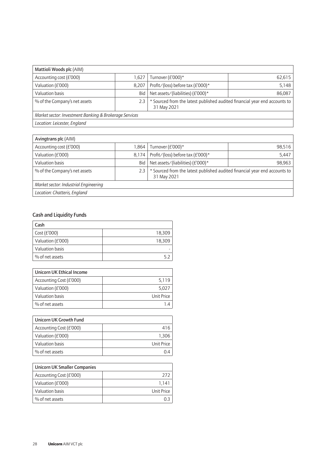| Mattioli Woods plc (AIM)                               |                                                                                                |                                   |        |
|--------------------------------------------------------|------------------------------------------------------------------------------------------------|-----------------------------------|--------|
| Accounting cost (£'000)                                | 1,627                                                                                          | Turnover (£'000)*                 | 62,615 |
| Valuation (£'000)                                      | 8,207                                                                                          | Profit/(loss) before tax (£'000)* | 5,148  |
| Valuation basis                                        | Bid                                                                                            | Net assets/(liabilities) (£'000)* | 86,087 |
| % of the Company's net assets                          | Sourced from the latest published audited financial year end accounts to<br>2.3<br>31 May 2021 |                                   |        |
| Market sector: Investment Banking & Brokerage Services |                                                                                                |                                   |        |
| Location: Leicester, England                           |                                                                                                |                                   |        |

| Avingtrans plc (AIM)                                                                                                              |        |                                   |        |
|-----------------------------------------------------------------------------------------------------------------------------------|--------|-----------------------------------|--------|
| Accounting cost (£'000)                                                                                                           | 864. ا | Turnover (£'000)*                 | 98.516 |
| Valuation (£'000)                                                                                                                 | 8.174  | Profit/(loss) before tax (£'000)* | 5,447  |
| Valuation basis                                                                                                                   | Bid    | Net assets/(liabilities) (£'000)* | 98,963 |
| * Sourced from the latest published audited financial year end accounts to<br>% of the Company's net assets<br>2.3<br>31 May 2021 |        |                                   |        |
| Market sector: Industrial Engineering                                                                                             |        |                                   |        |
| Location: Chatteris, England                                                                                                      |        |                                   |        |

### Cash and Liquidity Funds

| Cash              |        |
|-------------------|--------|
| Cost $(E'000)$    | 18,309 |
| Valuation (£'000) | 18,309 |
| Valuation basis   |        |
| % of net assets   |        |

| Unicorn UK Ethical Income |            |
|---------------------------|------------|
| Accounting Cost (£'000)   | 5.119      |
| Valuation (£'000)         | 5.027      |
| Valuation basis           | Unit Price |
| % of net assets           |            |

| Unicorn UK Growth Fund  |            |
|-------------------------|------------|
| Accounting Cost (£'000) | 416        |
| Valuation (£'000)       | 1.306      |
| Valuation basis         | Unit Price |
| % of net assets         |            |

| <b>Unicorn UK Smaller Companies</b> |            |
|-------------------------------------|------------|
| Accounting Cost (£'000)             | 2T         |
| Valuation (£'000)                   | 1.141      |
| Valuation basis                     | Unit Price |
| % of net assets                     |            |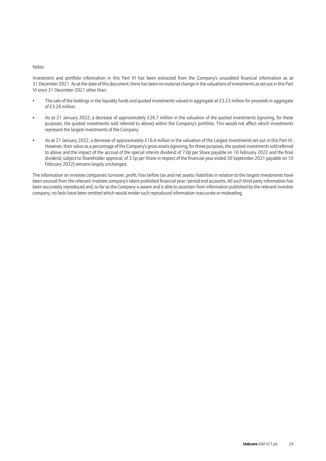#### Notes:

Investment and portfolio information in this Part VI has been extracted from the Company's unaudited financial information as at 31 December 2021. As at the date of this document, there has been no material change in the valuations of investments as set out in this Part VI since 31 December 2021 other than:

- The sale of the holdings in the liquidity funds and quoted investments valued in aggregate at £3.23 million for proceeds in aggregate of £3.26 million.
- As at 21 January 2022, a decrease of approximately £26.7 million in the valuation of the quoted investments (ignoring, for these purposes, the quoted investments sold referred to above) within the Company's portfolio. This would not affect which investments represent the largest investments of the Company.
- As at 21 January 2022, a decrease of approximately £16.4 million in the valuation of the Largest Investments set out in this Part IV. However, their value as a percentage of the Company's gross assets (ignoring, for these purposes, the quoted investments sold referred to above and the impact of the accrual of the special interim dividend of 7.0p per Share payable on 10 February 2022 and the final dividend, subject to Shareholder approval, of 3.5p per Share in respect of the financial year ended 30 September 2021 payable on 10 February 2022) remains largely unchanged.

The information on investee companies' turnover, profit/loss before tax and net assets/liabilities in relation to the largest investments have been sourced from the relevant investee company's latest published financial year/period end accounts. All such third party information has been accurately reproduced and, so far as the Company is aware and is able to ascertain from information published by the relevant investee company, no facts have been omitted which would render such reproduced information inaccurate or misleading.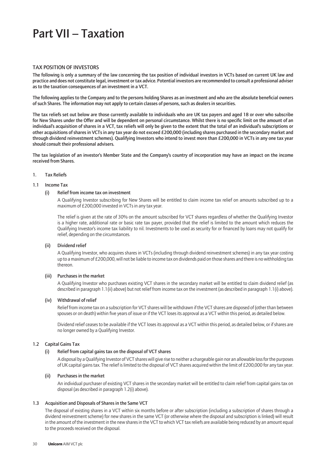### Part VII – Taxation

#### TAX POSITION OF INVESTORS

The following is only a summary of the law concerning the tax position of individual investors in VCTs based on current UK law and practice and does not constitute legal, investment or tax advice. Potential investors are recommended to consult a professional adviser as to the taxation consequences of an investment in a VCT.

The following applies to the Company and to the persons holding Shares as an investment and who are the absolute beneficial owners of such Shares. The information may not apply to certain classes of persons, such as dealers in securities.

The tax reliefs set out below are those currently available to individuals who are UK tax payers and aged 18 or over who subscribe for New Shares under the Offer and will be dependent on personal circumstance. Whilst there is no specific limit on the amount of an individual's acquisition of shares in a VCT, tax reliefs will only be given to the extent that the total of an individual's subscriptions or other acquisitions of shares in VCTs in any tax year do not exceed £200,000 (including shares purchased in the secondary market and through dividend reinvestment schemes). Qualifying Investors who intend to invest more than £200,000 in VCTs in any one tax year should consult their professional advisers.

The tax legislation of an investor's Member State and the Company's country of incorporation may have an impact on the income received from Shares.

#### 1. Tax Reliefs

#### 1.1 Income Tax

#### (i) Relief from income tax on investment

A Qualifying Investor subscribing for New Shares will be entitled to claim income tax relief on amounts subscribed up to a maximum of £200,000 invested in VCTs in any tax year.

The relief is given at the rate of 30% on the amount subscribed for VCT shares regardless of whether the Qualifying Investor is a higher rate, additional rate or basic rate tax payer, provided that the relief is limited to the amount which reduces the Qualifying Investor's income tax liability to nil. Investments to be used as security for or financed by loans may not qualify for relief, depending on the circumstances.

#### (ii) Dividend relief

A Qualifying Investor, who acquires shares in VCTs (including through dividend reinvestment schemes) in any tax year costing up to a maximum of £200,000, will not be liable to income tax on dividends paid on those shares and there is no withholding tax thereon.

#### (iii) Purchases in the market

A Qualifying Investor who purchases existing VCT shares in the secondary market will be entitled to claim dividend relief (as described in paragraph 1.1(ii) above) but not relief from income tax on the investment (as described in paragraph 1.1(i) above).

#### (iv) Withdrawal of relief

Relief from income tax on a subscription for VCT shares will be withdrawn if the VCT shares are disposed of (other than between spouses or on death) within five years of issue or if the VCT loses its approval as a VCT within this period, as detailed below.

Dividend relief ceases to be available if the VCT loses its approval as a VCT within this period, as detailed below, or if shares are no longer owned by a Qualifying Investor.

#### 1.2 Capital Gains Tax

#### (i) Relief from capital gains tax on the disposal of VCT shares

A disposal by a Qualifying Investor of VCT shares will give rise to neither a chargeable gain nor an allowable loss for the purposes of UK capital gains tax. The relief is limited to the disposal of VCT shares acquired within the limit of £200,000 for any tax year.

#### (ii) Purchases in the market

An individual purchaser of existing VCT shares in the secondary market will be entitled to claim relief from capital gains tax on disposal (as described in paragraph 1.2(i) above).

#### 1.3 Acquisition and Disposals of Shares in the Same VCT

The disposal of existing shares in a VCT within six months before or after subscription (including a subscription of shares through a dividend reinvestment scheme) for new shares in the same VCT (or otherwise where the disposal and subscription is linked) will result in the amount of the investment in the new shares in the VCT to which VCT tax reliefs are available being reduced by an amount equal to the proceeds received on the disposal.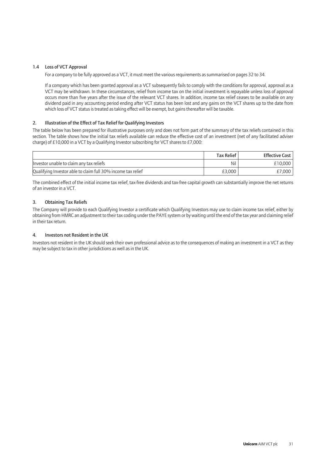#### 1.4 Loss of VCT Approval

For a company to be fully approved as a VCT, it must meet the various requirements as summarised on pages 32 to 34.

If a company which has been granted approval as a VCT subsequently fails to comply with the conditions for approval, approval as a VCT may be withdrawn. In these circumstances, relief from income tax on the initial investment is repayable unless loss of approval occurs more than five years after the issue of the relevant VCT shares. In addition, income tax relief ceases to be available on any dividend paid in any accounting period ending after VCT status has been lost and any gains on the VCT shares up to the date from which loss of VCT status is treated as taking effect will be exempt, but gains thereafter will be taxable.

#### 2. Illustration of the Effect of Tax Relief for Qualifying Investors

The table below has been prepared for illustrative purposes only and does not form part of the summary of the tax reliefs contained in this section. The table shows how the initial tax reliefs available can reduce the effective cost of an investment (net of any facilitated adviser charge) of £10,000 in a VCT by a Qualifying Investor subscribing for VCT shares to £7,000:

|                                                              | Tax Relief | <b>Effective Cost</b> |
|--------------------------------------------------------------|------------|-----------------------|
| Investor unable to claim any tax reliefs                     | Nil        | £10.000               |
| Qualifying Investor able to claim full 30% income tax relief | £3.000     | £7,000                |

The combined effect of the initial income tax relief, tax-free dividends and tax-free capital growth can substantially improve the net returns of an investor in a VCT.

#### 3. Obtaining Tax Reliefs

The Company will provide to each Qualifying Investor a certificate which Qualifying Investors may use to claim income tax relief, either by obtaining from HMRC an adjustment to their tax coding under the PAYE system or by waiting until the end of the tax year and claiming relief in their tax return.

#### 4. Investors not Resident in the UK

Investors not resident in the UK should seek their own professional advice as to the consequences of making an investment in a VCT as they may be subject to tax in other jurisdictions as well as in the UK.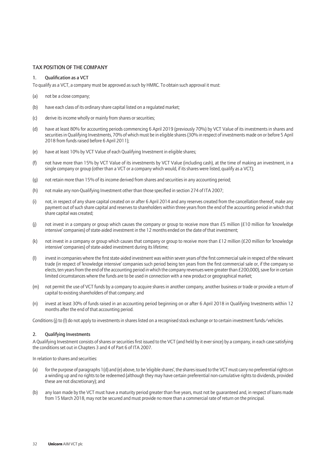#### TAX POSITION OF THE COMPANY

#### 1. Qualification as a VCT

To qualify as a VCT, a company must be approved as such by HMRC. To obtain such approval it must:

- (a) not be a close company;
- (b) have each class of its ordinary share capital listed on a regulated market;
- (c) derive its income wholly or mainly from shares or securities;
- (d) have at least 80% for accounting periods commencing 6 April 2019 (previously 70%) by VCT Value of its investments in shares and securities in Qualifying Investments, 70% of which must be in eligible shares (30% in respect of investments made on or before 5 April 2018 from funds raised before 6 April 2011);
- (e) have at least 10% by VCT Value of each Qualifying Investment in eligible shares;
- (f) not have more than 15% by VCT Value of its investments by VCT Value (including cash), at the time of making an investment, in a single company or group (other than a VCT or a company which would, if its shares were listed, qualify as a VCT);
- (g) not retain more than 15% of its income derived from shares and securities in any accounting period;
- (h) not make any non-Qualifying Investment other than those specified in section 274 of ITA 2007;
- (i) not, in respect of any share capital created on or after 6 April 2014 and any reserves created from the cancellation thereof, make any payment out of such share capital and reserves to shareholders within three years from the end of the accounting period in which that share capital was created;
- (j) not invest in a company or group which causes the company or group to receive more than £5 million (£10 million for 'knowledge intensive' companies) of state-aided investment in the 12 months ended on the date of that investment;
- (k) not invest in a company or group which causes that company or group to receive more than £12 million (£20 million for 'knowledge intensive' companies) of state-aided investment during its lifetime;
- (l) invest in companies where the first state-aided investment was within seven years of the first commercial sale in respect of the relevant trade (in respect of 'knowledge intensive' companies such period being ten years from the first commercial sale or, if the company so elects, ten years from the end of the accounting period in which the company revenues were greater than £200,000), save for in certain limited circumstances where the funds are to be used in connection with a new product or geographical market;
- (m) not permit the use of VCT funds by a company to acquire shares in another company, another business or trade or provide a return of capital to existing shareholders of that company; and
- (n) invest at least 30% of funds raised in an accounting period beginning on or after 6 April 2018 in Qualifying Investments within 12 months after the end of that accounting period.

Conditions (j) to (l) do not apply to investments in shares listed on a recognised stock exchange or to certain investment funds/vehicles.

#### 2. Qualifying Investments

A Qualifying Investment consists of shares or securities first issued to the VCT (and held by it ever since) by a company, in each case satisfying the conditions set out in Chapters 3 and 4 of Part 6 of ITA 2007.

In relation to shares and securities:

- (a) for the purpose of paragraphs 1(d) and (e) above, to be 'eligible shares', the shares issued to the VCT must carry no preferential rights on a winding up and no rights to be redeemed (although they may have certain preferential non-cumulative rights to dividends, provided these are not discretionary); and
- (b) any loan made by the VCT must have a maturity period greater than five years, must not be guaranteed and, in respect of loans made from 15 March 2018, may not be secured and must provide no more than a commercial rate of return on the principal.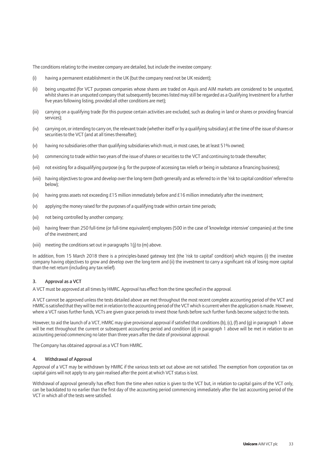The conditions relating to the investee company are detailed, but include the investee company:

- (i) having a permanent establishment in the UK (but the company need not be UK resident);
- (ii) being unquoted (for VCT purposes companies whose shares are traded on Aquis and AIM markets are considered to be unquoted, whilst shares in an unquoted company that subsequently becomes listed may still be regarded as a Qualifying Investment for a further five years following listing, provided all other conditions are met);
- (iii) carrying on a qualifying trade (for this purpose certain activities are excluded, such as dealing in land or shares or providing financial services);
- (iv) carrying on, or intending to carry on, the relevant trade (whether itself or by a qualifying subsidiary) at the time of the issue of shares or securities to the VCT (and at all times thereafter);
- (v) having no subsidiaries other than qualifying subsidiaries which must, in most cases, be at least 51% owned;
- (vi) commencing to trade within two years of the issue of shares or securities to the VCT and continuing to trade thereafter;
- (vii) not existing for a disqualifying purpose (e.g. for the purpose of accessing tax reliefs or being in substance a financing business);
- (viii) having objectives to grow and develop over the long-term (both generally and as referred to in the 'risk to capital condition' referred to below);
- (ix) having gross assets not exceeding £15 million immediately before and £16 million immediately after the investment;
- (x) applying the money raised for the purposes of a qualifying trade within certain time periods;
- (xi) not being controlled by another company;
- (xii) having fewer than 250 full-time (or full-time equivalent) employees (500 in the case of 'knowledge intensive' companies) at the time of the investment; and
- (xiii) meeting the conditions set out in paragraphs 1(j) to (m) above.

In addition, from 15 March 2018 there is a principles-based gateway test (the 'risk to capital' condition) which requires (i) the investee company having objectives to grow and develop over the long-term and (ii) the investment to carry a significant risk of losing more capital than the net return (including any tax relief).

#### 3. Approval as a VCT

A VCT must be approved at all times by HMRC. Approval has effect from the time specified in the approval.

A VCT cannot be approved unless the tests detailed above are met throughout the most recent complete accounting period of the VCT and HMRC is satisfied that they will be met in relation to the accounting period of the VCT which is current when the application is made. However, where a VCT raises further funds, VCTs are given grace periods to invest those funds before such further funds become subject to the tests.

However, to aid the launch of a VCT, HMRC may give provisional approval if satisfied that conditions (b), (c), (f) and (g) in paragraph 1 above will be met throughout the current or subsequent accounting period and condition (d) in paragraph 1 above will be met in relation to an accounting period commencing no later than three years after the date of provisional approval.

The Company has obtained approval as a VCT from HMRC.

#### 4. Withdrawal of Approval

Approval of a VCT may be withdrawn by HMRC if the various tests set out above are not satisfied. The exemption from corporation tax on capital gains will not apply to any gain realised after the point at which VCT status is lost.

Withdrawal of approval generally has effect from the time when notice is given to the VCT but, in relation to capital gains of the VCT only, can be backdated to no earlier than the first day of the accounting period commencing immediately after the last accounting period of the VCT in which all of the tests were satisfied.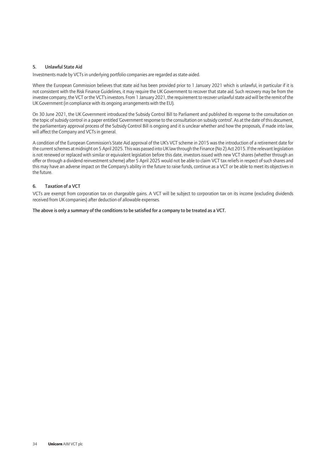#### 5. Unlawful State Aid

Investments made by VCTs in underlying portfolio companies are regarded as state-aided.

Where the European Commission believes that state aid has been provided prior to 1 January 2021 which is unlawful, in particular if it is not consistent with the Risk Finance Guidelines, it may require the UK Government to recover that state aid. Such recovery may be from the investee company, the VCT or the VCT's investors. From 1 January 2021, the requirement to recover unlawful state aid will be the remit of the UK Government (in compliance with its ongoing arrangements with the EU).

On 30 June 2021, the UK Government introduced the Subsidy Control Bill to Parliament and published its response to the consultation on the topic of subsidy control in a paper entitled 'Government response to the consultation on subsidy control'. As at the date of this document, the parliamentary approval process of the Subsidy Control Bill is ongoing and it is unclear whether and how the proposals, if made into law, will affect the Company and VCTs in general.

A condition of the European Commission's State Aid approval of the UK's VCT scheme in 2015 was the introduction of a retirement date for the current schemes at midnight on 5 April 2025. This was passed into UK law through the Finance (No 2) Act 2015. If the relevant legislation is not renewed or replaced with similar or equivalent legislation before this date, investors issued with new VCT shares (whether through an offer or through a dividend reinvestment scheme) after 5 April 2025 would not be able to claim VCT tax reliefs in respect of such shares and this may have an adverse impact on the Company's ability in the future to raise funds, continue as a VCT or be able to meet its objectives in the future.

#### 6. Taxation of a VCT

VCTs are exempt from corporation tax on chargeable gains. A VCT will be subject to corporation tax on its income (excluding dividends received from UK companies) after deduction of allowable expenses.

The above is only a summary of the conditions to be satisfied for a company to be treated as a VCT.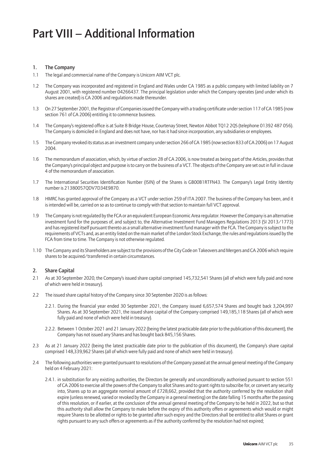### Part VIII – Additional Information

#### 1. The Company

- 1.1 The legal and commercial name of the Company is Unicorn AIM VCT plc.
- 1.2 The Company was incorporated and registered in England and Wales under CA 1985 as a public company with limited liability on 7 August 2001, with registered number 04266437. The principal legislation under which the Company operates (and under which its shares are created) is CA 2006 and regulations made thereunder.
- 1.3 On 27 September 2001, the Registrar of Companies issued the Company with a trading certificate under section 117 of CA 1985 (now section 761 of CA 2006) entitling it to commence business.
- 1.4 The Company's registered office is at Suite 8 Bridge House, Courtenay Street, Newton Abbot TQ12 2QS (telephone 01392 487 056). The Company is domiciled in England and does not have, nor has it had since incorporation, any subsidiaries or employees.
- 1.5 The Company revoked its status as an investment company under section 266 of CA 1985 (now section 833 of CA 2006) on 17 August 2004.
- 1.6 The memorandum of association, which, by virtue of section 28 of CA 2006, is now treated as being part of the Articles, provides that the Company's principal object and purpose is to carry on the business of a VCT. The objects of the Company are set out in full in clause 4 of the memorandum of association.
- 1.7 The International Securities Identification Number (ISIN) of the Shares is GB00B1RTFN43. The Company's Legal Entity Identity number is 21380057QDV7D34E9870.
- 1.8 HMRC has granted approval of the Company as a VCT under section 259 of ITA 2007. The business of the Company has been, and it is intended will be, carried on so as to continue to comply with that section to maintain full VCT approval.
- 1.9 The Company is not regulated by the FCA or an equivalent European Economic Area regulator. However the Company is an alternative investment fund for the purposes of, and subject to, the Alternative Investment Fund Managers Regulations 2013 (SI 2013/1773) and has registered itself pursuant thereto as a small alternative investment fund manager with the FCA. The Company is subject to the requirements of VCTs and, as an entity listed on the main market of the London Stock Exchange, the rules and regulations issued by the FCA from time to time. The Company is not otherwise regulated.
- 1.10 The Company and its Shareholders are subject to the provisions of the City Code on Takeovers and Mergers and CA 2006 which require shares to be acquired/transferred in certain circumstances.

#### 2. Share Capital

- 2.1 As at 30 September 2020, the Company's issued share capital comprised 145,732,541 Shares (all of which were fully paid and none of which were held in treasury).
- 2.2 The issued share capital history of the Company since 30 September 2020 is as follows:
	- 2.2.1. During the financial year ended 30 September 2021, the Company issued 6,657,574 Shares and bought back 3,204,997 Shares. As at 30 September 2021, the issued share capital of the Company comprised 149,185,118 Shares (all of which were fully paid and none of which were held in treasury).
	- 2.2.2. Between 1 October 2021 and 21 January 2022 (being the latest practicable date prior to the publication of this document), the Company has not issued any Shares and has bought back 845,156 Shares.
- 2.3 As at 21 January 2022 (being the latest practicable date prior to the publication of this document), the Company's share capital comprised 148,339,962 Shares (all of which were fully paid and none of which were held in treasury).
- 2.4 The following authorities were granted pursuant to resolutions of the Company passed at the annual general meeting of the Company held on 4 February 2021:
	- 2.4.1. in substitution for any existing authorities, the Directors be generally and unconditionally authorised pursuant to section 551 of CA 2006 to exercise all the powers of the Company to allot Shares and to grant rights to subscribe for, or convert any security into, Shares up to an aggregate nominal amount of £728,662, provided that the authority conferred by the resolution shall expire (unless renewed, varied or revoked by the Company in a general meeting) on the date falling 15 months after the passing of this resolution, or if earlier, at the conclusion of the annual general meeting of the Company to be held in 2022, but so that this authority shall allow the Company to make before the expiry of this authority offers or agreements which would or might require Shares to be allotted or rights to be granted after such expiry and the Directors shall be entitled to allot Shares or grant rights pursuant to any such offers or agreements as if the authority conferred by the resolution had not expired;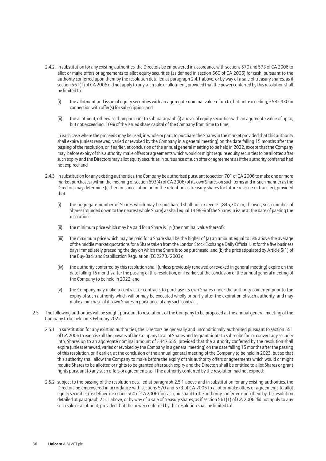- 2.4.2. in substitution for any existing authorities, the Directors be empowered in accordance with sections 570 and 573 of CA 2006 to allot or make offers or agreements to allot equity securities (as defined in section 560 of CA 2006) for cash, pursuant to the authority conferred upon them by the resolution detailed at paragraph 2.4.1 above, or by way of a sale of treasury shares, as if section 561(1) of CA 2006 did not apply to any such sale or allotment, provided that the power conferred by this resolution shall be limited to:
	- (i) the allotment and issue of equity securities with an aggregate nominal value of up to, but not exceeding, £582,930 in connection with offer(s) for subscription; and
	- (ii) the allotment, otherwise than pursuant to sub-paragraph (i) above, of equity securities with an aggregate value of up to, but not exceeding, 10% of the issued share capital of the Company from time to time,

in each case where the proceeds may be used, in whole or part, to purchase the Shares in the market provided that this authority shall expire (unless renewed, varied or revoked by the Company in a general meeting) on the date falling 15 months after the passing of the resolution, or if earlier, at conclusion of the annual general meeting to be held in 2022, except that the Company may, before expiry of this authority, make offers or agreements which would or might require equity securities to be allotted after such expiry and the Directors may allot equity securities in pursuance of such offer or agreement as if the authority conferred had not expired; and

- 2.4.3 in substitution for any existing authorities, the Company be authorised pursuant to section 701 of CA 2006 to make one or more market purchases (within the meaning of section 693(4) of CA 2006) of its own Shares on such terms and in such manner as the Directors may determine (either for cancellation or for the retention as treasury shares for future re-issue or transfer), provided that:
	- (i) the aggregate number of Shares which may be purchased shall not exceed 21,845,307 or, if lower, such number of Shares (rounded down to the nearest whole Share) as shall equal 14.99% of the Shares in issue at the date of passing the resolution;
	- $(i)$  the minimum price which may be paid for a Share is 1p (the nominal value thereof);
	- (iii) the maximum price which may be paid for a Share shall be the higher of (a) an amount equal to 5% above the average of the middle market quotations for a Share taken from the London Stock Exchange Daily Official List for the five business days immediately preceding the day on which the Share is to be purchased; and (b) the price stipulated by Article 5(1) of the Buy-Back and Stabilisation Regulation (EC 2273/2003);
	- (iv) the authority conferred by this resolution shall (unless previously renewed or revoked in general meeting) expire on the date falling 15 months after the passing of this resolution, or if earlier, at the conclusion of the annual general meeting of the Company to be held in 2022; and
	- (v) the Company may make a contract or contracts to purchase its own Shares under the authority conferred prior to the expiry of such authority which will or may be executed wholly or partly after the expiration of such authority, and may make a purchase of its own Shares in pursuance of any such contract.
- 2.5 The following authorities will be sought pursuant to resolutions of the Company to be proposed at the annual general meeting of the Company to be held on 3 February 2022:
	- 2.5.1 in substitution for any existing authorities, the Directors be generally and unconditionally authorised pursuant to section 551 of CA 2006 to exercise all the powers of the Company to allot Shares and to grant rights to subscribe for, or convert any security into, Shares up to an aggregate nominal amount of £447,555, provided that the authority conferred by the resolution shall expire (unless renewed, varied or revoked by the Company in a general meeting) on the date falling 15 months after the passing of this resolution, or if earlier, at the conclusion of the annual general meeting of the Company to be held in 2023, but so that this authority shall allow the Company to make before the expiry of this authority offers or agreements which would or might require Shares to be allotted or rights to be granted after such expiry and the Directors shall be entitled to allot Shares or grant rights pursuant to any such offers or agreements as if the authority conferred by the resolution had not expired;
	- 2.5.2 subject to the passing of the resolution detailed at paragraph 2.5.1 above and in substitution for any existing authorities, the Directors be empowered in accordance with sections 570 and 573 of CA 2006 to allot or make offers or agreements to allot equity securities (as defined in section 560 of CA 2006) for cash, pursuant to the authority conferred upon them by the resolution detailed at paragraph 2.5.1 above, or by way of a sale of treasury shares, as if section 561(1) of CA 2006 did not apply to any such sale or allotment, provided that the power conferred by this resolution shall be limited to: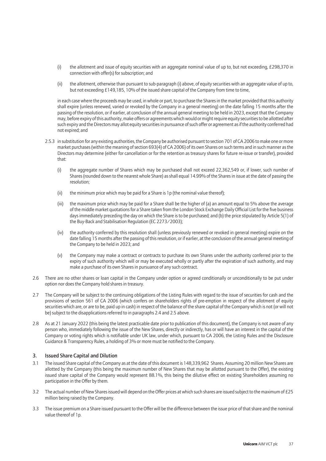- (i) the allotment and issue of equity securities with an aggregate nominal value of up to, but not exceeding, £298,370 in connection with offer(s) for subscription; and
- (ii) the allotment, otherwise than pursuant to sub-paragraph (i) above, of equity securities with an aggregate value of up to, but not exceeding £149,185, 10% of the issued share capital of the Company from time to time,

in each case where the proceeds may be used, in whole or part, to purchase the Shares in the market provided that this authority shall expire (unless renewed, varied or revoked by the Company in a general meeting) on the date falling 15 months after the passing of the resolution, or if earlier, at conclusion of the annual general meeting to be held in 2023, except that the Company may, before expiry of this authority, make offers or agreements which would or might require equity securities to be allotted after such expiry and the Directors may allot equity securities in pursuance of such offer or agreement as if the authority conferred had not expired; and

- 2.5.3 in substitution for any existing authorities, the Company be authorised pursuant to section 701 of CA 2006 to make one or more market purchases (within the meaning of section 693(4) of CA 2006) of its own Shares on such terms and in such manner as the Directors may determine (either for cancellation or for the retention as treasury shares for future re-issue or transfer), provided that:
	- (i) the aggregate number of Shares which may be purchased shall not exceed 22,362,549 or, if lower, such number of Shares (rounded down to the nearest whole Share) as shall equal 14.99% of the Shares in issue at the date of passing the resolution;
	- (ii) the minimum price which may be paid for a Share is 1 p (the nominal value thereof);
	- (iii) the maximum price which may be paid for a Share shall be the higher of (a) an amount equal to 5% above the average of the middle market quotations for a Share taken from the London Stock Exchange Daily Official List for the five business days immediately preceding the day on which the Share is to be purchased; and (b) the price stipulated by Article 5(1) of the Buy-Back and Stabilisation Regulation (EC 2273/2003);
	- (iv) the authority conferred by this resolution shall (unless previously renewed or revoked in general meeting) expire on the date falling 15 months after the passing of this resolution, or if earlier, at the conclusion of the annual general meeting of the Company to be held in 2023; and
	- (v) the Company may make a contract or contracts to purchase its own Shares under the authority conferred prior to the expiry of such authority which will or may be executed wholly or partly after the expiration of such authority, and may make a purchase of its own Shares in pursuance of any such contract.
- 2.6 There are no other shares or loan capital in the Company under option or agreed conditionally or unconditionally to be put under option nor does the Company hold shares in treasury.
- 2.7 The Company will be subject to the continuing obligations of the Listing Rules with regard to the issue of securities for cash and the provisions of section 561 of CA 2006 (which confers on shareholders rights of pre-emption in respect of the allotment of equity securities which are, or are to be, paid up in cash) in respect of the balance of the share capital of the Company which is not (or will not be) subject to the disapplications referred to in paragraphs 2.4 and 2.5 above.
- 2.8 As at 21 January 2022 (this being the latest practicable date prior to publication of this document), the Company is not aware of any person who, immediately following the issue of the New Shares, directly or indirectly, has or will have an interest in the capital of the Company or voting rights which is notifiable under UK law, under which, pursuant to CA 2006, the Listing Rules and the Disclosure Guidance & Transparency Rules, a holding of 3% or more must be notified to the Company.

#### 3. Issued Share Capital and Dilution

- 3.1 The issued Share capital of the Company as at the date of this document is 148,339,962 Shares. Assuming 20 million New Shares are allotted by the Company (this being the maximum number of New Shares that may be allotted pursuant to the Offer), the existing issued share capital of the Company would represent 88.1%, this being the dilutive effect on existing Shareholders assuming no participation in the Offer by them.
- 3.2 The actual number of New Shares issued will depend on the Offer prices at which such shares are issued subject to the maximum of £25 million being raised by the Company.
- 3.3 The issue premium on a Share issued pursuant to the Offer will be the difference between the issue price of that share and the nominal value thereof of 1p.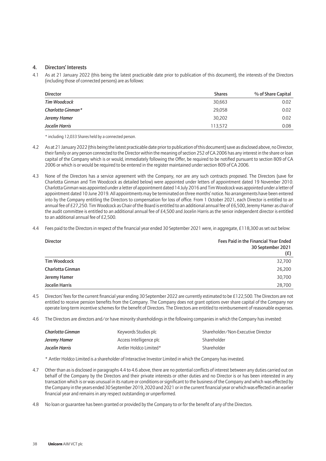#### 4. Directors' Interests

4.1 As at 21 January 2022 (this being the latest practicable date prior to publication of this document), the interests of the Directors (including those of connected persons) are as follows:

| <b>Director</b>     | <b>Shares</b> | % of Share Capital |
|---------------------|---------------|--------------------|
| <b>Tim Woodcock</b> | 30,663        | 0.02               |
| Charlotta Ginman*   | 29.058        | 0.02               |
| Jeremy Hamer        | 30,202        | 0.02               |
| Jocelin Harris      | 113.572       | 0.08               |

\* including 12,033 Shares held by a connected person.

- 4.2 As at 21 January 2022 (this being the latest practicable date prior to publication of this document) save as disclosed above, no Director, their family or any person connected to the Director within the meaning of section 252 of CA 2006 has any interest in the share or loan capital of the Company which is or would, immediately following the Offer, be required to be notified pursuant to section 809 of CA 2006 or which is or would be required to be entered in the register maintained under section 809 of CA 2006.
- 4.3 None of the Directors has a service agreement with the Company, nor are any such contracts proposed. The Directors (save for Charlotta Ginman and Tim Woodcock as detailed below) were appointed under letters of appointment dated 19 November 2010. Charlotta Ginman was appointed under a letter of appointment dated 14 July 2016 and Tim Woodcock was appointed under a letter of appointment dated 10 June 2019. All appointments may be terminated on three months' notice. No arrangements have been entered into by the Company entitling the Directors to compensation for loss of office. From 1 October 2021, each Director is entitled to an annual fee of £27,250. Tim Woodcock as Chair of the Board is entitled to an additional annual fee of £6,500, Jeremy Hamer as chair of the audit committee is entitled to an additional annual fee of £4,500 and Jocelin Harris as the senior independent director is entitled to an additional annual fee of £2,500.
- 4.4 Fees paid to the Directors in respect of the financial year ended 30 September 2021 were, in aggregate, £118,300 as set out below:

| <b>Director</b>     | Fees Paid in the Financial Year Ended<br>30 September 2021<br>(E) |
|---------------------|-------------------------------------------------------------------|
| <b>Tim Woodcock</b> | 32,700                                                            |
| Charlotta Ginman    | 26,200                                                            |
| Jeremy Hamer        | 30,700                                                            |
| Jocelin Harris      | 28,700                                                            |

4.5 Directors' fees for the current financial year ending 30 September 2022 are currently estimated to be £122,500. The Directors are not entitled to receive pension benefits from the Company. The Company does not grant options over share capital of the Company nor operate long-term incentive schemes for the benefit of Directors. The Directors are entitled to reimbursement of reasonable expenses.

4.6 The Directors are directors and/or have minority shareholdings in the following companies in which the Company has invested:

| Charlotta Ginman | Keywords Studios plc    | Shareholder/Non-Executive Director |
|------------------|-------------------------|------------------------------------|
| Jeremy Hamer     | Access Intelligence plc | Shareholder                        |
| Jocelin Harris   | Antler Holdco Limited*  | Shareholder                        |

\* Antler Holdco Limited is a shareholder of Interactive Investor Limited in which the Company has invested.

- 4.7 Other than as is disclosed in paragraphs 4.4 to 4.6 above, there are no potential conflicts of interest between any duties carried out on behalf of the Company by the Directors and their private interests or other duties and no Director is or has been interested in any transaction which is or was unusual in its nature or conditions or significant to the business of the Company and which was effected by the Company in the years ended 30 September 2019, 2020 and 2021 or in the current financial year or which was effected in an earlier financial year and remains in any respect outstanding or unperformed.
- 4.8 No loan or guarantee has been granted or provided by the Company to or for the benefit of any of the Directors.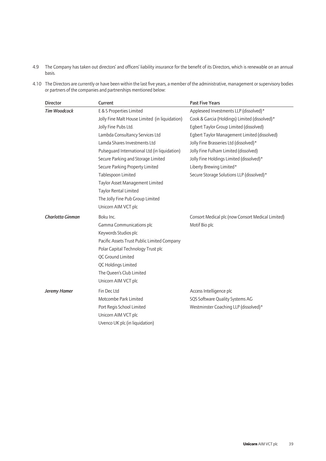- 4.9 The Company has taken out directors' and officers' liability insurance for the benefit of its Directors, which is renewable on an annual basis.
- 4.10 The Directors are currently or have been within the last five years, a member of the administrative, management or supervisory bodies or partners of the companies and partnerships mentioned below:

| <b>Director</b>     | Current                                        | <b>Past Five Years</b>                            |  |
|---------------------|------------------------------------------------|---------------------------------------------------|--|
| <b>Tim Woodcock</b> | E & S Properties Limited                       | Appleseed Investments LLP (dissolved)*            |  |
|                     | Jolly Fine Malt House Limited (in liquidation) | Cook & Garcia (Holdings) Limited (dissolved)*     |  |
|                     | Jolly Fine Pubs Ltd.                           | Egbert Taylor Group Limited (dissolved)           |  |
|                     | Lambda Consultancy Services Ltd                | Egbert Taylor Management Limited (dissolved)      |  |
|                     | Lamda Shares Investments Ltd                   | Jolly Fine Brasseries Ltd (dissolved)*            |  |
|                     | Pulsequard International Ltd (in liquidation)  | Jolly Fine Fulham Limited (dissolved)             |  |
|                     | Secure Parking and Storage Limited             | Jolly Fine Holdings Limited (dissolved)*          |  |
|                     | Secure Parking Property Limited                | Liberty Brewing Limited*                          |  |
|                     | Tablespoon Limited                             | Secure Storage Solutions LLP (dissolved)*         |  |
|                     | Taylor Asset Management Limited                |                                                   |  |
|                     | Taylor Rental Limited                          |                                                   |  |
|                     | The Jolly Fine Pub Group Limited               |                                                   |  |
|                     | Unicorn AIM VCT plc                            |                                                   |  |
| Charlotta Ginman    | Boku Inc.                                      | Consort Medical plc (now Consort Medical Limited) |  |
|                     | Gamma Communications plc                       | Motif Bio plc                                     |  |
|                     | Keywords Studios plc                           |                                                   |  |
|                     | Pacific Assets Trust Public Limited Company    |                                                   |  |
|                     | Polar Capital Technology Trust plc             |                                                   |  |
|                     | OC Ground Limited                              |                                                   |  |
|                     | QC Holdings Limited                            |                                                   |  |
|                     | The Queen's Club Limited                       |                                                   |  |
|                     | Unicorn AIM VCT plc                            |                                                   |  |
| <b>Jeremy Hamer</b> | Fin Dec Ltd                                    | Access Intelligence plc                           |  |
|                     | Motcombe Park Limited                          | SQS Software Quality Systems AG                   |  |
|                     | Port Regis School Limited                      | Westminster Coaching LLP (dissolved)*             |  |
|                     | Unicorn AIM VCT plc                            |                                                   |  |
|                     | Uvenco UK plc (in liquidation)                 |                                                   |  |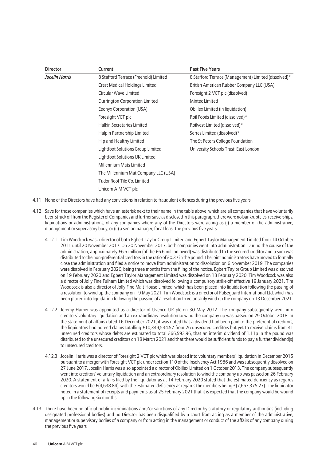| <b>Director</b> | Current                               | <b>Past Five Years</b>                               |
|-----------------|---------------------------------------|------------------------------------------------------|
| Jocelin Harris  | 8 Stafford Terrace (Freehold) Limited | 8 Stafford Terrace (Management) Limited (dissolved)* |
|                 | Crest Medical Holdings Limited        | British American Rubber Company LLC (USA)            |
|                 | Circular Wave Limited                 | Foresight 2 VCT plc (dissolved)                      |
|                 | Durrington Corporation Limited        | Mintec Limited                                       |
|                 | Eeonyx Corporation (USA)              | Obillex Limited (in liquidation)                     |
|                 | Foresight VCT plc                     | Roil Foods Limited (dissolved)*                      |
|                 | <b>Halkin Secretaries Limited</b>     | Roilvest Limited (dissolved)*                        |
|                 | Halpin Partnership Limited            | Serres Limited (dissolved)*                          |
|                 | Hip and Healthy Limited               | The St Peter's College Foundation                    |
|                 | Lightfoot Solutions Group Limited     | University Schools Trust, East London                |
|                 | Lightfoot Solutions UK Limited        |                                                      |
|                 | Millennium Mats Limited               |                                                      |
|                 | The Millennium Mat Company LLC (USA)  |                                                      |
|                 | Tudor Roof Tile Co. Limited           |                                                      |
|                 | Unicorn AIM VCT plc                   |                                                      |

- 4.11 None of the Directors have had any convictions in relation to fraudulent offences during the previous five years.
- 4.12 Save for those companies which have an asterisk next to their name in the table above, which are all companies that have voluntarily been struck off from the Register of Companies and further save as disclosed in this paragraph, there were no bankruptcies, receiverships, liquidations or administrations, of any companies where any of the Directors were acting as (i) a member of the administrative, management or supervisory body, or (ii) a senior manager, for at least the previous five years:
	- 4.12.1 Tim Woodcock was a director of both Egbert Taylor Group Limited and Egbert Taylor Management Limited from 14 October 2011 until 20 November 2017. On 20 November 2017, both companies went into administration. During the course of the administration, approximately £6.5 million (of the £6.6 million owed) was distributed to the secured creditor and a sum was distributed to the non-preferential creditors in the ratio of £0.37 in the pound. The joint administrators have moved to formally close the administration and filed a notice to move from administration to dissolution on 6 November 2019. The companies were dissolved in February 2020, being three months from the filing of the notice. Egbert Taylor Group Limited was dissolved on 19 February 2020 and Egbert Taylor Management Limited was dissolved on 18 February 2020. Tim Woodcock was also a director of Jolly Fine Fulham Limited which was dissolved following a compulsory strike-off effective 19 January 2021. Tim Woodcock is also a director of Jolly Fine Malt House Limited, which has been placed into liquidation following the passing of a resolution to wind up the company on 19 May 2021. Tim Woodcock is a director of Pulseguard International Ltd, which has been placed into liquidation following the passing of a resolution to voluntarily wind up the company on 13 December 2021.
	- 4.12.2 Jeremy Hamer was appointed as a director of Uvenco UK plc on 30 May 2012. The company subsequently went into creditors' voluntary liquidation and an extraordinary resolution to wind the company up was passed on 29 October 2018. In the statement of affairs dated 16 December 2021, it was noted that a dividend had been paid to the preferential creditors, the liquidators had agreed claims totalling £10,349,534.57 from 26 unsecured creditors but yet to receive claims from 41 unsecured creditors whose debts are estimated to total £66,593.96, that an interim dividend of 1.11p in the pound was distributed to the unsecured creditors on 18 March 2021 and that there would be sufficient funds to pay a further dividend(s) to unsecured creditors.
	- 4.12.3 Jocelin Harris was a director of Foresight 2 VCT plc which was placed into voluntary members' liquidation in December 2015 pursuant to a merger with Foresight VCT plc under section 110 of the Insolvency Act 1986 and was subsequently dissolved on 27 June 2017. Jocelin Harris was also appointed a director of Obillex Limited on 1 October 2013. The company subsequently went into creditors' voluntary liquidation and an extraordinary resolution to wind the company up was passed on 26 February 2020. A statement of affairs filed by the liquidator as at 14 February 2020 stated that the estimated deficiency as regards creditors would be £(4,638.84), with the estimated deficiency as regards the members being £(7,663,375.27). The liquidator noted in a statement of receipts and payments as at 25 February 2021 that it is expected that the company would be wound up in the following six months.
- 4.13 There have been no official public incriminations and/or sanctions of any Director by statutory or regulatory authorities (including designated professional bodies) and no Director has been disqualified by a court from acting as a member of the administrative, management or supervisory bodies of a company or from acting in the management or conduct of the affairs of any company during the previous five years.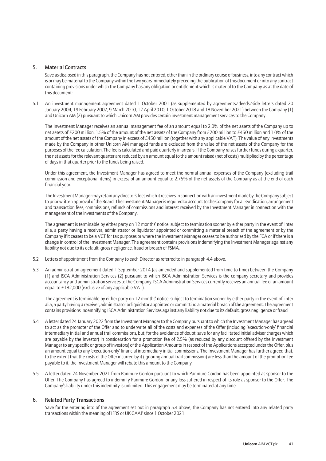#### 5. Material Contracts

Save as disclosed in this paragraph, the Company has not entered, other than in the ordinary course of business, into any contract which is or may be material to the Company within the two years immediately preceding the publication of this document or into any contract containing provisions under which the Company has any obligation or entitlement which is material to the Company as at the date of this document:

5.1 An investment management agreement dated 1 October 2001 (as supplemented by agreements/deeds/side letters dated 20 January 2004, 19 February 2007, 9 March 2010, 12 April 2010, 1 October 2018 and 18 November 2021) between the Company (1) and Unicorn AM (2) pursuant to which Unicorn AM provides certain investment management services to the Company.

The Investment Manager receives an annual management fee of an amount equal to 2.0% of the net assets of the Company up to net assets of £200 million, 1.5% of the amount of the net assets of the Company from £200 million to £450 million and 1.0% of the amount of the net assets of the Company in excess of £450 million (together with any applicable VAT). The value of any investments made by the Company in other Unicorn AM managed funds are excluded from the value of the net assets of the Company for the purposes of the fee calculation. The fee is calculated and paid quarterly in arrears. If the Company raises further funds during a quarter, the net assets for the relevant quarter are reduced by an amount equal to the amount raised (net of costs) multiplied by the percentage of days in that quarter prior to the funds being raised.

Under this agreement, the Investment Manager has agreed to meet the normal annual expenses of the Company (excluding trail commission and exceptional items) in excess of an amount equal to 2.75% of the net assets of the Company as at the end of each financial year.

The Investment Manager may retain any director's fees which it receives in connection with an investment made by the Company subject to prior written approval of the Board. The Investment Manager is required to account to the Company for all syndication, arrangement and transaction fees, commissions, refunds of commissions and interest received by the Investment Manager in connection with the management of the investments of the Company.

The agreement is terminable by either party on 12 months' notice, subject to termination sooner by either party in the event of, inter alia, a party having a receiver, administrator or liquidator appointed or committing a material breach of the agreement or by the Company if it ceases to be a VCT for tax purposes or where the Investment Manager ceases to be authorised by the FCA or if there is a change in control of the Investment Manager. The agreement contains provisions indemnifying the Investment Manager against any liability not due to its default, gross negligence, fraud or breach of FSMA.

- 5.2 Letters of appointment from the Company to each Director as referred to in paragraph 4.4 above.
- 5.3 An administration agreement dated 1 September 2014 (as amended and supplemented from time to time) between the Company (1) and ISCA Administration Services (2) pursuant to which ISCA Administration Services is the company secretary and provides accountancy and administration services to the Company. ISCA Administration Services currently receives an annual fee of an amount equal to £182,000 (exclusive of any applicable VAT).

The agreement is terminable by either party on 12 months' notice, subject to termination sooner by either party in the event of, inter alia, a party having a receiver, administrator or liquidator appointed or committing a material breach of the agreement. The agreement contains provisions indemnifying ISCA Administration Services against any liability not due to its default, gross negligence or fraud.

- 5.4 A letter dated 24 January 2022 from the Investment Manager to the Company pursuant to which the Investment Manager has agreed to act as the promoter of the Offer and to underwrite all of the costs and expenses of the Offer (including 'execution-only' financial intermediary initial and annual trail commissions, but, for the avoidance of doubt, save for any facilitated initial adviser charges which are payable by the investor) in consideration for a promotion fee of 2.5% (as reduced by any discount offered by the Investment Manager to any specific or group of investors) of the Application Amounts in respect of the Applications accepted under the Offer, plus an amount equal to any 'execution-only' financial intermediary initial commissions. The Investment Manager has further agreed that, to the extent that the costs of the Offer incurred by it (ignoring annual trail commission) are less than the amount of the promotion fee payable to it, the Investment Manager will rebate this amount to the Company.
- 5.5 A letter dated 24 November 2021 from Panmure Gordon pursuant to which Panmure Gordon has been appointed as sponsor to the Offer. The Company has agreed to indemnify Panmure Gordon for any loss suffered in respect of its role as sponsor to the Offer. The Company's liability under this indemnity is unlimited. This engagement may be terminated at any time.

#### 6. Related Party Transactions

Save for the entering into of the agreement set out in paragraph 5.4 above, the Company has not entered into any related party transactions within the meaning of IFRS or UK GAAP since 1 October 2021.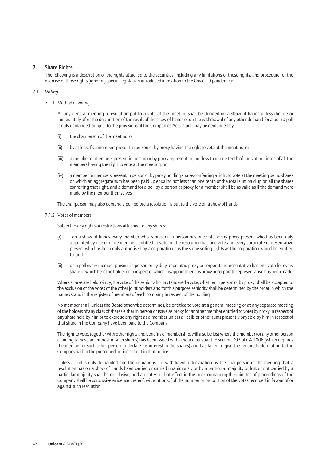#### 7. Share Rights

The following is a description of the rights attached to the securities, including any limitations of those rights, and procedure for the exercise of those rights (ignoring special legislation introduced in relation to the Covid-19 pandemic):

#### 7.1 *Voting*

#### 7.1.1 Method of voting

At any general meeting a resolution put to a vote of the meeting shall be decided on a show of hands unless (before or immediately after the declaration of the result of the show of hands or on the withdrawal of any other demand for a poll) a poll is duly demanded. Subject to the provisions of the Companies Acts, a poll may be demanded by:

- (i) the chairperson of the meeting; or
- (ii) by at least five members present in person or by proxy having the right to vote at the meeting; or
- (iii) a member or members present in person or by proxy representing not less than one tenth of the voting rights of all the members having the right to vote at the meeting; or
- (iv) a member or members present in person or by proxy holding shares conferring a right to vote at the meeting being shares on which an aggregate sum has been paid up equal to not less than one tenth of the total sum paid up on all the shares conferring that right, and a demand for a poll by a person as proxy for a member shall be as valid as if the demand were made by the member themselves.

The chairperson may also demand a poll before a resolution is put to the vote on a show of hands.

#### 7.1.2 Votes of members

Subject to any rights or restrictions attached to any shares:

- (i) on a show of hands every member who is present in person has one vote; every proxy present who has been duly appointed by one or more members entitled to vote on the resolution has one vote and every corporate representative present who has been duly authorised by a corporation has the same voting rights as the corporation would be entitled to; and
- (ii) on a poll every member present in person or by duly appointed proxy or corporate representative has one vote for every share of which he is the holder or in respect of which his appointment as proxy or corporate representative has been made.

Where shares are held jointly, the vote of the senior who has tendered a vote, whether in person or by proxy, shall be accepted to the exclusion of the votes of the other joint holders and for this purpose seniority shall be determined by the order in which the names stand in the register of members of each company in respect of the holding.

No member shall, unless the Board otherwise determines, be entitled to vote at a general meeting or at any separate meeting of the holders of any class of shares either in person or (save as proxy for another member entitled to vote) by proxy in respect of any share held by him or to exercise any right as a member unless all calls or other sums presently payable by him in respect of that share in the Company have been paid to the Company.

The right to vote, together with other rights and benefits of membership, will also be lost where the member (or any other person claiming to have an interest in such shares) has been issued with a notice pursuant to section 793 of CA 2006 (which requires the member or such other person to declare his interest in the shares) and has failed to give the required information to the Company within the prescribed period set out in that notice.

Unless a poll is duly demanded and the demand is not withdrawn a declaration by the chairperson of the meeting that a resolution has on a show of hands been carried or carried unanimously or by a particular majority or lost or not carried by a particular majority shall be conclusive, and an entry to that effect in the book containing the minutes of proceedings of the Company shall be conclusive evidence thereof, without proof of the number or proportion of the votes recorded in favour of or against such resolution.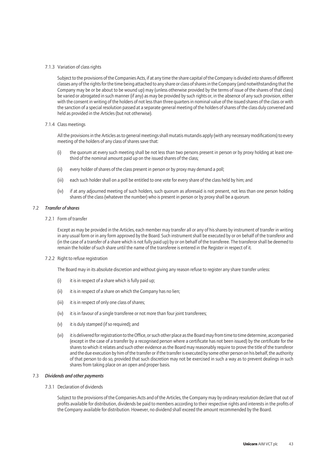#### 7.1.3 Variation of class rights

Subject to the provisions of the Companies Acts, if at any time the share capital of the Company is divided into shares of different classes any of the rights for the time being attached to any share or class of shares in the Company (and notwithstanding that the Company may be or be about to be wound up) may (unless otherwise provided by the terms of issue of the shares of that class) be varied or abrogated in such manner (if any) as may be provided by such rights or, in the absence of any such provision, either with the consent in writing of the holders of not less than three quarters in nominal value of the issued shares of the class or with the sanction of a special resolution passed at a separate general meeting of the holders of shares of the class duly convened and held as provided in the Articles (but not otherwise).

#### 7.1.4 Class meetings

All the provisions in the Articles as to general meetings shall mutatis mutandis apply (with any necessary modifications) to every meeting of the holders of any class of shares save that:

- (i) the quorum at every such meeting shall be not less than two persons present in person or by proxy holding at least onethird of the nominal amount paid up on the issued shares of the class;
- (ii) every holder of shares of the class present in person or by proxy may demand a poll;
- (iii) each such holder shall on a poll be entitled to one vote for every share of the class held by him; and
- (iv) if at any adjourned meeting of such holders, such quorum as aforesaid is not present, not less than one person holding shares of the class (whatever the number) who is present in person or by proxy shall be a quorum.

#### 7.2 *Transfer ofshares*

#### 7.2.1 Form of transfer

Except as may be provided in the Articles, each member may transfer all or any of his shares by instrument of transfer in writing in any usual form or in any form approved by the Board. Such instrument shall be executed by or on behalf of the transferor and (in the case of a transfer of a share which is not fully paid up) by or on behalf of the transferee. The transferor shall be deemed to remain the holder of such share until the name of the transferee is entered in the Register in respect of it.

#### 7.2.2 Right to refuse registration

The Board may in its absolute discretion and without giving any reason refuse to register any share transfer unless:

- $(i)$  it is in respect of a share which is fully paid up;
- $(ii)$  it is in respect of a share on which the Company has no lien;
- (iii) it is in respect of only one class of shares;
- (iv) it is in favour of a single transferee or not more than four joint transferees;
- (v) it is duly stamped (if so required); and
- (vi) it is delivered for registration to the Office, or such other place as the Board may from time to time determine, accompanied (except in the case of a transfer by a recognised person where a certificate has not been issued) by the certificate for the shares to which it relates and such other evidence as the Board may reasonably require to prove the title of the transferor and the due execution by him of the transfer or if the transfer is executed by some other person on his behalf, the authority of that person to do so, provided that such discretion may not be exercised in such a way as to prevent dealings in such shares from taking place on an open and proper basis.

#### 7.3 *Dividends and other payments*

#### 7.3.1 Declaration of dividends

Subject to the provisions of the Companies Acts and of the Articles, the Company may by ordinary resolution declare that out of profits available for distribution, dividends be paid to members according to their respective rights and interests in the profits of the Company available for distribution. However, no dividend shall exceed the amount recommended by the Board.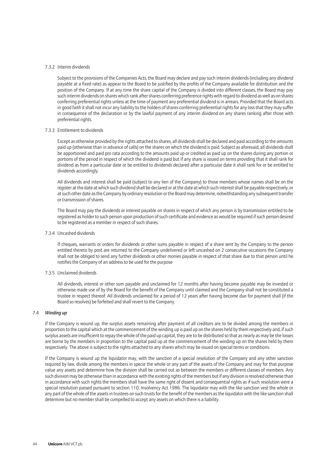#### 7.3.2 Interim dividends

Subject to the provisions of the Companies Acts, the Board may declare and pay such interim dividends (including any dividend payable at a fixed rate) as appear to the Board to be justified by the profits of the Company available for distribution and the position of the Company. If at any time the share capital of the Company is divided into different classes, the Board may pay such interim dividends on shares which rank after shares conferring preference rights with regard to dividend as well as on shares conferring preferential rights unless at the time of payment any preferential dividend is in arrears. Provided that the Board acts in good faith it shall not incur any liability to the holders of shares conferring preferential rights for any loss that they may suffer in consequence of the declaration or by the lawful payment of any interim dividend on any shares ranking after those with preferential rights.

#### 7.3.3 Entitlement to dividends

Except as otherwise provided by the rights attached to shares, all dividends shall be declared and paid according to the amounts paid up (otherwise than in advance of calls) on the shares on which the dividend is paid. Subject as aforesaid, all dividends shall be apportioned and paid pro rata according to the amounts paid up or credited as paid up on the shares during any portion or portions of the period in respect of which the dividend is paid but if any share is issued on terms providing that it shall rank for dividend as from a particular date or be entitled to dividends declared after a particular date it shall rank for or be entitled to dividends accordingly.

All dividends and interest shall be paid (subject to any lien of the Company) to those members whose names shall be on the register at the date at which such dividend shall be declared or at the date at which such interest shall be payable respectively, or at such other date as the Company by ordinary resolution or the Board may determine, notwithstanding any subsequent transfer or transmission of shares.

The Board may pay the dividends or interest payable on shares in respect of which any person is by transmission entitled to be registered as holder to such person upon production of such certificate and evidence as would be required if such person desired to be registered as a member in respect of such shares.

#### 7.3.4 Uncashed dividends

If cheques, warrants or orders for dividends or other sums payable in respect of a share sent by the Company to the person entitled thereto by post are returned to the Company undelivered or left uncashed on 2 consecutive occasions the Company shall not be obliged to send any further dividends or other monies payable in respect of that share due to that person until he notifies the Company of an address to be used for the purpose

#### 7.3.5 Unclaimed dividends

All dividends, interest or other sum payable and unclaimed for 12 months after having become payable may be invested or otherwise made use of by the Board for the benefit of the Company until claimed and the Company shall not be constituted a trustee in respect thereof. All dividends unclaimed for a period of 12 years after having become due for payment shall (if the Board so resolves) be forfeited and shall revert to the Company.

#### 7.4 *Winding up*

If the Company is wound up, the surplus assets remaining after payment of all creditors are to be divided among the members in proportion to the capital which at the commencement of the winding up is paid up on the shares held by them respectively and, if such surplus assets are insufficient to repay the whole of the paid up capital, they are to be distributed so that as nearly as may be the losses are borne by the members in proportion to the capital paid up at the commencement of the winding up on the shares held by them respectively. The above is subject to the rights attached to any shares which may be issued on special terms or conditions.

If the Company is wound up the liquidator may, with the sanction of a special resolution of the Company and any other sanction required by law, divide among the members in specie the whole or any part of the assets of the Company and may for that purpose value any assets and determine how the division shall be carried out as between the members or different classes of members. Any such division may be otherwise than in accordance with the existing rights of the members but if any division is resolved otherwise than in accordance with such rights the members shall have the same right of dissent and consequential rights as if such resolution were a special resolution passed pursuant to section 110, Insolvency Act 1986. The liquidator may with the like sanction vest the whole or any part of the whole of the assets in trustees on such trusts for the benefit of the members as the liquidator with the like sanction shall determine but no member shall be compelled to accept any assets on which there is a liability.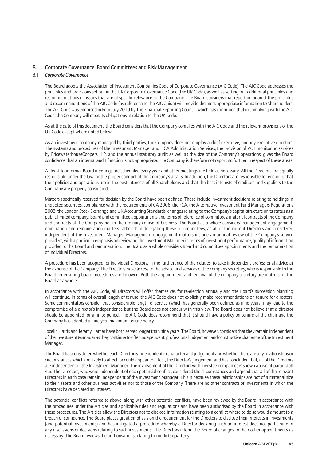#### 8. Corporate Governance, Board Committees and Risk Management

#### 8.1 *Corporate Governance*

The Board adopts the Association of Investment Companies Code of Corporate Governance (AIC Code). The AIC Code addresses the principles and provisions set out in the UK Corporate Governance Code (the UK Code), as well as setting out additional principles and recommendations on issues that are of specific relevance to the Company. The Board considers that reporting against the principles and recommendations of the AIC Code (by reference to the AIC Guide) will provide the most appropriate information to Shareholders. The AIC Code was endorsed in February 2019 by The Financial Reporting Council, which has confirmed that in complying with the AIC Code, the Company will meet its obligations in relation to the UK Code.

As at the date of this document, the Board considers that the Company complies with the AIC Code and the relevant provisions of the UK Code except where noted below.

As an investment company managed by third parties, the Company does not employ a chief-executive, nor any executive directors. The systems and procedures of the Investment Manager and ISCA Administration Services, the provision of VCT monitoring services by PricewaterhouseCoopers LLP, and the annual statutory audit as well as the size of the Company's operations, gives the Board confidence that an internal audit function is not appropriate. The Company is therefore not reporting further in respect of these areas.

At least four formal Board meetings are scheduled every year and other meetings are held as necessary. All the Directors are equally responsible under the law for the proper conduct of the Company's affairs. In addition, the Directors are responsible for ensuring that their policies and operations are in the best interests of all Shareholders and that the best interests of creditors and suppliers to the Company are properly considered.

Matters specifically reserved for decision by the Board have been defined. These include investment decisions relating to holdings in unquoted securities, compliance with the requirements of CA 2006, the FCA, the Alternative Investment Fund Managers Regulations 2003, the London Stock Exchange and UK Accounting Standards; changes relating to the Company's capital structure or its status as a public limited company; Board and committee appointments and terms of reference of committees; material contracts of the Company and contracts of the Company not in the ordinary course of business. The Board as a whole considers management engagement, nomination and remuneration matters rather than delegating these to committees, as all of the current Directors are considered independent of the Investment Manager. Management engagement matters include an annual review of the Company's service providers, with a particular emphasis on reviewing the Investment Manager in terms of investment performance, quality of information provided to the Board and remuneration. The Board as a whole considers Board and committee appointments and the remuneration of individual Directors.

A procedure has been adopted for individual Directors, in the furtherance of their duties, to take independent professional advice at the expense of the Company. The Directors have access to the advice and services of the company secretary, who is responsible to the Board for ensuring board procedures are followed. Both the appointment and removal of the company secretary are matters for the Board as a whole.

In accordance with the AIC Code, all Directors will offer themselves for re-election annually and the Board's succession planning will continue. In terms of overall length of tenure, the AIC Code does not explicitly make recommendations on tenure for directors. Some commentators consider that considerable length of service (which has generally been defined as nine years) may lead to the compromise of a director's independence but the Board does not concur with this view. The Board does not believe that a director should be appointed for a finite period. The AIC Code does recommend that it should have a policy on tenure of the chair and the Company has adopted a nine year maximum tenure policy.

Jocelin Harris and Jeremy Hamer have both served longer than nine years. The Board, however, considers that they remain independent of the Investment Manager as they continue to offer independent, professional judgement and constructive challenge of the Investment Manager.

The Board has considered whether each Director is independent in character and judgement and whether there are any relationships or circumstances which are likely to affect, or could appear to affect, the Director's judgement and has concluded that, all of the Directors are independent of the Investment Manager. The involvement of the Directors with investee companies is shown above at paragraph 4.6. The Directors, who were independent of each potential conflict, considered the circumstances and agreed that all of the relevant Directors in each case remain independent of the Investment Manager. This is because these relationships are not of a material size to their assets and other business activities nor to those of the Company. There are no other contracts or investments in which the Directors have declared an interest.

The potential conflicts referred to above, along with other potential conflicts, have been reviewed by the Board in accordance with the procedures under the Articles and applicable rules and regulations and have been authorised by the Board in accordance with these procedures. The Articles allow the Directors not to disclose information relating to a conflict where to do so would amount to a breach of confidence. The Board places great emphasis on the requirement for the Directors to disclose their interests in investments (and potential investments) and has instigated a procedure whereby a Director declaring such an interest does not participate in any discussions or decisions relating to such investments. The Directors inform the Board of changes to their other appointments as necessary. The Board reviews the authorisations relating to conflicts quarterly.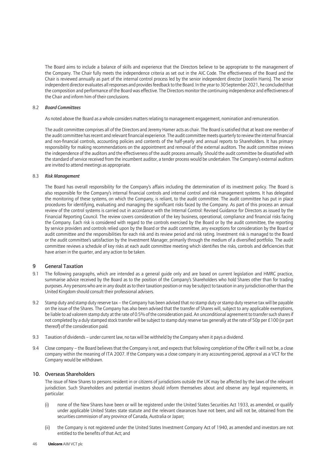The Board aims to include a balance of skills and experience that the Directors believe to be appropriate to the management of the Company. The Chair fully meets the independence criteria as set out in the AIC Code. The effectiveness of the Board and the Chair is reviewed annually as part of the internal control process led by the senior independent director (Jocelin Harris). The senior independent director evaluates all responses and provides feedback to the Board. In the year to 30 September 2021, he concluded that the composition and performance of the Board was effective. The Directors monitor the continuing independence and effectiveness of the Chair and inform him of their conclusions.

#### 8.2 *Board Committees*

As noted above the Board as a whole considers matters relating to management engagement, nomination and remuneration.

The audit committee comprises all of the Directors and Jeremy Hamer acts as chair. The Board is satisfied that at least one member of the audit committee has recent and relevant financial experience. The audit committee meets quarterly to review the internal financial and non-financial controls, accounting policies and contents of the half-yearly and annual reports to Shareholders. It has primary responsibility for making recommendations on the appointment and removal of the external auditors. The audit committee reviews the independence of the auditors and the effectiveness of the audit process annually. Should the audit committee be dissatisfied with the standard of service received from the incumbent auditor, a tender process would be undertaken. The Company's external auditors are invited to attend meetings as appropriate.

#### 8.3 *Risk Management*

The Board has overall responsibility for the Company's affairs including the determination of its investment policy. The Board is also responsible for the Company's internal financial controls and internal control and risk management systems. It has delegated the monitoring of these systems, on which the Company, is reliant, to the audit committee. The audit committee has put in place procedures for identifying, evaluating and managing the significant risks faced by the Company. As part of this process an annual review of the control systems is carried out in accordance with the Internal Control: Revised Guidance for Directors as issued by the Financial Reporting Council. The review covers consideration of the key business, operational, compliance and financial risks facing the Company. Each risk is considered with regard to the controls exercised by the Board or by the audit committee, the reporting by service providers and controls relied upon by the Board or the audit committee, any exceptions for consideration by the Board or audit committee and the responsibilities for each risk and its review period and risk rating. Investment risk is managed to the Board or the audit committee's satisfaction by the Investment Manager, primarily through the medium of a diversified portfolio. The audit committee reviews a schedule of key risks at each audit committee meeting which identifies the risks, controls and deficiencies that have arisen in the quarter, and any action to be taken.

#### 9 General Taxation

- 9.1 The following paragraphs, which are intended as a general guide only and are based on current legislation and HMRC practice, summarise advice received by the Board as to the position of the Company's Shareholders who hold Shares other than for trading purposes. Any persons who are in any doubt as to their taxation position or may be subject to taxation in any jurisdiction other than the United Kingdom should consult their professional advisers.
- 9.2 Stamp duty and stamp duty reserve tax the Company has been advised that no stamp duty or stamp duty reserve tax will be payable on the issue of the Shares. The Company has also been advised that the transfer of Shares will, subject to any applicable exemptions, be liable to ad valorem stamp duty at the rate of 0.5% of the consideration paid. An unconditional agreement to transfer such shares if not completed by a duly stamped stock transfer will be subject to stamp duty reserve tax generally at the rate of 50p per £100 (or part thereof) of the consideration paid.
- 9.3 Taxation of dividends under current law, no tax will be withheld by the Company when it pays a dividend.
- 9.4 Close company the Board believes that the Company is not, and expects that following completion of the Offer it will not be, a close company within the meaning of ITA 2007. If the Company was a close company in any accounting period, approval as a VCT for the Company would be withdrawn.

#### 10. Overseas Shareholders

The issue of New Shares to persons resident in or citizens of jurisdictions outside the UK may be affected by the laws of the relevant jurisdiction. Such Shareholders and potential investors should inform themselves about and observe any legal requirements, in particular:

- (i) none of the New Shares have been or will be registered under the United States Securities Act 1933, as amended, or qualify under applicable United States state statute and the relevant clearances have not been, and will not be, obtained from the securities commission of any province of Canada, Australia or Japan;
- (ii) the Company is not registered under the United States Investment Company Act of 1940, as amended and investors are not entitled to the benefits of that Act; and
- 46 **Unicorn** AIM VCT plc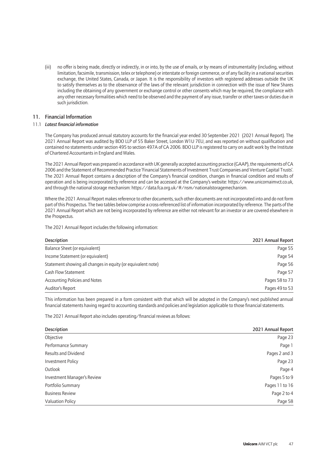(iii) no offer is being made, directly or indirectly, in or into, by the use of emails, or by means of instrumentality (including, without limitation, facsimile, transmission, telex or telephone) or interstate or foreign commerce, or of any facility in a national securities exchange, the United States, Canada, or Japan. It is the responsibility of investors with registered addresses outside the UK to satisfy themselves as to the observance of the laws of the relevant jurisdiction in connection with the issue of New Shares including the obtaining of any government or exchange control or other consents which may be required, the compliance with any other necessary formalities which need to be observed and the payment of any issue, transfer or other taxes or duties due in such jurisdiction.

#### 11. Financial Information

#### 11.1 *Latest financial information*

The Company has produced annual statutory accounts for the financial year ended 30 September 2021 (2021 Annual Report). The 2021 Annual Report was audited by BDO LLP of 55 Baker Street, London W1U 7EU, and was reported on without qualification and contained no statements under section 495 to section 497A of CA 2006. BDO LLP is registered to carry on audit work by the Institute of Chartered Accountants in England and Wales.

The 2021 Annual Report was prepared in accordance with UK generally accepted accounting practice (GAAP), the requirements of CA 2006 and the Statement of Recommended Practice 'Financial Statements of Investment Trust Companies and Venture Capital Trusts'. The 2021 Annual Report contains a description of the Company's financial condition, changes in financial condition and results of operation and is being incorporated by reference and can be accessed at the Company's website: https://www.unicornaimvct.co.uk, and through the national storage mechanism: https://data.fca.org.uk/#/nsm/nationalstoragemechanism.

Where the 2021 Annual Report makes reference to other documents, such other documents are not incorporated into and do not form part of this Prospectus. The two tables below comprise a cross-referenced list of information incorporated by reference. The parts of the 2021 Annual Report which are not being incorporated by reference are either not relevant for an investor or are covered elsewhere in the Prospectus.

| <b>Description</b>                                           | 2021 Annual Report |
|--------------------------------------------------------------|--------------------|
| Balance Sheet (or equivalent)                                | Page 55            |
| Income Statement (or equivalent)                             | Page 54            |
| Statement showing all changes in equity (or equivalent note) | Page 56            |
| Cash Flow Statement                                          | Page 57            |
| Accounting Policies and Notes                                | Pages 58 to 73     |
| Auditor's Report                                             | Pages 49 to 53     |

The 2021 Annual Report includes the following information:

This information has been prepared in a form consistent with that which will be adopted in the Company's next published annual financial statements having regard to accounting standards and policies and legislation applicable to those financial statements.

The 2021 Annual Report also includes operating/financial reviews as follows:

| Description                 | 2021 Annual Report |
|-----------------------------|--------------------|
| Objective                   | Page 23            |
| Performance Summary         | Page 1             |
| <b>Results and Dividend</b> | Pages 2 and 3      |
| Investment Policy           | Page 23            |
| Outlook                     | Page 4             |
| Investment Manager's Review | Pages 5 to 9       |
| Portfolio Summary           | Pages 11 to 16     |
| <b>Business Review</b>      | Page 2 to 4        |
| <b>Valuation Policy</b>     | Page 58            |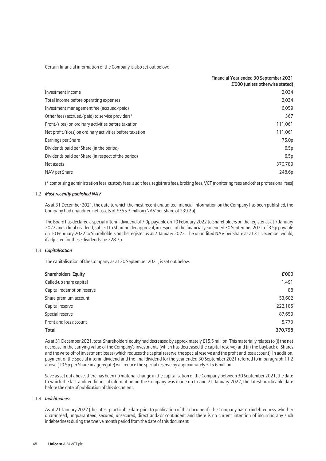Certain financial information of the Company is also set out below:

|                                                          | Financial Year ended 30 September 2021<br>£'000 (unless otherwise stated) |
|----------------------------------------------------------|---------------------------------------------------------------------------|
| Investment income                                        | 2,034                                                                     |
| Total income before operating expenses                   | 2,034                                                                     |
| Investment management fee (accrued/paid)                 | 6,059                                                                     |
| Other fees (accrued/paid) to service providers*          | 367                                                                       |
| Profit/(loss) on ordinary activities before taxation     | 111,061                                                                   |
| Net profit/(loss) on ordinary activities before taxation | 111,061                                                                   |
| Earnings per Share                                       | 75.0p                                                                     |
| Dividends paid per Share (in the period)                 | 6.5p                                                                      |
| Dividends paid per Share (in respect of the period)      | 6.5p                                                                      |
| Net assets                                               | 370,789                                                                   |
| NAV per Share                                            | 248.6p                                                                    |

(\* comprising administration fees, custody fees, audit fees, registrar's fees, broking fees, VCT monitoring fees and other professional fees)

#### 11.2 *Most recently published NAV*

As at 31 December 2021, the date to which the most recent unaudited financial information on the Company has been published, the Company had unaudited net assets of £355.3 million (NAV per Share of 239.2p).

The Board has declared a special interim dividend of 7.0p payable on 10 February 2022 to Shareholders on the register as at 7 January 2022 and a final dividend, subject to Shareholder approval, in respect of the financial year ended 30 September 2021 of 3.5p payable on 10 February 2022 to Shareholders on the register as at 7 January 2022. The unaudited NAV per Share as at 31 December would, if adjusted for these dividends, be 228.7p.

#### 11.3 *Capitalisation*

The capitalisation of the Company as at 30 September 2021, is set out below.

| <b>Shareholders' Equity</b> | £'000   |
|-----------------------------|---------|
| Called-up share capital     | 1,491   |
| Capital redemption reserve  | 88      |
| Share premium account       | 53,602  |
| Capital reserve             | 222,185 |
| Special reserve             | 87,659  |
| Profit and loss account     | 5,773   |
| Total                       | 370,798 |

As at 31 December 2021, total Shareholders' equity had decreased by approximately £15.5 million. This materially relates to (i) the net decrease in the carrying value of the Company's investments (which has decreased the capital reserve) and (ii) the buyback of Shares and the write-off of investment losses (which reduces the capital reserve, the special reserve and the profit and loss account). In addition, payment of the special interim dividend and the final dividend for the year ended 30 September 2021 referred to in paragraph 11.2 above (10.5p per Share in aggregate) will reduce the special reserve by approximately £15.6 million.

Save as set out above, there has been no material change in the capitalisation of the Company between 30 September 2021, the date to which the last audited financial information on the Company was made up to and 21 January 2022, the latest practicable date before the date of publication of this document.

#### 11.4 *Indebtedness*

As at 21 January 2022 (the latest practicable date prior to publication of this document), the Company has no indebtedness, whether guaranteed, unguaranteed, secured, unsecured, direct and/or contingent and there is no current intention of incurring any such indebtedness during the twelve month period from the date of this document.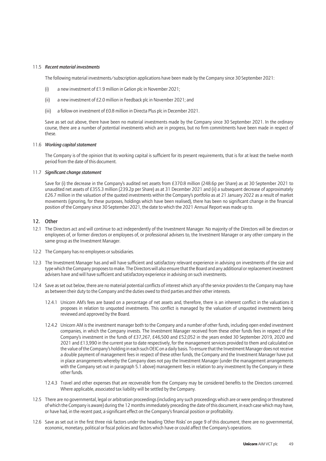#### 11.5 *Recent material investments*

The following material investments/subscription applications have been made by the Company since 30 September 2021:

- (i) a new investment of £1.9 million in Gelion plc in November 2021;
- (ii) a new investment of £2.0 million in Feedback plc in November 2021; and
- (iii) a follow-on investment of £0.8 million in Directa Plus plc in December 2021.

Save as set out above, there have been no material investments made by the Company since 30 September 2021. In the ordinary course, there are a number of potential investments which are in progress, but no firm commitments have been made in respect of these.

#### 11.6 Working capital statement

The Company is of the opinion that its working capital is sufficient for its present requirements, that is for at least the twelve month period from the date of this document.

#### 11.7 *Significant change statement*

Save for (i) the decrease in the Company's audited net assets from £370.8 million (248.6p per Share) as at 30 September 2021 to unaudited net assets of £355.3 million (239.2p per Share) as at 31 December 2021 and (ii) a subsequent decrease of approximately £26.7 million in the valuation of the quoted investments within the Company's portfolio as at 21 January 2022 as a result of market movements (ignoring, for these purposes, holdings which have been realised), there has been no significant change in the financial position of the Company since 30 September 2021, the date to which the 2021 Annual Report was made up to.

#### 12. Other

- 12.1 The Directors act and will continue to act independently of the Investment Manager. No majority of the Directors will be directors or employees of, or former directors or employees of, or professional advisers to, the Investment Manager or any other company in the same group as the Investment Manager.
- 12.2 The Company has no employees or subsidiaries.
- 12.3 The Investment Manager has and will have sufficient and satisfactory relevant experience in advising on investments of the size and type which the Company proposes to make. The Directors will also ensure that the Board and any additional or replacement investment advisers have and will have sufficient and satisfactory experience in advising on such investments.
- 12.4 Save as set out below, there are no material potential conflicts of interest which any of the service providers to the Company may have as between their duty to the Company and the duties owed to third parties and their other interests.
	- 12.4.1 Unicorn AM's fees are based on a percentage of net assets and, therefore, there is an inherent conflict in the valuations it proposes in relation to unquoted investments. This conflict is managed by the valuation of unquoted investments being reviewed and approved by the Board.
	- 12.4.2 Unicorn AM is the investment manager both to the Company and a number of other funds, including open ended investment companies, in which the Company invests. The Investment Manager received from these other funds fees in respect of the Company's investment in the funds of £37,267, £46,500 and £52,052 in the years ended 30 September 2019, 2020 and 2021 and £13,990 in the current year to date respectively, for the management services provided to them and calculated on the value of the Company's holding in each such OEIC on a daily basis. To ensure that the Investment Manager does not receive a double payment of management fees in respect of these other funds, the Company and the Investment Manager have put in place arrangements whereby the Company does not pay the Investment Manager (under the management arrangements with the Company set out in paragraph 5.1 above) management fees in relation to any investment by the Company in these other funds.
	- 12.4.3 Travel and other expenses that are recoverable from the Company may be considered benefits to the Directors concerned. Where applicable, associated tax liability will be settled by the Company.
- 12.5 There are no governmental, legal or arbitration proceedings (including any such proceedings which are or were pending or threatened of which the Company is aware) during the 12 months immediately preceding the date of this document, in each case which may have, or have had, in the recent past, a significant effect on the Company's financial position or profitability.
- 12.6 Save as set out in the first three risk factors under the heading 'Other Risks' on page 9 of this document, there are no governmental, economic, monetary, political or fiscal policies and factors which have or could affect the Company's operations.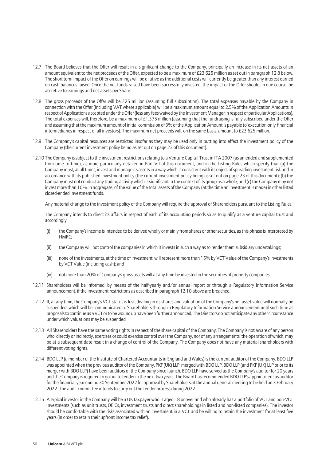- 12.7 The Board believes that the Offer will result in a significant change to the Company, principally an increase in its net assets of an amount equivalent to the net proceeds of the Offer, expected to be a maximum of £23.625 million as set out in paragraph 12.8 below. The short term impact of the Offer on earnings will be dilutive as the additional costs will currently be greater than any interest earned on cash balances raised. Once the net funds raised have been successfully invested, the impact of the Offer should, in due course, be accretive to earnings and net assets per Share.
- 12.8 The gross proceeds of the Offer will be £25 million (assuming full subscription). The total expenses payable by the Company in connection with the Offer (including VAT where applicable) will be a maximum amount equal to 2.5% of the Application Amounts in respect of Applications accepted under the Offer (less any fees waived by the Investment Manager in respect of particular Applications). The total expenses will, therefore, be a maximum of £1.375 million (assuming that the fundraising is fully subscribed under the Offer and assuming that the maximum amount of initial commission of 3% of the Application Amount is payable to 'execution-only' financial intermediaries in respect of all investors). The maximum net proceeds will, on the same basis, amount to £23.625 million.
- 12.9 The Company's capital resources are restricted insofar as they may be used only in putting into effect the investment policy of the Company (the current investment policy being as set out on page 23 of this document).
- 12.10 The Company is subject to the investment restrictions relating to a Venture Capital Trust in ITA 2007 (as amended and supplemented from time to time), as more particularly detailed in Part VII of this document, and in the Listing Rules which specify that (a) the Company must, at all times, invest and manage its assets in a way which is consistent with its object of spreading investment risk and in accordance with its published investment policy (the current investment policy being as set out on page 23 of this document); (b) the Company must not conduct any trading activity which is significant in the context of its group as a whole; and (c) the Company may not invest more than 10%, in aggregate, of the value of the total assets of the Company (at the time an investment is made) in other listed closed-ended investment funds.

Any material change to the investment policy of the Company will require the approval of Shareholders pursuant to the Listing Rules.

The Company intends to direct its affairs in respect of each of its accounting periods so as to qualify as a venture capital trust and accordingly:

- (i) the Company's income is intended to be derived wholly or mainly from shares or other securities, as this phrase is interpreted by HMRC;
- (ii) the Company will not control the companies in which it invests in such a way as to render them subsidiary undertakings;
- (iii) none of the investments, at the time of investment, will represent more than 15% by VCT Value of the Company's investments by VCT Value (including cash); and
- (iv) not more than 20% of Company's gross assets will at any time be invested in the securities of property companies.
- 12.11 Shareholders will be informed, by means of the half-yearly and/or annual report or through a Regulatory Information Service announcement, if the investment restrictions as described in paragraph 12.10 above are breached.
- 12.12 If, at any time, the Company's VCT status is lost, dealing in its shares and valuation of the Company's net asset value will normally be suspended, which will be communicated to Shareholders through a Regulatory Information Service announcement until such time as proposals to continue as a VCT or to be wound up have been further announced. The Directors do not anticipate any other circumstance under which valuations may be suspended.
- 12.13 All Shareholders have the same voting rights in respect of the share capital of the Company. The Company is not aware of any person who, directly or indirectly, exercises or could exercise control over the Company, nor of any arrangements, the operation of which, may be at a subsequent date result in a change of control of the Company. The Company does not have any material shareholders with different voting rights.
- 12.14 BDO LLP (a member of the Institute of Chartered Accountants in England and Wales) is the current auditor of the Company. BDO LLP was appointed when the previous auditor of the Company, PKF (UK) LLP, merged with BDO LLP. BDO LLP (and PKF (UK) LLP prior to its merger with BDO LLP) have been auditors of the Company since launch. BDO LLP have served as the Company's auditor for 20 years and the Company is required to go out to tender in the next two years. The Board has recommended BDO LLP's appointment as auditor for the financial year ending 30 September 2022 for approval by Shareholders at the annual general meeting to be held on 3 February 2022. The audit committee intends to carry out the tender process during 2022.
- 12.15 A typical investor in the Company will be a UK taxpayer who is aged 18 or over and who already has a portfolio of VCT and non-VCT investments (such as unit trusts, OEICs, investment trusts and direct shareholdings in listed and non-listed companies). The investor should be comfortable with the risks associated with an investment in a VCT and be willing to retain the investment for at least five years (in order to retain their upfront income tax relief).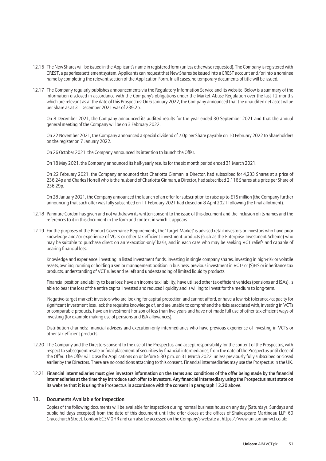- 12.16 The New Shares will be issued in the Applicant's name in registered form (unless otherwise requested). The Company is registered with CREST, a paperless settlement system. Applicants can request that New Shares be issued into a CREST account and/or into a nominee name by completing the relevant section of the Application Form. In all cases, no temporary documents of title will be issued.
- 12.17 The Company regularly publishes announcements via the Regulatory Information Service and its website. Below is a summary of the information disclosed in accordance with the Company's obligations under the Market Abuse Regulation over the last 12 months which are relevant as at the date of this Prospectus: On 6 January 2022, the Company announced that the unaudited net asset value per Share as at 31 December 2021 was of 239.2p.

On 8 December 2021, the Company announced its audited results for the year ended 30 September 2021 and that the annual general meeting of the Company will be on 3 February 2022.

On 22 November 2021, the Company announced a special dividend of 7.0p per Share payable on 10 February 2022 to Shareholders on the register on 7 January 2022.

On 26 October 2021, the Company announced its intention to launch the Offer.

On 18 May 2021, the Company announced its half-yearly results for the six month period ended 31 March 2021.

On 22 February 2021, the Company announced that Charlotta Ginman, a Director, had subscribed for 4,233 Shares at a price of 236.24p and Charles Horrell who is the husband of Charlotta Ginman, a Director, had subscribed 2,116 Shares at a price per Share of 236.29p.

On 28 January 2021, the Company announced the launch of an offer for subscription to raise up to £15 million (the Company further announcing that such offer was fully subscribed on 11 February 2021 had closed on 8 April 2021 following the final allotment).

- 12.18 Panmure Gordon has given and not withdrawn its written consent to the issue of this document and the inclusion of its names and the references to it in this document in the form and context in which it appears.
- 12.19 For the purposes of the Product Governance Requirements, the 'Target Market' is advised retail investors or investors who have prior knowledge and/or experience of VCTs or other tax-efficient investment products (such as the Enterprise Investment Scheme) who may be suitable to purchase direct on an 'execution-only' basis, and in each case who may be seeking VCT reliefs and capable of bearing financial loss.

Knowledge and experience: investing in listed investment funds, investing in single company shares, investing in high-risk or volatile assets, owning, running or holding a senior management position in business, previous investment in VCTs or (S)EIS or inheritance tax products, understanding of VCT rules and reliefs and understanding of limited liquidity products.

Financial position and ability to bear loss: have an income tax liability, have utilised other tax-efficient vehicles (pensions and ISAs), is able to bear the loss of the entire capital invested and reduced liquidity and is willing to invest for the medium to long-term.

'Negative-target market': investors who are looking for capital protection and cannot afford, or have a low risk tolerance/capacity for significant investment loss, lack the requisite knowledge of, and are unable to comprehend the risks associated with, investing in VCTs or comparable products, have an investment horizon of less than five years and have not made full use of other tax-efficient ways of investing (for example making use of pensions and ISA allowances).

Distribution channels: financial advisers and execution-only intermediaries who have previous experience of investing in VCTs or other tax-efficient products.

- 12.20 The Company and the Directors consent to the use of the Prospectus, and accept responsibility for the content of the Prospectus, with respect to subsequent resale or final placement of securities by financial intermediaries, from the date of the Prospectus until close of the Offer. The Offer will close for Applications on or before 5.30 p.m. on 31 March 2022, unless previously fully subscribed or closed earlier by the Directors. There are no conditions attaching to this consent. Financial intermediaries may use the Prospectus in the UK.
- 12.21 Financial intermediaries must give investors information on the terms and conditions of the offer being made by the financial intermediaries at the time they introduce such offer to investors. Any financial intermediary using the Prospectus must state on its website that it is using the Prospectus in accordance with the consent in paragraph 12.20 above.

#### 13. Documents Available for Inspection

Copies of the following documents will be available for inspection during normal business hours on any day (Saturdays, Sundays and public holidays excepted) from the date of this document until the offer closes at the offices of Shakespeare Martineau LLP, 60 Gracechurch Street, London EC3V 0HR and can also be accessed on the Company's website at https://www.unicornaimvct.co.uk: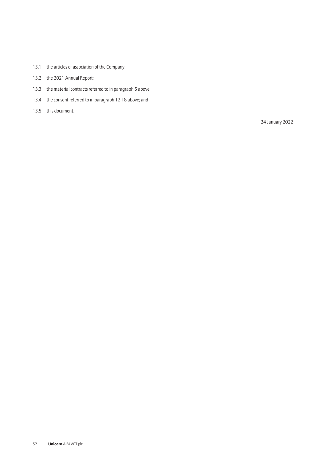- 13.1 the articles of association of the Company;
- 13.2 the 2021 Annual Report;
- 13.3 the material contracts referred to in paragraph 5 above;
- 13.4 the consent referred to in paragraph 12.18 above; and
- 13.5 this document.

24 January 2022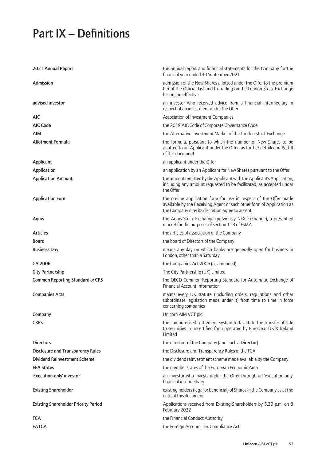# Part IX – Definitions

| 2021 Annual Report                          | the annual report and financial statements for the Company for the<br>financial year ended 30 September 2021                                                                                 |
|---------------------------------------------|----------------------------------------------------------------------------------------------------------------------------------------------------------------------------------------------|
| Admission                                   | admission of the New Shares allotted under the Offer to the premium<br>tier of the Official List and to trading on the London Stock Exchange<br>becoming effective                           |
| advised investor                            | an investor who received advice from a financial intermediary in<br>respect of an investment under the Offer                                                                                 |
| AIC                                         | Association of Investment Companies                                                                                                                                                          |
| AIC Code                                    | the 2019 AIC Code of Corporate Governance Code                                                                                                                                               |
| AIM                                         | the Alternative Investment Market of the London Stock Exchange                                                                                                                               |
| <b>Allotment Formula</b>                    | the formula, pursuant to which the number of New Shares to be<br>allotted to an Applicant under the Offer, as further detailed in Part II<br>of this document                                |
| Applicant                                   | an applicant under the Offer                                                                                                                                                                 |
| Application                                 | an application by an Applicant for New Shares pursuant to the Offer                                                                                                                          |
| <b>Application Amount</b>                   | the amount remitted by the Applicant with the Applicant's Application,<br>including any amount requested to be facilitated, as accepted under<br>the Offer                                   |
| <b>Application Form</b>                     | the on-line application form for use in respect of the Offer made<br>available by the Receiving Agent or such other form of Application as<br>the Company may its discretion agree to accept |
| <b>Aquis</b>                                | the Aquis Stock Exchange (previously NEX Exchange), a prescribed<br>market for the purposes of section 118 of FSMA                                                                           |
| <b>Articles</b>                             | the articles of association of the Company                                                                                                                                                   |
| Board                                       | the board of Directors of the Company                                                                                                                                                        |
| <b>Business Day</b>                         | means any day on which banks are generally open for business in<br>London, other than a Saturday                                                                                             |
| CA 2006                                     | the Companies Act 2006 (as amended)                                                                                                                                                          |
| <b>City Partnership</b>                     | The City Partnership (UK) Limited                                                                                                                                                            |
| <b>Common Reporting Standard or CRS</b>     | the OECD Common Reporting Standard for Automatic Exchange of<br><b>Financial Account Information</b>                                                                                         |
| <b>Companies Acts</b>                       | means every UK statute (including orders, regulations and other<br>subordinate legislation made under it) from time to time in force<br>concerning companies                                 |
| Company                                     | Unicorn AIM VCT plc                                                                                                                                                                          |
| <b>CREST</b>                                | the computerised settlement system to facilitate the transfer of title<br>to securities in uncertified form operated by Euroclear UK & Ireland<br>Limited                                    |
| <b>Directors</b>                            | the directors of the Company (and each a Director)                                                                                                                                           |
| <b>Disclosure and Transparency Rules</b>    | the Disclosure and Transparency Rules of the FCA                                                                                                                                             |
| <b>Dividend Reinvestment Scheme</b>         | the dividend reinvestment scheme made available by the Company                                                                                                                               |
| <b>EEA States</b>                           | the member states of the European Economic Area                                                                                                                                              |
| 'Execution-only' investor                   | an investor who invests under the Offer through an 'execution-only'<br>financial intermediary                                                                                                |
| <b>Existing Shareholder</b>                 | existing holders (legal or beneficial) of Shares in the Company as at the<br>date of this document                                                                                           |
| <b>Existing Shareholder Priority Period</b> | Applications received from Existing Shareholders by 5.30 p.m. on 8<br>February 2022                                                                                                          |
| <b>FCA</b>                                  | the Financial Conduct Authority                                                                                                                                                              |
| <b>FATCA</b>                                | the Foreign Account Tax Compliance Act                                                                                                                                                       |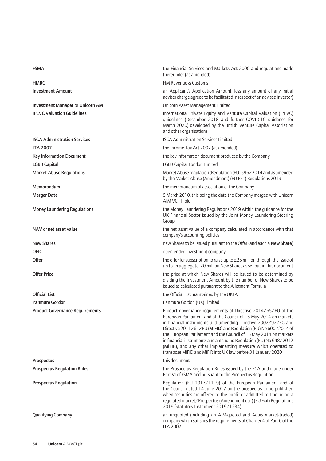Investment Manager or Unicorn AM Unicorn Asset Management Limited

LGBR Capital LGBR Capital London Limited

Official List the Official List maintained by the UKLA Panmure Gordon **Panmure Gordon** Panmure Gordon (UK) Limited

Prospectus this document

FSMA the Financial Services and Markets Act 2000 and regulations made thereunder (as amended)

HMRC **HMRC HM Revenue & Customs HM Revenue & Customs** 

Investment Amount and Applicant's Applicant's Application Amount, less any amount of any initial adviser charge agreed to be facilitated in respect of an advised investor)

IPEVC Valuation Guidelines **International Private Equity and Venture Capital Valuation (IPEVC)** guidelines (December 2018 and further COVID-19 guidance for March 2020) developed by the British Venture Capital Association and other organisations

**ISCA Administration Services ISCA Administration Services Limited** 

ITA 2007 **ITA 2007** the Income Tax Act 2007 (as amended)

Key Information Document the key information document produced by the Company

Market Abuse Regulations Market Abuse regulation (Regulation (EU) 596/2014 and as amended by the Market Abuse (Amendment) (EU Exit) Regulations 2019

Memorandum the memorandum of association of the Company

Merger Date **19 March 2010**, this being the date the Company merged with Unicorn AIM VCT II plc

Money Laundering Regulations **the Money Laundering Regulations 2019** within the guidance for the Money Laundering Regulations 2019 within the guidance for the UK Financial Sector issued by the Joint Money Laundering Steering Group

NAV or net asset value the net asset value of a company calculated in accordance with that company's accounting policies

New Shares new Shares to be issued pursuant to the Offer (and each a New Share)

OEIC open-ended investment company

Offer the offer for subscription to raise up to £25 million through the issue of up to, in aggregate, 20 million New Shares as set out in this document

Offer Price **Offer Price** the price at which New Shares will be issued to be determined by dividing the Investment Amount by the number of New Shares to be issued as calculated pursuant to the Allotment Formula

Product Governance Requirements **Product accomments** Product governance requirements of Directive 2014/65/EU of the European Parliament and of the Council of 15 May 2014 on markets in financial instruments and amending Directive 2002/92/EC and Directive 2011/61/EU (MiFID) and Regulation (EU) No 600/2014 of the European Parliament and the Council of 15 May 2014 on markets in financial instruments and amending Regulation (EU) No 648/2012 (MiFIR), and any other implementing measure which operated to transpose MiFiD and MiFiR into UK law before 31 January 2020

Prospectus Regulation Rules the Prospectus Regulation Rules issued by the FCA and made under Part VI of FSMA and pursuant to the Prospectus Regulation

Prospectus Regulation **Regulation** Regulation (EU 2017/1119) of the European Parliament and of the Council dated 14 June 2017 on the prospectus to be published when securities are offered to the public or admitted to trading on a regulated market/Prospectus (Amendment etc.) (EU Exit) Regulations 2019 (Statutory Instrument 2019/1234)

Qualifying Company an unquoted (including an AIM-quoted and Aquis market-traded) company which satisfies the requirements of Chapter 4 of Part 6 of the ITA 2007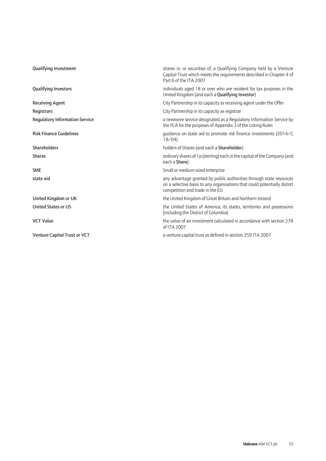| <b>Qualifying Investment</b>          | shares in, or securities of, a Qualifying Company held by a Venture<br>Capital Trust which meets the requirements described in Chapter 4 of<br>Part 6 of the ITA 2007              |
|---------------------------------------|------------------------------------------------------------------------------------------------------------------------------------------------------------------------------------|
| <b>Qualifying Investors</b>           | individuals aged 18 or over who are resident for tax purposes in the<br>United Kingdom (and each a Qualifying Investor)                                                            |
| <b>Receiving Agent</b>                | City Partnership in its capacity as receiving agent under the Offer                                                                                                                |
| Registrars                            | City Partnership in its capacity as registrar                                                                                                                                      |
| <b>Regulatory Information Service</b> | a newswire service designated as a Regulatory Information Service by<br>the FCA for the purposes of Appendix 3 of the Listing Rules                                                |
| <b>Risk Finance Guidelines</b>        | quidance on state aid to promote risk finance investments (2014/C)<br>19/04                                                                                                        |
| <b>Shareholders</b>                   | holders of Shares (and each a Shareholder)                                                                                                                                         |
| <b>Shares</b>                         | ordinary shares of 1 p (sterling) each in the capital of the Company (and<br>each a Share)                                                                                         |
| <b>SME</b>                            | Small or medium-sized enterprise                                                                                                                                                   |
| state aid                             | any advantage granted by public authorities through state resources<br>on a selective basis to any organisations that could potentially distort<br>competition and trade in the EU |
| United Kingdom or UK                  | the United Kingdom of Great Britain and Northern Ireland                                                                                                                           |
| <b>United States or US</b>            | the United States of America, its states, territories and possessions<br>(including the District of Columbia)                                                                      |
| <b>VCT Value</b>                      | the value of an investment calculated in accordance with section 278<br>of ITA 2007                                                                                                |
| Venture Capital Trust or VCT          | a venture capital trust as defined in section 259 ITA 2007                                                                                                                         |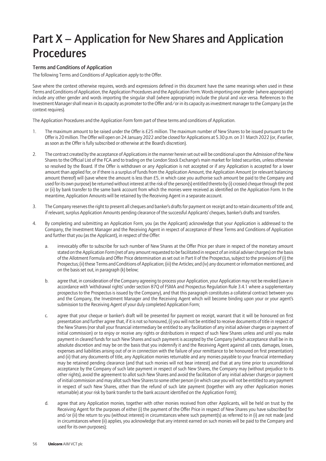## Part X – Application for New Shares and Application Procedures

#### Terms and Conditions of Application

The following Terms and Conditions of Application apply to the Offer.

Save where the context otherwise requires, words and expressions defined in this document have the same meanings when used in these Terms and Conditions of Application, the Application Procedures and the Application Form. Words importing one gender (where appropriate) include any other gender and words importing the singular shall (where appropriate) include the plural and vice versa. References to the Investment Manager shall mean in its capacity as promoter to the Offer and/or in its capacity as investment manager to the Company (as the context requires).

The Application Procedures and the Application Form form part of these terms and conditions of Application.

- 1. The maximum amount to be raised under the Offer is £25 million. The maximum number of New Shares to be issued pursuant to the Offer is 20 million. The Offer will open on 24 January 2022 and be closed for Applications at 5.30 p.m. on 31 March 2022 (or, if earlier, as soon as the Offer is fully subscribed or otherwise at the Board's discretion).
- 2. The contract created by the acceptance of Applications in the manner herein set out will be conditional upon the Admission of the New Shares to the Official List of the FCA and to trading on the London Stock Exchange's main market for listed securities, unless otherwise so resolved by the Board. If the Offer is withdrawn or any Application is not accepted or if any Application is accepted for a lower amount than applied for, or if there is a surplus of funds from the Application Amount, the Application Amount (or relevant balancing amount thereof) will (save where the amount is less than £5, in which case you authorise such amount be paid to the Company and used for its own purpose) be returned without interest at the risk of the person(s) entitled thereto by (i) crossed cheque through the post or (ii) by bank transfer to the same bank account from which the monies were received as identified on the Application Form. In the meantime, Application Amounts will be retained by the Receiving Agent in a separate account.
- 3. The Company reserves the right to present all cheques and banker's drafts for payment on receipt and to retain documents of title and, if relevant, surplus Application Amounts pending clearance of the successful Applicants' cheques, banker's drafts and transfers.
- 4. By completing and submitting an Application Form, you (as the Applicant) acknowledge that your Application is addressed to the Company, the Investment Manager and the Receiving Agent in respect of acceptance of these Terms and Conditions of Application and further that you (as the Applicant), in respect of the Offer:
	- a. irrevocably offer to subscribe for such number of New Shares at the Offer Price per share in respect of the monetary amount stated on the Application Form (net of any amount requested to be facilitated in respect of an initial adviser charges) on the basis of the Allotment Formula and Offer Price determination as set out in Part II of the Prospectus, subject to the provisions of (i) the Prospectus; (ii) these Terms and Conditions of Application; (iii) the Articles; and (iv) any document or information mentioned, and on the basis set out, in paragraph (k) below;
	- b. agree that, in consideration of the Company agreeing to process your Application, your Application may not be revoked (save in accordance with 'withdrawal rights' under section 87Q of FSMA and Prospectus Regulation Rule 3.4.1 where a supplementary prospectus to the Prospectus is issued by the Company), and that this paragraph constitutes a collateral contract between you and the Company, the Investment Manager and the Receiving Agent which will become binding upon your or your agent's submission to the Receiving Agent of your duly completed Application Form;
	- c. agree that your cheque or banker's draft will be presented for payment on receipt, warrant that it will be honoured on first presentation and further agree that, if it is not so honoured, (i) you will not be entitled to receive documents of title in respect of the New Shares (nor shall your financial intermediary be entitled to any facilitation of any initial adviser charges or payment of initial commission) or to enjoy or receive any rights or distributions in respect of such New Shares unless and until you make payment in cleared funds for such New Shares and such payment is accepted by the Company (which acceptance shall be in its absolute discretion and may be on the basis that you indemnify it and the Receiving Agent against all costs, damages, losses, expenses and liabilities arising out of or in connection with the failure of your remittance to be honoured on first presentation) and (ii) that any documents of title, any Application monies returnable and any monies payable to your financial intermediary may be retained pending clearance (and that such monies will not bear interest) and that at any time prior to unconditional acceptance by the Company of such late payment in respect of such New Shares, the Company may (without prejudice to its other rights), avoid the agreement to allot such New Shares and avoid the facilitation of any initial adviser charges or payment of initial commission and may allot such New Shares to some other person (in which case you will not be entitled to any payment in respect of such New Shares, other than the refund of such late payment (together with any other Application monies returnable) at your risk by bank transfer to the bank account identified on the Application Form);
	- d. agree that any Application monies, together with other monies received from other Applicants, will be held on trust by the Receiving Agent for the purposes of either (i) the payment of the Offer Price in respect of New Shares you have subscribed for and/or (ii) the return to you (without interest) in circumstances where such payment(s) as referred to in (i) are not made (and in circumstances where (ii) applies, you acknowledge that any interest earned on such monies will be paid to the Company and used for its own purposes);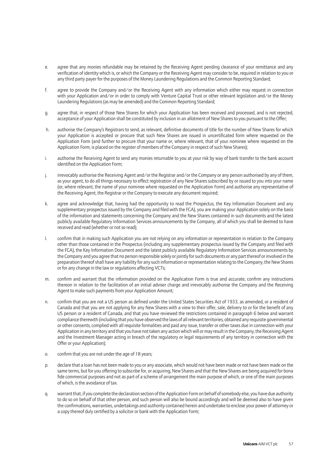- e. agree that any monies refundable may be retained by the Receiving Agent pending clearance of your remittance and any verification of identity which is, or which the Company or the Receiving Agent may consider to be, required in relation to you or any third party payer for the purposes of the Money Laundering Regulations and the Common Reporting Standard;
- f. agree to provide the Company and/or the Receiving Agent with any information which either may request in connection with your Application and/or in order to comply with Venture Capital Trust or other relevant legislation and/or the Money Laundering Regulations (as may be amended) and the Common Reporting Standard;
- g. agree that, in respect of those New Shares for which your Application has been received and processed, and is not rejected, acceptance of your Application shall be constituted by inclusion in an allotment of New Shares to you pursuant to the Offer;
- h. authorise the Company's Registrars to send, as relevant, definitive documents of title for the number of New Shares for which your Application is accepted or procure that such New Shares are issued in uncertificated form where requested on the Application Form (and further to procure that your name or, where relevant, that of your nominee where requested on the Application Form, is placed on the register of members of the Company in respect of such New Shares);
- i. authorise the Receiving Agent to send any monies returnable to you at your risk by way of bank transfer to the bank account identified on the Application Form;
- j. irrevocably authorise the Receiving Agent and/or the Registrar and/or the Company or any person authorised by any of them, as your agent, to do all things necessary to effect registration of any New Shares subscribed by or issued to you into your name (or, where relevant, the name of your nominee where requested on the Application Form) and authorise any representative of the Receiving Agent, the Registrar or the Company to execute any document required;
- k. agree and acknowledge that, having had the opportunity to read the Prospectus, the Key Information Document and any supplementary prospectus issued by the Company and filed with the FCA), you are making your Application solely on the basis of the information and statements concerning the Company and the New Shares contained in such documents and the latest publicly available Regulatory Information Services announcements by the Company, all of which you shall be deemed to have received and read (whether or not so read);
- l. confirm that in making such Application you are not relying on any information or representation in relation to the Company other than those contained in the Prospectus (including any supplementary prospectus issued by the Company and filed with the FCA), the Key Information Document and the latest publicly available Regulatory Information Services announcements by the Company and you agree that no person responsible solely or jointly for such documents or any part thereof or involved in the preparation thereof shall have any liability for any such information or representation relating to the Company, the New Shares or for any change in the law or regulations affecting VCTs;
- m. confirm and warrant that the information provided on the Application Form is true and accurate, confirm any instructions thereon in relation to the facilitation of an initial adviser charge and irrevocably authorise the Company and the Receiving Agent to make such payments from your Application Amount;
- n. confirm that you are not a US person as defined under the United States Securities Act of 1933, as amended, or a resident of Canada and that you are not applying for any New Shares with a view to their offer, sale, delivery to or for the benefit of any US person or a resident of Canada, and that you have reviewed the restrictions contained in paragraph 6 below and warrant compliance therewith (including that you have observed the laws of all relevant territories, obtained any requisite governmental or other consents, complied with all requisite formalities and paid any issue, transfer or other taxes due in connection with your Application in any territory and that you have not taken any action which will or may result in the Company, the Receiving Agent and the Investment Manager acting in breach of the regulatory or legal requirements of any territory in connection with the Offer or your Application);
- o. confirm that you are not under the age of 18 years;
- p. declare that a loan has not been made to you or any associate, which would not have been made or not have been made on the same terms, but for you offering to subscribe for, or acquiring, New Shares and that the New Shares are being acquired for bona fide commercial purposes and not as part of a scheme of arrangement the main purpose of which, or one of the main purposes of which, is the avoidance of tax.
- q. warrant that, if you complete the declaration section of the Application Form on behalf of somebody else, you have due authority to do so on behalf of that other person, and such person will also be bound accordingly and will be deemed also to have given the confirmations, warranties, undertakings and authority contained herein and undertake to enclose your power of attorney or a copy thereof duly certified by a solicitor or bank with the Application Form;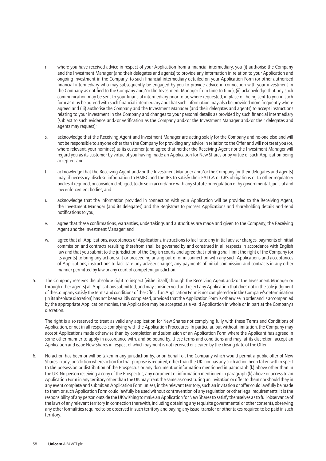- r. where you have received advice in respect of your Application from a financial intermediary, you (i) authorise the Company and the Investment Manager (and their delegates and agents) to provide any information in relation to your Application and ongoing investment in the Company, to such financial intermediary detailed on your Application Form (or other authorised financial intermediary who may subsequently be engaged by you to provide advice in connection with your investment in the Company as notified to the Company and/or the Investment Manager from time to time), (ii) acknowledge that any such communication may be sent to your financial intermediary prior to or, where requested, in place of, being sent to you in such form as may be agreed with such financial intermediary and that such information may also be provided more frequently where agreed and (iii) authorise the Company and the Investment Manager (and their delegates and agents) to accept instructions relating to your investment in the Company and changes to your personal details as provided by such financial intermediary (subject to such evidence and/or verification as the Company and/or the Investment Manager and/or their delegates and agents may request);
- s. acknowledge that the Receiving Agent and Investment Manager are acting solely for the Company and no-one else and will not be responsible to anyone other than the Company for providing any advice in relation to the Offer and will not treat you (or, where relevant, your nominee) as its customer (and agree that neither the Receiving Agent nor the Investment Manager will regard you as its customer by virtue of you having made an Application for New Shares or by virtue of such Application being accepted; and
- t. acknowledge that the Receiving Agent and/or the Investment Manager and/or the Company (or their delegates and agents) may, if necessary, disclose information to HMRC and the IRS to satisfy their FATCA or CRS obligations or to other regulatory bodies if required, or considered obliged, to do so in accordance with any statute or regulation or by governmental, judicial and law enforcement bodies; and
- u. acknowledge that the information provided in connection with your Application will be provided to the Receiving Agent, the Investment Manager (and its delegates) and the Registrars to process Applications and shareholding details and send notifications to you;
- v. agree that these confirmations, warranties, undertakings and authorities are made and given to the Company, the Receiving Agent and the Investment Manager; and
- w. agree that all Applications, acceptances of Applications, instructions to facilitate any initial adviser charges, payments of initial commission and contracts resulting therefrom shall be governed by and construed in all respects in accordance with English law and that you submit to the jurisdiction of the English courts and agree that nothing shall limit the right of the Company (or its agents) to bring any action, suit or proceeding arising out of or in connection with any such Applications and acceptances of Applications, instructions to facilitate any adviser charges, any payments of initial commission and contracts in any other manner permitted by law or any court of competent jurisdiction.
- 5. The Company reserves the absolute right to inspect (either itself, through the Receiving Agent and/or the Investment Manager or through other agents) all Applications submitted, and may consider void and reject any Application that does not in the sole judgment of the Company satisfy the terms and conditions of the Offer. If an Application Form is not completed or in the Company's determination (in its absolute discretion) has not been validly completed, provided that the Application Form is otherwise in order and is accompanied by the appropriate Application monies, the Application may be accepted as a valid Application in whole or in part at the Company's discretion.

The right is also reserved to treat as valid any application for New Shares not complying fully with these Terms and Conditions of Application, or not in all respects complying with the Application Procedures. In particular, but without limitation, the Company may accept Applications made otherwise than by completion and submission of an Application Form where the Applicant has agreed in some other manner to apply in accordance with, and be bound by, these terms and conditions and may, at its discretion, accept an Application and issue New Shares in respect of which payment is not received or cleared by the closing date of the Offer.

6. No action has been or will be taken in any jurisdiction by, or on behalf of, the Company which would permit a public offer of New Shares in any jurisdiction where action for that purpose is required, other than the UK, nor has any such action been taken with respect to the possession or distribution of the Prospectus or any document or information mentioned in paragraph (k) above other than in the UK. No person receiving a copy of the Prospectus, any document or information mentioned in paragraph (k) above or access to an Application Form in any territory other than the UK may treat the same as constituting an invitation or offer to them nor should they in any event complete and submit an Application Form unless, in the relevant territory, such an invitation or offer could lawfully be made to them or such Application Form could lawfully be used without contravention of any regulation or other legal requirements. It is the responsibility of any person outside the UK wishing to make an Application for New Shares to satisfy themselves as to full observance of the laws of any relevant territory in connection therewith, including obtaining any requisite governmental or other consents, observing any other formalities required to be observed in such territory and paying any issue, transfer or other taxes required to be paid in such territory.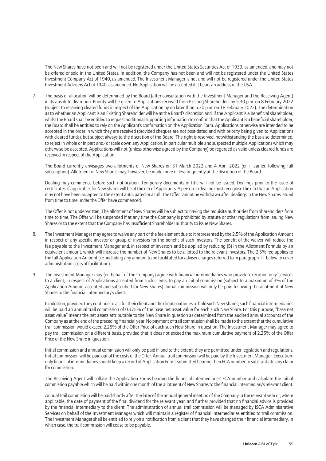The New Shares have not been and will not be registered under the United States Securities Act of 1933, as amended, and may not be offered or sold in the United States. In addition, the Company has not been and will not be registered under the United States Investment Company Act of 1940, as amended. The Investment Manager is not and will not be registered under the United States Investment Advisers Act of 1940, as amended. No Application will be accepted if it bears an address in the USA.

7. The basis of allocation will be determined by the Board (after consultation with the Investment Manager and the Receiving Agent) in its absolute discretion. Priority will be given to Applications received from Existing Shareholders by 5.30 p.m. on 8 February 2022 (subject to receiving cleared funds in respect of the Application by no later than 5.30 p.m. on 18 February 2022). The determination as to whether an Applicant is an Existing Shareholder will be at the Board's discretion and, if the Applicant is a beneficial shareholder, whilst the Board shall be entitled to request additional supporting information to confirm that the Applicant is a beneficial shareholder, the Board shall be entitled to rely on the Applicant's confirmation on the Application Form. Applications otherwise are intended to be accepted in the order in which they are received (provided cheques are not post-dated and with priority being given to Applications with cleared funds), but subject always to the discretion of the Board. The right is reserved, notwithstanding the basis so determined, to reject in whole or in part and/or scale down any Application, in particular multiple and suspected multiple Applications which may otherwise be accepted. Applications will not (unless otherwise agreed by the Company) be regarded as valid unless cleared funds are received in respect of the Application.

The Board currently envisages two allotments of New Shares on 31 March 2022 and 4 April 2022 (or, if earlier, following full subscription). Allotment of New Shares may, however, be made more or less frequently at the discretion of the Board.

Dealing may commence before such notification. Temporary documents of title will not be issued. Dealings prior to the issue of certificates, if applicable, for New Shares will be at the risk of Applicants. A person so dealing must recognise the risk that an Application may not have been accepted to the extent anticipated or at all. The Offer cannot be withdrawn after dealings in the New Shares issued from time to time under the Offer have commenced.

The Offer is not underwritten. The allotment of New Shares will be subject to having the requisite authorities from Shareholders from time to time. The Offer will be suspended if at any time the Company is prohibited by statute or other regulations from issuing New Shares or to the extent that the Company has insufficient Shareholder authority to issue New Shares.

- 8. The Investment Manager may agree to waive any part of the fee element due to it represented by the 2.5% of the Application Amount in respect of any specific investor or group of investors for the benefit of such investors. The benefit of the waiver will reduce the fee payable to the Investment Manager and, in respect of investors and be applied by reducing (B) in the Allotment Formula by an equivalent amount, which will increase the number of New Shares to be allotted to the relevant investors. The 2.5% fee applies to the full Application Amount (i.e. including any amount to be facilitated for adviser charges referred to in paragraph 11 below to cover administration costs of facilitation).
- 9. The Investment Manager may (on behalf of the Company) agree with financial intermediaries who provide 'execution-only' services to a client, in respect of Applications accepted from such clients, to pay an initial commission (subject to a maximum of 3% of the Application Amount accepted and subscribed for New Shares). Initial commission will only be paid following the allotment of New Shares to the financial intermediary's client.

In addition, provided they continue to act for their client and the client continues to hold such New Shares, such financial intermediaries will be paid an annual trail commission of 0.375% of the base net asset value for each such New Share. For this purpose, "base net asset value" means the net assets attributable to the New Share in question as determined from the audited annual accounts of the Company as at the end of the preceding financial year. No payment of trail commission shall be made to the extent that the cumulative trail commission would exceed 2.25% of the Offer Price of each such New Share in question. The Investment Manager may agree to pay trail commission on a different basis, provided that it does not exceed the maximum cumulative payment of 2.25% of the Offer Price of the New Share in question.

Initial commission and annual commission will only be paid if, and to the extent, they are permitted under legislation and regulations. Initial commission will be paid out of the costs of the Offer. Annual trail commission will be paid by the Investment Manager. Executiononly financial intermediaries should keep a record of Application Forms submitted bearing their FCA number to substantiate any claim for commission.

The Receiving Agent will collate the Application Forms bearing the financial intermediaries' FCA number and calculate the initial commission payable which will be paid within one month of the allotment of New Shares to the financial intermediary's relevant client.

Annual trail commission will be paid shortly after the later of the annual general meeting of the Company in the relevant year or, where applicable, the date of payment of the final dividend for the relevant year, and further provided that no financial advice is provided by the financial intermediary to the client. The administration of annual trail commission will be managed by ISCA Administrative Services on behalf of the Investment Manager which will maintain a register of financial intermediaries entitled to trail commission. The Investment Manager shall be entitled to rely on a notification from a client that they have changed their financial intermediary, in which case, the trail commission will cease to be payable.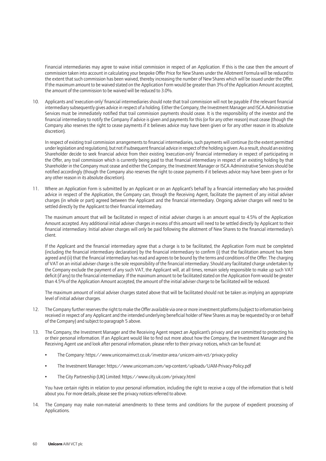Financial intermediaries may agree to waive initial commission in respect of an Application. If this is the case then the amount of commission taken into account in calculating your bespoke Offer Price for New Shares under the Allotment Formula will be reduced to the extent that such commission has been waived, thereby increasing the number of New Shares which will be issued under the Offer. If the maximum amount to be waived stated on the Application Form would be greater than 3% of the Application Amount accepted, the amount of the commission to be waived will be reduced to 3.0%.

10. Applicants and 'execution-only' financial intermediaries should note that trail commission will not be payable if the relevant financial intermediary subsequently gives advice in respect of a holding. Either the Company, the Investment Manager and ISCA Administrative Services must be immediately notified that trail commission payments should cease. It is the responsibility of the investor and the financial intermediary to notify the Company if advice is given and payments for this (or for any other reason) must cease (though the Company also reserves the right to cease payments if it believes advice may have been given or for any other reason in its absolute discretion).

In respect of existing trail commission arrangements to financial intermediaries, such payments will continue (to the extent permitted under legislation and regulations), but not if subsequent financial advice in respect of the holding is given. As a result, should an existing Shareholder decide to seek financial advice from their existing 'execution-only' financial intermediary in respect of participating in the Offer, any trail commission which is currently being paid to that financial intermediary in respect of an existing holding by that Shareholder in the Company must cease and either the Company, the Investment Manager or ISCA Administrative Services should be notified accordingly (though the Company also reserves the right to cease payments if it believes advice may have been given or for any other reason in its absolute discretion).

11. Where an Application Form is submitted by an Applicant or on an Applicant's behalf by a financial intermediary who has provided advice in respect of the Application, the Company can, through the Receiving Agent, facilitate the payment of any initial adviser charges (in whole or part) agreed between the Applicant and the financial intermediary. Ongoing adviser charges will need to be settled directly by the Applicant to their financial intermediary.

The maximum amount that will be facilitated in respect of initial adviser charges is an amount equal to 4.5% of the Application Amount accepted. Any additional initial adviser charges in excess of this amount will need to be settled directly by Applicant to their financial intermediary. Initial adviser charges will only be paid following the allotment of New Shares to the financial intermediary's client.

If the Applicant and the financial intermediary agree that a charge is to be facilitated, the Application Form must be completed (including the financial intermediary declaration) by the financial intermediary to confirm (i) that the facilitation amount has been agreed and (ii) that the financial intermediary has read and agrees to be bound by the terms and conditions of the Offer. The charging of VAT on an initial adviser charge is the sole responsibility of the financial intermediary. Should any facilitated charge undertaken by the Company exclude the payment of any such VAT, the Applicant will, at all times, remain solely responsible to make up such VAT deficit (if any) to the financial intermediary. If the maximum amount to be facilitated stated on the Application Form would be greater than 4.5% of the Application Amount accepted, the amount of the initial adviser charge to be facilitated will be reduced.

The maximum amount of initial adviser charges stated above that will be facilitated should not be taken as implying an appropriate level of initial adviser charges.

- 12. The Company further reserves the right to make the Offer available via one or more investment platforms (subject to information being received in respect of any Applicant and the intended underlying beneficial holder of New Shares as may be requested by or on behalf of the Company) and subject to paragraph 5 above.
- 13. The Company, the Investment Manager and the Receiving Agent respect an Applicant's privacy and are committed to protecting his or their personal information. If an Applicant would like to find out more about how the Company, the Investment Manager and the Receiving Agent use and look after personal information, please refer to their privacy notices, which can be found at:
	- The Company: https://www.unicornaimvct.co.uk/investor-area/unicorn-aim-vct/privacy-policy
	- The Investment Manager: https://www.unicornam.com/wp-content/uploads/UAM-Privacy-Policy.pdf
	- The City Partnership (UK) Limited: https://www.city.uk.com/privacy.html

You have certain rights in relation to your personal information, including the right to receive a copy of the information that is held about you. For more details, please see the privacy notices referred to above.

14. The Company may make non-material amendments to these terms and conditions for the purpose of expedient processing of Applications.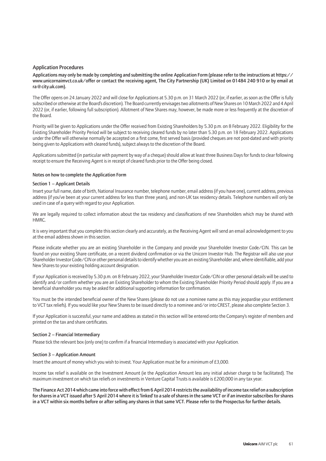#### Application Procedures

Applications may only be made by completing and submitting the online Application Form (please refer to the instructions at https:// www.unicornaimvct.co.uk/offer or contact the receiving agent, The City Partnership (UK) Limited on 01484 240 910 or by email at ra@city.uk.com).

The Offer opens on 24 January 2022 and will close for Applications at 5.30 p.m. on 31 March 2022 (or, if earlier, as soon as the Offer is fully subscribed or otherwise at the Board's discretion). The Board currently envisages two allotments of New Shares on 10 March 2022 and 4 April 2022 (or, if earlier, following full subscription). Allotment of New Shares may, however, be made more or less frequently at the discretion of the Board.

Priority will be given to Applications under the Offer received from Existing Shareholders by 5.30 p.m. on 8 February 2022. Eligibility for the Existing Shareholder Priority Period will be subject to receiving cleared funds by no later than 5.30 p.m. on 18 February 2022. Applications under the Offer will otherwise normally be accepted on a first come, first served basis (provided cheques are not post-dated and with priority being given to Applications with cleared funds), subject always to the discretion of the Board.

Applications submitted (in particular with payment by way of a cheque) should allow at least three Business Days for funds to clear following receipt to ensure the Receiving Agent is in receipt of cleared funds prior to the Offer being closed.

#### Notes on how to complete the Application Form

#### Section 1 – Applicant Details

Insert your full name, date of birth, National Insurance number, telephone number, email address (if you have one), current address, previous address (if you've been at your current address for less than three years), and non-UK tax residency details. Telephone numbers will only be used in case of a query with regard to your Application.

We are legally required to collect information about the tax residency and classifications of new Shareholders which may be shared with HMRC.

It is very important that you complete this section clearly and accurately, as the Receiving Agent will send an email acknowledgement to you at the email address shown in this section.

Please indicate whether you are an existing Shareholder in the Company and provide your Shareholder Investor Code/CIN. This can be found on your existing Share certificate, on a recent dividend confirmation or via the Unicorn Investor Hub. The Registrar will also use your Shareholder Investor Code/CIN or other personal details to identify whether you are an existing Shareholder and, where identifiable, add your New Shares to your existing holding account designation.

If your Application is received by 5.30 p.m. on 8 February 2022, your Shareholder Investor Code/CIN or other personal details will be used to identify and/or confirm whether you are an Existing Shareholder to whom the Existing Shareholder Priority Period should apply. If you are a beneficial shareholder you may be asked for additional supporting information for confirmation.

You must be the intended beneficial owner of the New Shares (please do not use a nominee name as this may jeopardise your entitlement to VCT tax reliefs). If you would like your New Shares to be issued directly to a nominee and/or into CREST, please also complete Section 3.

If your Application is successful, your name and address as stated in this section will be entered onto the Company's register of members and printed on the tax and share certificates.

#### Section 2 – Financial Intermediary

Please tick the relevant box (only one) to confirm if a financial Intermediary is associated with your Application.

#### Section 3 – Application Amount

Insert the amount of money which you wish to invest. Your Application must be for a minimum of £3,000.

Income tax relief is available on the Investment Amount (ie the Application Amount less any initial adviser charge to be facilitated). The maximum investment on which tax reliefs on investments in Venture Capital Trusts is available is £200,000 in any tax year.

The Finance Act 2014 which came into force with effect from 6 April 2014 restricts the availability of income tax relief on a subscription for shares in a VCT issued after 5 April 2014 where it is 'linked' to a sale of shares in the same VCT or if an investor subscribes for shares in a VCT within six months before or after selling any shares in that same VCT. Please refer to the Prospectus for further details.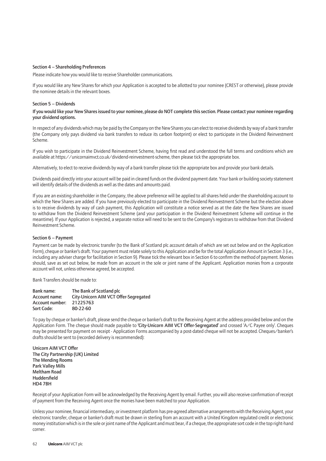#### Section 4 – Shareholding Preferences

Please indicate how you would like to receive Shareholder communications.

If you would like any New Shares for which your Application is accepted to be allotted to your nominee (CREST or otherwise), please provide the nominee details in the relevant boxes.

#### Section 5 – Dividends

#### If you would like your New Shares issued to your nominee, please do NOT complete this section. Please contact your nominee regarding your dividend options.

In respect of any dividends which may be paid by the Company on the New Shares you can elect to receive dividends by way of a bank transfer (the Company only pays dividend via bank transfers to reduce its carbon footprint) or elect to participate in the Dividend Reinvestment Scheme.

If you wish to participate in the Dividend Reinvestment Scheme, having first read and understood the full terms and conditions which are available at https://unicornaimvct.co.uk/dividend-reinvestment-scheme, then please tick the appropriate box.

Alternatively, to elect to receive dividends by way of a bank transfer please tick the appropriate box and provide your bank details.

Dividends paid directly into your account will be paid in cleared funds on the dividend payment date. Your bank or building society statement will identify details of the dividends as well as the dates and amounts paid.

If you are an existing shareholder in the Company, the above preference will be applied to all shares held under the shareholding account to which the New Shares are added. If you have previously elected to participate in the Dividend Reinvestment Scheme but the election above is to receive dividends by way of cash payment, this Application will constitute a notice served as at the date the New Shares are issued to withdraw from the Dividend Reinvestment Scheme (and your participation in the Dividend Reinvestment Scheme will continue in the meantime). If your Application is rejected, a separate notice will need to be sent to the Company's registrars to withdraw from that Dividend Reinvestment Scheme.

#### Section 6 – Payment

Payment can be made by electronic transfer (to the Bank of Scotland plc account details of which are set out below and on the Application Form), cheque or banker's draft. Your payment must relate solely to this Application and be for the total Application Amount in Section 3 (i.e., including any adviser charge for facilitation in Section 9). Please tick the relevant box in Section 6 to confirm the method of payment. Monies should, save as set out below, be made from an account in the sole or joint name of the Applicant. Application monies from a corporate account will not, unless otherwise agreed, be accepted.

Bank Transfers should be made to:

| Bank name:      | The Bank of Scotland plc              |
|-----------------|---------------------------------------|
| Account name:   | City-Unicorn AIM VCT Offer-Segregated |
| Account number: | 21225763                              |
| Sort Code:      | 80-22-60                              |

To pay by cheque or banker's draft, please send the cheque or banker's draft to the Receiving Agent at the address provided below and on the Application Form. The cheque should made payable to 'City-Unicorn AIM VCT Offer-Segregated' and crossed 'A/C Payee only'. Cheques may be presented for payment on receipt - Application Forms accompanied by a post-dated cheque will not be accepted. Cheques/banker's drafts should be sent to (recorded delivery is recommended):

Unicorn AIM VCT Offer The City Partnership (UK) Limited The Mending Rooms Park Valley Mills Meltham Road Huddersfield HD4 7BH

Receipt of your Application Form will be acknowledged by the Receiving Agent by email. Further, you will also receive confirmation of receipt of payment from the Receiving Agent once the monies have been matched to your Application.

Unless your nominee, financial intermediary, or investment platform has pre-agreed alternative arrangements with the Receiving Agent, your electronic transfer, cheque or banker's draft must be drawn in sterling from an account with a United Kingdom regulated credit or electronic money institution which is in the sole or joint name of the Applicant and must bear, if a cheque, the appropriate sort code in the top right-hand corner.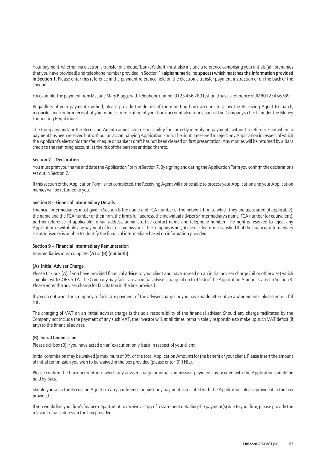Your payment, whether via electronic transfer or cheque/banker's draft, must also include a reference comprising your initials (all forenames that you have provided) and telephone number provided in Section 1 (alphanumeric, no spaces) which matches the information provided in Section 1. Please enter this reference in the payment reference field on the electronic transfer payment instruction or on the back of the cheque

For example, the payment from Ms Jane Mary Bloggs with telephone number 0123 456 7891, should have a reference of JMB01234567891.

Regardless of your payment method, please provide the details of the remitting bank account to allow the Receiving Agent to match, reconcile, and confirm receipt of your monies. Verification of your bank account also forms part of the Company's checks under the Money Laundering Regulations.

The Company and/or the Receiving Agent cannot take responsibility for correctly identifying payments without a reference nor where a payment has been received but without an accompanying Application Form. The right is reserved to reject any Application in respect of which the Applicant's electronic transfer, cheque or banker's draft has not been cleared on first presentation. Any monies will be returned by a Bacs credit to the remitting account, at the risk of the persons entitled thereto.

#### Section 7 – Declaration

You must print your name and date the Application Form in Section 7. By signing and dating the Application Form you confirm the declarations set out in Section 7.

If this section of the Application Form is not completed, the Receiving Agent will not be able to process your Application and your Application monies will be returned to you.

#### Section 8 – Financial Intermediary Details

Financial intermediaries must give in Section 8 the name and FCA number of the network firm to which they are associated (if applicable), the name and the FCA number of their firm, the firm's full address, the individual adviser's/intermediary's name, FCA number (or equivalent), partner reference (if applicable), email address, administrative contact name and telephone number. The right is reserved to reject any Application or withhold any payment of fees or commission if the Company is not, at its sole discretion, satisfied that the financial intermediary is authorised or is unable to identify the financial intermediary based on information provided.

#### Section 9 – Financial Intermediary Remuneration

Intermediaries must complete (A) or (B) (not both).

#### (A) Initial Adviser Charge

Please tick box (A) if you have provided financial advice to your client and have agreed on an initial adviser charge (nil or otherwise) which complies with COBS 6.1A. The Company may facilitate an initial adviser charge of up to 4.5% of the Application Amount stated in Section 3. Please enter the adviser charge for facilitation in the box provided.

If you do not want the Company to facilitate payment of the adviser charge, or you have made alternative arrangements, please enter '0' if NIL.

The charging of VAT on an initial adviser charge is the sole responsibility of the financial adviser. Should any charge facilitated by the Company not include the payment of any such VAT, the investor will, at all times, remain solely responsible to make up such VAT deficit (if any) to the financial adviser.

#### (B) Initial Commission

Please tick box (B) if you have acted on an 'execution-only' basis in respect of your client.

Initial commission may be waived (a maximum of 3% of the total Application Amount) for the benefit of your client. Please insert the amount of initial commission you wish to be waived in the box provided (please enter '0' if NIL).

Please confirm the bank account into which any adviser charge or initial commission payments associated with the Application should be paid by Bacs.

Should you wish the Receiving Agent to carry a reference against any payment associated with the Application, please provide it in the box provided.

If you would like your firm's finance department to receive a copy of a statement detailing the payment(s) due to your firm, please provide the relevant email address in the box provided.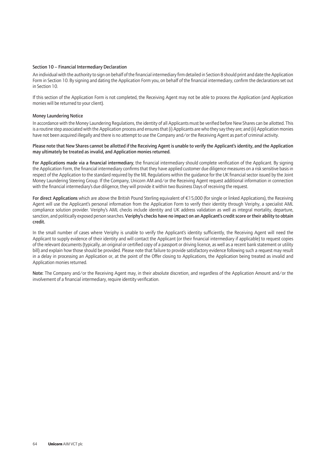#### Section 10 – Financial Intermediary Declaration

An individual with the authority to sign on behalf of the financial intermediary firm detailed in Section 8 should print and date the Application Form in Section 10. By signing and dating the Application Form you, on behalf of the financial intermediary, confirm the declarations set out in Section 10.

If this section of the Application Form is not completed, the Receiving Agent may not be able to process the Application (and Application monies will be returned to your client).

#### Money Laundering Notice

In accordance with the Money Laundering Regulations, the identity of all Applicants must be verified before New Shares can be allotted. This is a routine step associated with the Application process and ensures that (i) Applicants are who they say they are; and (ii) Application monies have not been acquired illegally and there is no attempt to use the Company and/or the Receiving Agent as part of criminal activity.

#### Please note that New Shares cannot be allotted if the Receiving Agent is unable to verify the Applicant's identity, and the Application may ultimately be treated as invalid, and Application monies returned.

For Applications made via a financial intermediary, the financial intermediary should complete verification of the Applicant. By signing the Application Form, the financial intermediary confirms that they have applied customer due diligence measures on a risk sensitive basis in respect of the Application to the standard required by the ML Regulations within the guidance for the UK financial sector issued by the Joint Money Laundering Steering Group. If the Company, Unicorn AM and/or the Receiving Agent request additional information in connection with the financial intermediary's due diligence, they will provide it within two Business Days of receiving the request.

For direct Applications which are above the British Pound Sterling equivalent of €15,000 (for single or linked Applications), the Receiving Agent will use the Applicant's personal information from the Application Form to verify their identity through Veriphy, a specialist AML compliance solution provider. Veriphy's AML checks include identity and UK address validation as well as integral mortality, departure, sanction, and politically exposed person searches. Veriphy's checks have no impact on an Applicant's credit score or their ability to obtain credit.

In the small number of cases where Veriphy is unable to verify the Applicant's identity sufficiently, the Receiving Agent will need the Applicant to supply evidence of their identity and will contact the Applicant (or their financial intermediary if applicable) to request copies of the relevant documents (typically, an original or certified copy of a passport or driving licence, as well as a recent bank statement or utility bill) and explain how those should be provided. Please note that failure to provide satisfactory evidence following such a request may result in a delay in processing an Application or, at the point of the Offer closing to Applications, the Application being treated as invalid and Application monies returned.

Note: The Company and/or the Receiving Agent may, in their absolute discretion, and regardless of the Application Amount and/or the involvement of a financial intermediary, require identity verification.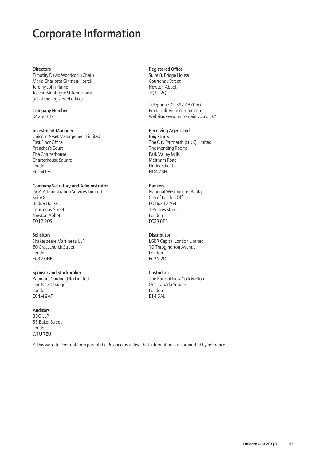### Corporate Information

#### **Directors**

Timothy David Woodcock (Chair) Maria Charlotta Ginman-Horrell Jeremy John Hamer Jocelin Montague St John Harris (all of the registered office)

Company Number 04266437

#### Investment Manager

Unicorn Asset Management Limited First Floor Office Preacher's Court The Charterhouse Charterhouse Square London EC1M 6AU

#### Company Secretary and Administrator

ISCA Administration Services Limited Suite 8 Bridge House Courtenay Street Newton Abbot TQ12 2QS

#### **Solicitors**

Shakespeare Martineau LLP 60 Gracechurch Street London EC3V 0HR

### Sponsor and Stockbroker

Panmure Gordon (UK) Limited One New Change London EC4M 9AF

#### Auditors

BDO LLP 55 Baker Street London W1U 7EU

\* This website does not form part of the Prospectus unless that information is incorporated by reference.

#### Registered Office

Suite 8, Bridge House Courtenay Street Newton Abbot TQ12 2QS

Telephone: 01392 487056 Email: info@unicornam.com Website: www.unicornaimvct.co.uk\*

#### Receiving Agent and

**Registrars** The City Partnership (UK) Limited The Mending Rooms Park Valley Mills Meltham Road Huddersfield HD4 7BH

#### Bankers

National Westminster Bank plc City of London Office PO Box 12264 1 Princes Street London EC2R 8PB

#### **Distributor**

LGBR Capital London Limited 10 Throgmorton Avenue London EC2N 2DL

#### Custodian

The Bank of New York Mellon One Canada Square London E14 5AL